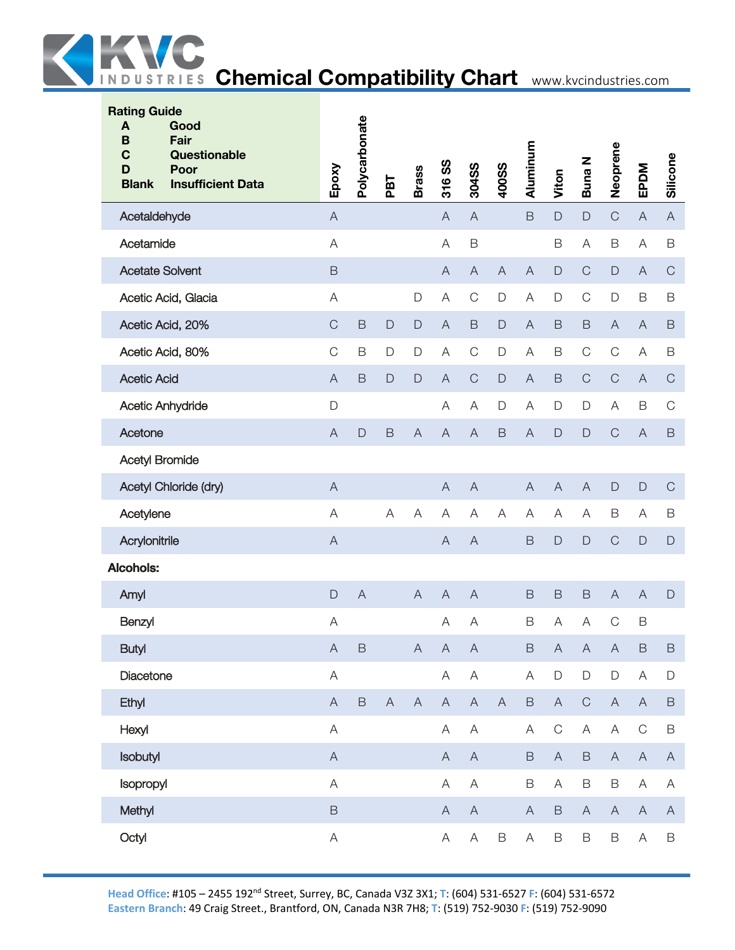

| <b>Rating Guide</b><br>Good<br>A<br>Fair<br>B<br>$\mathbf C$<br>Questionable<br>Poor<br>D<br><b>Insufficient Data</b><br><b>Blank</b> | Epoxy                     | Polycarbonate  | PBT                       | <b>Brass</b>              | 316 SS                    | 304SS                     | <b>400SS</b>              | Aluminum                  | Viton                     | <b>Buna N</b>             | Neoprene                  | EPDM                      | Silicone                  |
|---------------------------------------------------------------------------------------------------------------------------------------|---------------------------|----------------|---------------------------|---------------------------|---------------------------|---------------------------|---------------------------|---------------------------|---------------------------|---------------------------|---------------------------|---------------------------|---------------------------|
| Acetaldehyde                                                                                                                          | $\overline{A}$            |                |                           |                           | $\boldsymbol{\mathsf{A}}$ | $\overline{A}$            |                           | $\mathsf B$               | $\mathsf{D}$              | $\mathsf{D}%$             | $\mathsf C$               | $\overline{A}$            | $\mathsf{A}$              |
| Acetamide                                                                                                                             | A                         |                |                           |                           | A                         | $\mathsf B$               |                           |                           | B                         | A                         | $\mathsf B$               | A                         | $\mathsf B$               |
| <b>Acetate Solvent</b>                                                                                                                | $\mathsf B$               |                |                           |                           | $\boldsymbol{\mathsf{A}}$ | $\boldsymbol{\mathsf{A}}$ | $\boldsymbol{\mathsf{A}}$ | $\boldsymbol{\mathsf{A}}$ | $\mathsf D$               | $\mathsf C$               | $\mathsf{D}%$             | $\overline{A}$            | $\mathsf C$               |
| Acetic Acid, Glacia                                                                                                                   | A                         |                |                           | D                         | A                         | $\mathsf C$               | D                         | A                         | D                         | $\mathsf C$               | D                         | B                         | $\mathsf B$               |
| Acetic Acid, 20%                                                                                                                      | $\mathsf C$               | $\mathsf B$    | $\mathsf D$               | $\mathsf{D}$              | $\overline{A}$            | $\mathsf B$               | $\mathsf{D}$              | $\overline{A}$            | $\mathsf B$               | $\mathsf B$               | $\mathsf A$               | $\overline{A}$            | $\mathsf B$               |
| Acetic Acid, 80%                                                                                                                      | $\mathsf C$               | B              | D                         | $\mathsf{D}$              | A                         | $\mathsf C$               | D                         | Α                         | $\mathsf B$               | $\mathsf C$               | $\mathsf C$               | A                         | $\mathsf B$               |
| <b>Acetic Acid</b>                                                                                                                    | $\overline{A}$            | $\mathsf B$    | $\mathsf{D}$              | $\mathsf{D}%$             | $\mathsf A$               | $\mathsf C$               | $\mathsf{D}$              | $\overline{A}$            | $\mathsf B$               | $\mathsf C$               | $\mathsf C$               | $\overline{A}$            | $\mathsf C$               |
| Acetic Anhydride                                                                                                                      | $\mathsf{D}%$             |                |                           |                           | A                         | A                         | D                         | A                         | $\mathsf D$               | $\mathsf{D}%$             | A                         | B                         | $\mathsf C$               |
| Acetone                                                                                                                               | $\overline{A}$            | $\mathsf{D}$   | $\mathsf B$               | $\boldsymbol{\mathsf{A}}$ | $\overline{A}$            | $\overline{A}$            | $\mathsf B$               | $\overline{A}$            | $\mathsf{D}%$             | $\Box$                    | $\mathsf C$               | $\overline{A}$            | $\mathsf B$               |
| Acetyl Bromide                                                                                                                        |                           |                |                           |                           |                           |                           |                           |                           |                           |                           |                           |                           |                           |
| Acetyl Chloride (dry)                                                                                                                 | $\overline{A}$            |                |                           |                           | $\boldsymbol{\mathsf{A}}$ | $\overline{A}$            |                           | $\boldsymbol{\mathsf{A}}$ | $\boldsymbol{\mathsf{A}}$ | $\overline{A}$            | $\mathsf D$               | $\mathsf D$               | $\mathsf C$               |
| Acetylene                                                                                                                             | A                         |                | A                         | A                         | A                         | A                         | A                         | A                         | A                         | $\overline{\mathsf{A}}$   | B                         | $\mathsf{A}$              | $\mathsf B$               |
| Acrylonitrile                                                                                                                         | $\mathsf{A}$              |                |                           |                           | $\boldsymbol{\mathsf{A}}$ | $\overline{A}$            |                           | $\mathsf B$               | D                         | $\mathsf{D}%$             | $\mathsf C$               | $\mathsf{D}$              | $\mathsf{D}$              |
| Alcohols:                                                                                                                             |                           |                |                           |                           |                           |                           |                           |                           |                           |                           |                           |                           |                           |
| Amyl                                                                                                                                  | D                         | $\overline{A}$ |                           | $\overline{A}$            | $\overline{A}$            | $\overline{A}$            |                           | $\mathsf B$               | $\mathsf B$               | $\,$ B                    | $\boldsymbol{\mathsf{A}}$ | $\overline{A}$            | $\mathsf{D}$              |
| Benzyl                                                                                                                                | $\forall$                 |                |                           |                           | A                         | $\overline{A}$            |                           | $\mathsf B$               | A                         | $\overline{A}$            | $\mathsf C$               | B                         |                           |
| <b>Butyl</b>                                                                                                                          | $\boldsymbol{\mathsf{A}}$ | $\mathsf B$    |                           | $\mathsf A$               | $\boldsymbol{\mathsf{A}}$ | $\mathsf A$               |                           | $\mathsf B$               | $\boldsymbol{\mathsf{A}}$ | $\boldsymbol{\mathsf{A}}$ | $\boldsymbol{\mathsf{A}}$ | $\mathsf B$               | $\, {\sf B}$              |
| Diacetone                                                                                                                             | $\mathsf A$               |                |                           |                           | $\mathsf A$               | $\mathsf A$               |                           | A                         | $\mathsf D$               | $\mathsf D$               | $\mathsf D$               | $\boldsymbol{\mathsf{A}}$ | $\mathsf D$               |
| Ethyl                                                                                                                                 | $\mathsf A$               | $\mathsf B$    | $\boldsymbol{\mathsf{A}}$ | $\boldsymbol{\mathsf{A}}$ | $\mathsf A$               | $\mathsf A$               | $\boldsymbol{\mathsf{A}}$ | $\mathsf B$               | $\mathsf{A}$              | $\mathsf C$               | $\mathsf A$               | $\boldsymbol{\mathsf{A}}$ | $\mathsf B$               |
| Hexyl                                                                                                                                 | $\mathsf A$               |                |                           |                           | A                         | $\mathsf A$               |                           | A                         | $\mathsf C$               | $\mathsf A$               | $\mathsf A$               | $\mathsf C$               | $\mathsf B$               |
| Isobutyl                                                                                                                              | $\mathsf A$               |                |                           |                           | $\mathsf A$               | $\mathsf A$               |                           | $\mathsf B$               | $\mathsf A$               | $\mathsf B$               | $\mathsf A$               | $\boldsymbol{\mathsf{A}}$ | $\mathsf A$               |
| Isopropyl                                                                                                                             | $\mathsf A$               |                |                           |                           | $\mathsf A$               | $\mathsf A$               |                           | $\mathsf B$               | A                         | $\mathsf B$               | $\mathsf B$               | $\forall$                 | Α                         |
| Methyl                                                                                                                                | $\mathsf B$               |                |                           |                           | $\mathsf A$               | $\boldsymbol{\mathsf{A}}$ |                           | $\mathsf{A}$              | $\mathsf B$               | $\mathsf A$               | $\mathsf A$               | $\mathsf A$               | $\boldsymbol{\mathsf{A}}$ |
| Octyl                                                                                                                                 | $\mathsf A$               |                |                           |                           | $\mathsf A$               | $\mathsf{A}$              | $\mathsf B$               | A                         | $\mathsf B$               | $\mathsf B$               | $\mathsf B$               | $\boldsymbol{\mathsf{A}}$ | $\mathsf B$               |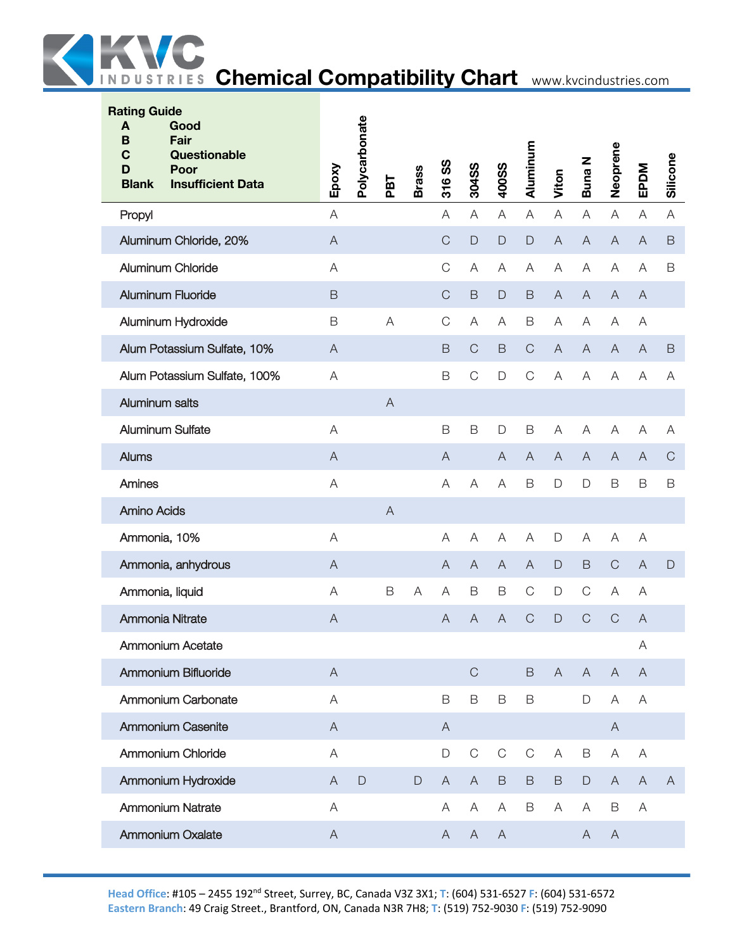

| <b>Rating Guide</b><br>A<br>B<br>C<br>D<br><b>Blank</b> | Good<br>Fair<br>Questionable<br>Poor<br><b>Insufficient Data</b> | Epoxy                     | Polycarbonate | PBT            | <b>Brass</b>  | <u>ဖွ</u><br>316 | 304SS          | 400SS                     | Aluminum       | Viton                     | Buna N         | Neoprene       | EPDM           | Silicone      |
|---------------------------------------------------------|------------------------------------------------------------------|---------------------------|---------------|----------------|---------------|------------------|----------------|---------------------------|----------------|---------------------------|----------------|----------------|----------------|---------------|
| Propyl                                                  |                                                                  | A                         |               |                |               | A                | A              | A                         | A              | $\mathsf A$               | A              | A              | Α              | A             |
|                                                         | Aluminum Chloride, 20%                                           | $\mathsf{A}$              |               |                |               | $\mathsf C$      | $\mathsf{D}%$  | D                         | $\mathsf{D}$   | $\boldsymbol{\mathsf{A}}$ | $\overline{A}$ | $\overline{A}$ | A              | $\mathsf B$   |
|                                                         | Aluminum Chloride                                                | A                         |               |                |               | $\mathsf C$      | Α              | Α                         | Α              | A                         | A              | Α              | A              | B             |
|                                                         | <b>Aluminum Fluoride</b>                                         | $\mathsf B$               |               |                |               | $\mathsf C$      | $\mathsf B$    | $\mathsf{D}%$             | $\mathsf B$    | $\boldsymbol{\mathsf{A}}$ | $\mathsf{A}$   | $\overline{A}$ | A              |               |
|                                                         | Aluminum Hydroxide                                               | $\mathsf B$               |               | A              |               | $\mathsf C$      | A              | Α                         | $\mathsf B$    | A                         | A              | A              | Α              |               |
|                                                         | Alum Potassium Sulfate, 10%                                      | $\overline{A}$            |               |                |               | B                | $\mathsf{C}$   | $\mathsf B$               | $\mathsf C$    | $\overline{A}$            | $\overline{A}$ | $\overline{A}$ | A              | $\mathsf B$   |
|                                                         | Alum Potassium Sulfate, 100%                                     | A                         |               |                |               | B                | $\mathsf{C}$   | D                         | $\mathsf C$    | $\mathsf A$               | A              | A              | A              | Α             |
| Aluminum salts                                          |                                                                  |                           |               | $\overline{A}$ |               |                  |                |                           |                |                           |                |                |                |               |
|                                                         | Aluminum Sulfate                                                 | A                         |               |                |               | B                | $\mathsf B$    | D                         | $\mathsf B$    | A                         | A              | A              | Α              | Α             |
| Alums                                                   |                                                                  | $\boldsymbol{\mathsf{A}}$ |               |                |               | $\mathsf{A}$     |                | $\overline{A}$            | $\overline{A}$ | $\overline{A}$            | $\overline{A}$ | $\overline{A}$ | A              | $\mathbf C$   |
| Amines                                                  |                                                                  | A                         |               |                |               | A                | A              | A                         | $\mathsf B$    | D                         | $\Box$         | $\mathsf B$    | B              | $\mathsf B$   |
| <b>Amino Acids</b>                                      |                                                                  |                           |               | $\overline{A}$ |               |                  |                |                           |                |                           |                |                |                |               |
| Ammonia, 10%                                            |                                                                  | A                         |               |                |               | A                | A              | A                         | Α              | D                         | A              | A              | A              |               |
|                                                         | Ammonia, anhydrous                                               | $\boldsymbol{\mathsf{A}}$ |               |                |               | $\mathsf{A}$     | $\overline{A}$ | $\boldsymbol{\mathsf{A}}$ | $\mathsf{A}$   | $\mathsf{D}%$             | $\mathsf B$    | $\mathsf C$    | $\overline{A}$ | $\mathsf{D}%$ |
| Ammonia, liquid                                         |                                                                  | A                         |               | $\mathsf B$    | A             | Α                | B              | B                         | $\mathsf C$    | $\mathsf D$               | $\mathbf C$    | Α              | Α              |               |
|                                                         | Ammonia Nitrate                                                  | $\bigwedge$               |               |                |               | A                | $\overline{A}$ | $\bigwedge$               | $\mathsf C$    | $\mathsf{D}$              | $\mathsf C$    | $\mathsf C$    | A              |               |
|                                                         | Ammonium Acetate                                                 |                           |               |                |               |                  |                |                           |                |                           |                |                | Α              |               |
|                                                         | Ammonium Bifluoride                                              | $\mathsf{A}$              |               |                |               |                  | $\mathsf C$    |                           | $\mathsf B$    | $\overline{A}$            | $\overline{A}$ | $\overline{A}$ | $\overline{A}$ |               |
|                                                         | Ammonium Carbonate                                               | $\forall$                 |               |                |               | $\mathsf B$      | $\mathsf B$    | B                         | $\mathsf B$    |                           | $\mathsf D$    | Α              | A              |               |
|                                                         | Ammonium Casenite                                                | $\boldsymbol{\mathsf{A}}$ |               |                |               | $\bigwedge$      |                |                           |                |                           |                | $\overline{A}$ |                |               |
|                                                         | Ammonium Chloride                                                | $\forall$                 |               |                |               | D                | $\mathsf C$    | $\mathsf C$               | $\mathsf C$    | $\mathsf{A}$              | $\mathsf B$    | A              | A              |               |
|                                                         | Ammonium Hydroxide                                               | $\boldsymbol{\mathsf{A}}$ | $\mathsf{D}%$ |                | $\mathsf{D}%$ | $\mathsf{A}$     | $\overline{A}$ | $\mathsf B$               | $\mathsf B$    | $\mathsf B$               | $\mathsf D$    | $\mathsf{A}$   | $\overline{A}$ | $\mathsf{A}$  |
|                                                         | <b>Ammonium Natrate</b>                                          | A                         |               |                |               | A                | Α              | Α                         | $\mathsf B$    | Α                         | Α              | B              | Α              |               |
|                                                         | <b>Ammonium Oxalate</b>                                          | $\bigwedge$               |               |                |               | A                | $\mathsf{A}$   | $\mathsf{A}$              |                |                           | A              | $\mathsf{A}$   |                |               |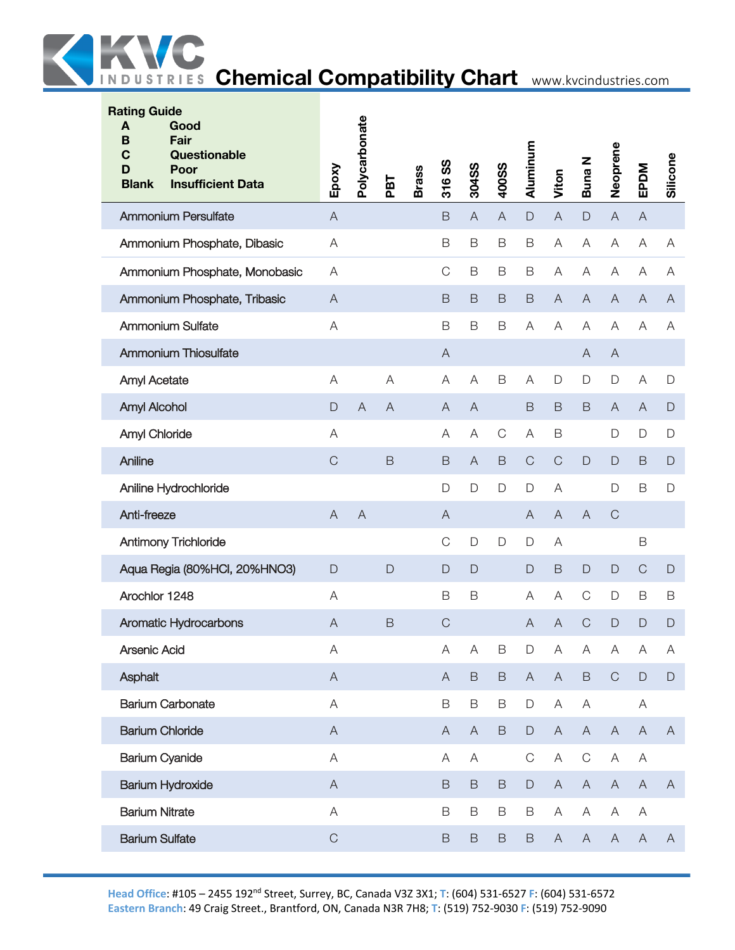

| Epoxy                     | Polycarbonate  | PBT          | <b>Brass</b> | SS<br>316    | 304SS          | 400SS        | Aluminum       | Viton                     | <b>Buna N</b> | Neoprene                  | EPDM                      | Silicone       |
|---------------------------|----------------|--------------|--------------|--------------|----------------|--------------|----------------|---------------------------|---------------|---------------------------|---------------------------|----------------|
| $\boldsymbol{\mathsf{A}}$ |                |              |              | $\mathsf B$  | $\overline{A}$ | $\mathsf{A}$ | $\mathsf D$    | $\overline{A}$            | $\mathsf{D}%$ | $\boldsymbol{\mathsf{A}}$ | A                         |                |
| $\forall$                 |                |              |              | B            | B              | $\mathsf B$  | B              | $\boldsymbol{\mathsf{A}}$ | A             | A                         | $\boldsymbol{\mathsf{A}}$ | A              |
| A                         |                |              |              | C            | $\mathsf B$    | B            | B              | $\overline{A}$            | $\mathsf A$   | A                         | A                         | Α              |
| $\overline{A}$            |                |              |              | B            | B              | $\mathsf B$  | $\mathsf B$    | $\overline{A}$            | $\mathsf A$   | $\overline{A}$            | A                         | $\overline{A}$ |
| A                         |                |              |              | $\mathsf B$  | $\mathsf B$    | $\mathsf B$  | A              | A                         | $\mathsf A$   | Α                         | A                         | Α              |
|                           |                |              |              | $\mathsf{A}$ |                |              |                |                           | A             | $\mathsf{A}$              |                           |                |
| $\mathsf A$               |                | A            |              | A            | A              | $\mathsf B$  | A              | $\mathsf D$               | D             | $\mathsf D$               | $\boldsymbol{\mathsf{A}}$ | $\mathsf D$    |
| D                         | $\overline{A}$ | $\mathsf{A}$ |              | A            | $\overline{A}$ |              | $\mathsf B$    | $\mathsf B$               | B             | $\overline{A}$            | $\boldsymbol{\mathsf{A}}$ | $\mathsf{D}$   |
| A                         |                |              |              | Α            | A              | С            | A              | $\mathsf B$               |               | $\Box$                    | D                         | D              |
| $\mathsf C$               |                | $\mathsf B$  |              | $\mathsf B$  | $\overline{A}$ | B            | $\mathsf{C}$   | $\mathsf C$               | D             | $\mathsf{D}$              | B                         | $\mathsf{D}$   |
|                           |                |              |              | D            | $\Box$         | D            | D              | $\mathsf{A}$              |               | $\Box$                    | $\mathsf B$               | $\mathsf D$    |
| $\mathsf{A}$              | $\overline{A}$ |              |              | $\mathsf{A}$ |                |              | $\overline{A}$ | $\overline{A}$            | $\mathsf A$   | $\mathsf{C}$              |                           |                |
|                           |                |              |              | $\mathsf C$  | $\mathsf{D}$   | D            | $\Box$         | A                         |               |                           | $\mathsf B$               |                |
| $\mathsf{D}$              |                | D            |              | $\mathsf{D}$ | D              |              | $\mathsf{D}$   | $\mathsf B$               | $\mathsf{D}$  | $\mathsf D$               | $\mathsf{C}$              | $\mathsf{D}$   |
| A                         |                |              |              | $\mathsf B$  | $\mathsf B$    |              | Α              | A                         | $\mathsf C$   | $\mathsf D$               | B                         | B              |
| $\boldsymbol{\mathsf{A}}$ |                | $\mathsf B$  |              | $\mathsf C$  |                |              | A              | $\overline{A}$            | $\mathsf{C}$  | D                         | $\mathsf{D}$              | $\mathsf{D}$   |
| A                         |                |              |              | Α            | A              | B            | D              | $\boldsymbol{\mathsf{A}}$ | A             | A                         | A                         | Α              |
| $\mathsf{A}$              |                |              |              | A            | $\mathsf B$    | $\mathsf B$  | $\mathsf{A}$   | $\overline{A}$            | $\mathsf B$   | $\mathsf C$               | $\mathsf D$               | $\Box$         |
| $\mathsf A$               |                |              |              | $\mathsf B$  | $\mathsf B$    | B            | $\mathsf D$    | $\mathsf A$               | $\mathsf A$   |                           | A                         |                |
| $\mathsf A$               |                |              |              | $\mathsf{A}$ | $\overline{A}$ | B            | $\mathsf D$    | $\boldsymbol{\mathsf{A}}$ | $\mathsf A$   | $\mathsf{A}$              | $\overline{A}$            | $\mathsf{A}$   |
| $\mathsf A$               |                |              |              | Α            | Α              |              | $\mathsf{C}$   | A                         | $\mathsf C$   | A                         | A                         |                |
| $\boldsymbol{\mathsf{A}}$ |                |              |              | $\mathsf B$  | $\mathsf B$    | B            | $\mathsf D$    | $\boldsymbol{\mathsf{A}}$ | $\mathsf{A}$  | $\mathsf{A}$              | $\mathsf{A}$              | $\mathsf{A}$   |
| $\mathsf A$               |                |              |              | $\mathsf B$  | $\mathsf B$    | $\mathsf B$  | $\mathsf B$    | $\mathsf A$               | A             | A                         | A                         |                |
| $\mathsf C$               |                |              |              | $\mathsf B$  | $\mathsf B$    | $\mathsf B$  | $\mathsf B$    | $\boldsymbol{\mathsf{A}}$ | $\mathsf A$   | $\mathsf{A}$              | $\mathsf A$               | $\mathsf{A}$   |
|                           |                |              |              |              |                |              |                |                           |               |                           |                           |                |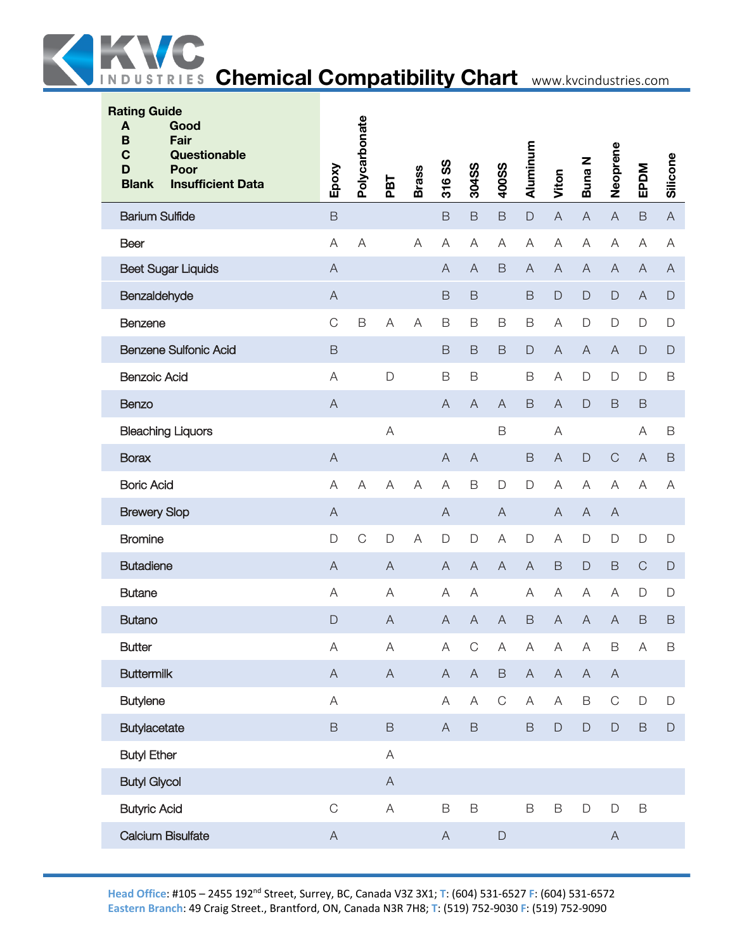

| <b>Rating Guide</b><br>Good<br>A<br>Fair<br>B<br>$\mathbf C$<br>Questionable<br>Poor<br>D<br><b>Blank</b><br><b>Insufficient Data</b> | Epoxy                     | Polycarbonate  | PBT                       | <b>Brass</b>   | 316 SS                    | 304SS          | 400SS                     | Aluminum       | Viton                     | <b>Buna N</b>  | Neoprene                  | EPDM           | Silicone                  |
|---------------------------------------------------------------------------------------------------------------------------------------|---------------------------|----------------|---------------------------|----------------|---------------------------|----------------|---------------------------|----------------|---------------------------|----------------|---------------------------|----------------|---------------------------|
| <b>Barium Sulfide</b>                                                                                                                 | $\overline{B}$            |                |                           |                | $\mathsf B$               | $\mathsf B$    | $\mathsf B$               | $\mathsf D$    | $\mathsf A$               | $\overline{A}$ | $\overline{A}$            | $\mathsf B$    | $\mathsf{A}$              |
| <b>Beer</b>                                                                                                                           | $\mathsf A$               | A              |                           | $\mathsf{A}$   | A                         | A              | A                         | A              | $\mathsf A$               | $\mathsf{A}$   | $\boldsymbol{\mathsf{A}}$ | A              | A                         |
| <b>Beet Sugar Liquids</b>                                                                                                             | $\overline{A}$            |                |                           |                | $\overline{A}$            | $\overline{A}$ | $\mathsf B$               | $\overline{A}$ | $\overline{A}$            | $\overline{A}$ | $\boldsymbol{\mathsf{A}}$ | $\overline{A}$ | $\boldsymbol{\mathsf{A}}$ |
| Benzaldehyde                                                                                                                          | $\mathsf A$               |                |                           |                | $\mathsf B$               | $\mathsf B$    |                           | $\mathsf B$    | $\mathsf D$               | $\mathsf D$    | $\mathsf D$               | $\bigwedge$    | $\mathsf{D}%$             |
| Benzene                                                                                                                               | $\mathsf C$               | $\mathsf B$    | Α                         | $\mathsf{A}$   | $\mathsf B$               | $\mathsf B$    | $\mathsf B$               | $\mathsf B$    | $\mathsf A$               | $\mathsf{D}$   | $\mathsf D$               | D              | $\mathsf D$               |
| <b>Benzene Sulfonic Acid</b>                                                                                                          | $\mathsf B$               |                |                           |                | $\mathsf B$               | $\mathsf B$    | $\mathsf B$               | $\mathsf D$    | $\boldsymbol{\mathsf{A}}$ | $\overline{A}$ | $\overline{A}$            | D              | $\mathsf D$               |
| <b>Benzoic Acid</b>                                                                                                                   | $\mathsf A$               |                | $\mathsf{D}$              |                | $\mathsf B$               | $\mathsf B$    |                           | $\mathsf B$    | $\mathsf A$               | $\mathsf{D}%$  | $\mathsf D$               | D              | $\mathsf B$               |
| <b>Benzo</b>                                                                                                                          | $\boldsymbol{\mathsf{A}}$ |                |                           |                | $\overline{A}$            | $\overline{A}$ | $\overline{A}$            | $\mathsf B$    | $\boldsymbol{\mathsf{A}}$ | $\mathsf{D}$   | $\mathsf B$               | $\mathsf B$    |                           |
| <b>Bleaching Liquors</b>                                                                                                              |                           |                | Α                         |                |                           |                | $\mathsf B$               |                | A                         |                |                           | A              | B                         |
| <b>Borax</b>                                                                                                                          | $\overline{A}$            |                |                           |                | A                         | $\overline{A}$ |                           | $\mathsf B$    | $\overline{A}$            | $\mathsf D$    | $\mathsf C$               | $\overline{A}$ | $\mathsf B$               |
| <b>Boric Acid</b>                                                                                                                     | $\overline{A}$            | $\overline{A}$ | A                         | $\overline{A}$ | $\overline{A}$            | B              | D                         | $\mathsf{D}$   | A                         | A              | $\overline{A}$            | A              | A                         |
| <b>Brewery Slop</b>                                                                                                                   | $\boldsymbol{\mathsf{A}}$ |                |                           |                | $\boldsymbol{\mathsf{A}}$ |                | $\boldsymbol{\mathsf{A}}$ |                | $\boldsymbol{\mathsf{A}}$ | $\overline{A}$ | $\mathsf{A}$              |                |                           |
| <b>Bromine</b>                                                                                                                        | D                         | $\mathsf C$    | $\mathsf D$               | A              | $\mathsf D$               | $\mathsf{D}$   | Α                         | $\mathsf{D}$   | A                         | $\mathsf{D}$   | $\mathsf D$               | D              | $\mathsf{D}$              |
| <b>Butadiene</b>                                                                                                                      | $\overline{A}$            |                | $\overline{A}$            |                | $\overline{A}$            | $\overline{A}$ | $\overline{A}$            | $\overline{A}$ | $\mathsf B$               | $\mathsf{D}%$  | $\mathsf B$               | $\mathsf C$    | $\mathsf D$               |
| <b>Butane</b>                                                                                                                         | A                         |                | A                         |                | Α                         | A              |                           | A              | A                         | A              | Α                         | D              | $\mathsf D$               |
| <b>Butano</b>                                                                                                                         | $\mathsf{D}$              |                | $\bigwedge$               |                | $\mathsf{A}$              | $\overline{A}$ | A                         | $\mathsf B$    | $\boldsymbol{\mathsf{A}}$ | $\mathsf{A}$   | $\overline{A}$            | B              | $\mathsf B$               |
| <b>Butter</b>                                                                                                                         | Α                         |                | Α                         |                | A                         | C              | A                         | A              | A                         | A              | B                         | Α              | B                         |
| <b>Buttermilk</b>                                                                                                                     | $\mathsf A$               |                | $\mathsf A$               |                | $\mathsf A$               | $\mathsf A$    | $\mathsf B$               | $\mathsf A$    | $\mathsf A$               | $\mathsf A$    | $\boldsymbol{\mathsf{A}}$ |                |                           |
| <b>Butylene</b>                                                                                                                       | $\mathsf{A}$              |                |                           |                | A                         | A              | $\mathsf C$               | $\forall$      | $\mathsf A$               | $\mathsf B$    | $\mathsf C$               | $\mathsf D$    | $\mathsf D$               |
| Butylacetate                                                                                                                          | $\mathsf B$               |                | $\mathsf B$               |                | $\mathsf{A}$              | $\, {\sf B}$   |                           | $\mathsf B$    | $\mathsf D$               | $\mathsf D$    | $\mathsf D$               | B              | $\mathsf D$               |
| <b>Butyl Ether</b>                                                                                                                    |                           |                | $\boldsymbol{\mathsf{A}}$ |                |                           |                |                           |                |                           |                |                           |                |                           |
| <b>Butyl Glycol</b>                                                                                                                   |                           |                | $\boldsymbol{\mathsf{A}}$ |                |                           |                |                           |                |                           |                |                           |                |                           |
| <b>Butyric Acid</b>                                                                                                                   | $\mathsf C$               |                | $\mathsf A$               |                | $\mathsf B$               | $\mathsf B$    |                           | $\mathsf B$    | $\mathsf B$               | $\mathsf D$    | $\mathsf D$               | B              |                           |
| Calcium Bisulfate                                                                                                                     | $\mathsf{A}$              |                |                           |                | $\boldsymbol{\mathsf{A}}$ |                | $\mathsf D$               |                |                           |                | $\mathsf{A}$              |                |                           |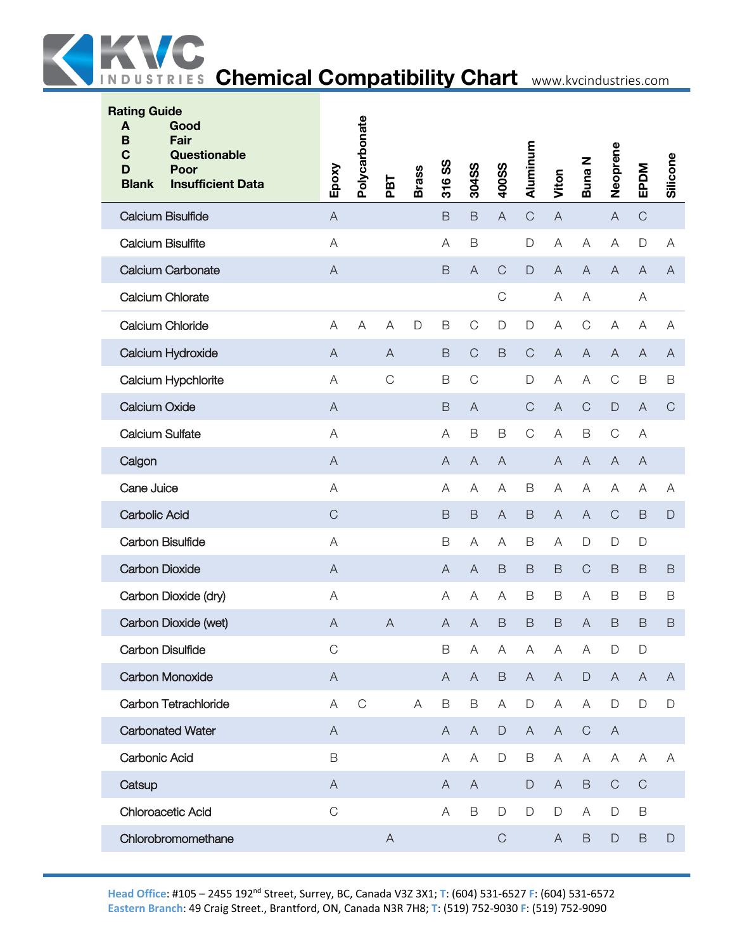

| <b>Rating Guide</b><br>A<br>Good<br>B<br>Fair<br>$\mathbf C$<br>Questionable<br>D<br>Poor<br><b>Insufficient Data</b><br><b>Blank</b> | Epoxy                     | Polycarbonate | PBT            | <b>Brass</b> | <u>ဖွ</u><br>316 | 304SS                     | 400SS        | Aluminum      | Viton                     | Buna N                  | Neoprene                  | EPDM           | Silicone      |
|---------------------------------------------------------------------------------------------------------------------------------------|---------------------------|---------------|----------------|--------------|------------------|---------------------------|--------------|---------------|---------------------------|-------------------------|---------------------------|----------------|---------------|
| <b>Calcium Bisulfide</b>                                                                                                              | $\mathsf{A}$              |               |                |              | $\mathsf B$      | $\mathsf B$               | A            | $\mathsf C$   | $\mathsf{A}$              |                         | $\boldsymbol{\mathsf{A}}$ | $\mathsf{C}$   |               |
| <b>Calcium Bisulfite</b>                                                                                                              | A                         |               |                |              | A                | $\mathsf B$               |              | $\mathsf D$   | $\mathsf A$               | $\overline{\mathsf{A}}$ | A                         | D              | A             |
| <b>Calcium Carbonate</b>                                                                                                              | $\boldsymbol{\mathsf{A}}$ |               |                |              | B                | $\boldsymbol{\mathsf{A}}$ | $\mathsf C$  | $\mathsf{D}%$ | $\boldsymbol{\mathsf{A}}$ | $\overline{A}$          | $\bigwedge$               | $\overline{A}$ | $\mathsf{A}$  |
| Calcium Chlorate                                                                                                                      |                           |               |                |              |                  |                           | $\mathsf C$  |               | A                         | Α                       |                           | A              |               |
| <b>Calcium Chloride</b>                                                                                                               | A                         | A             | A              | $\mathsf D$  | B                | $\mathsf C$               | $\mathsf D$  | $\mathsf D$   | A                         | $\mathsf C$             | A                         | Α              | A             |
| Calcium Hydroxide                                                                                                                     | $\mathsf{A}$              |               | A              |              | B                | $\mathsf{C}$              | B            | $\mathsf{C}$  | $\mathsf{A}$              | $\overline{A}$          | $\mathsf{A}$              | $\mathsf{A}$   | $\mathsf{A}$  |
| Calcium Hypchlorite                                                                                                                   | $\forall$                 |               | $\mathsf C$    |              | B                | $\mathbf C$               |              | $\mathsf D$   | A                         | A                       | $\mathsf C$               | B              | $\mathsf B$   |
| <b>Calcium Oxide</b>                                                                                                                  | $\mathsf{A}$              |               |                |              | B                | A                         |              | $\mathsf C$   | $\mathsf A$               | $\mathsf{C}$            | $\mathsf D$               | $\overline{A}$ | $\mathbf C$   |
| <b>Calcium Sulfate</b>                                                                                                                | A                         |               |                |              | A                | $\mathsf B$               | $\mathsf B$  | $\mathsf{C}$  | A                         | $\mathsf B$             | $\mathsf C$               | Α              |               |
| Calgon                                                                                                                                | $\mathsf{A}$              |               |                |              | $\mathsf{A}$     | $\mathsf{A}$              | $\mathsf{A}$ |               | A                         | $\overline{A}$          | $\bigwedge$               | $\overline{A}$ |               |
| Cane Juice                                                                                                                            | A                         |               |                |              | Α                | A                         | A            | B             | A                         | Α                       | A                         | A              | Α             |
| <b>Carbolic Acid</b>                                                                                                                  | $\mathsf C$               |               |                |              | B                | $\mathsf B$               | A            | $\mathsf B$   | $\mathsf{A}$              | $\overline{A}$          | $\mathsf C$               | $\mathsf B$    | $\mathsf{D}%$ |
| <b>Carbon Bisulfide</b>                                                                                                               | A                         |               |                |              | $\mathsf B$      | Α                         | Α            | B             | A                         | $\mathsf{D}%$           | D                         | D              |               |
| <b>Carbon Dioxide</b>                                                                                                                 | $\mathsf{A}$              |               |                |              | $\mathsf{A}$     | $\mathsf{A}$              | B            | $\mathsf B$   | $\mathsf B$               | $\mathsf{C}$            | $\mathsf B$               | B              | $\mathsf B$   |
| Carbon Dioxide (dry)                                                                                                                  | $\mathsf A$               |               |                |              | A                | A                         | Α            | B             | B                         | A                       | B                         | B              | B             |
| Carbon Dioxide (wet)                                                                                                                  | $\boldsymbol{\mathsf{A}}$ |               | $\overline{A}$ |              | $\mathsf{A}$     | $\overline{A}$            | B            | $\mathsf B$   | B                         | $\overline{A}$          | $\mathsf B$               | B              | B             |
| <b>Carbon Disulfide</b>                                                                                                               | C                         |               |                |              | B                | Α                         | A            | Α             | A                         | A                       | D                         | D              |               |
| Carbon Monoxide                                                                                                                       | $\mathsf{A}$              |               |                |              | $\mathsf{A}$     | $\mathsf{A}$              | $\mathsf B$  | $\mathsf{A}$  | $\boldsymbol{\mathsf{A}}$ | $\mathsf D$             | $\mathsf{A}$              | $\mathsf{A}$   | $\mathsf{A}$  |
| Carbon Tetrachloride                                                                                                                  | $\forall$                 | $\mathsf{C}$  |                | A            | $\mathsf B$      | B                         | A            | $\mathsf D$   | A                         | A                       | $\mathsf D$               | $\mathsf D$    | $\mathsf D$   |
| <b>Carbonated Water</b>                                                                                                               | $\mathsf{A}$              |               |                |              | $\mathsf{A}$     | $\overline{A}$            | $\mathsf D$  | $\mathsf{A}$  | $\boldsymbol{\mathsf{A}}$ | $\mathsf C$             | $\mathsf{A}$              |                |               |
| <b>Carbonic Acid</b>                                                                                                                  | $\mathsf B$               |               |                |              | A                | A                         | D            | B             | Α                         | Α                       | Α                         | A              | Α             |
| Catsup                                                                                                                                | $\mathsf{A}$              |               |                |              | A                | A                         |              | $\Box$        | A                         | $\mathsf B$             | $\mathsf C$               | $\mathsf{C}$   |               |
| <b>Chloroacetic Acid</b>                                                                                                              | $\mathsf C$               |               |                |              | Α                | $\mathsf B$               | $\mathsf D$  | $\mathsf D$   | $\mathsf D$               | A                       | D                         | B              |               |
| Chlorobromomethane                                                                                                                    |                           |               | $\mathsf{A}$   |              |                  |                           | $\mathbf C$  |               | A                         | $\mathsf B$             | $\mathsf D$               | $\mathsf B$    | $\mathsf D$   |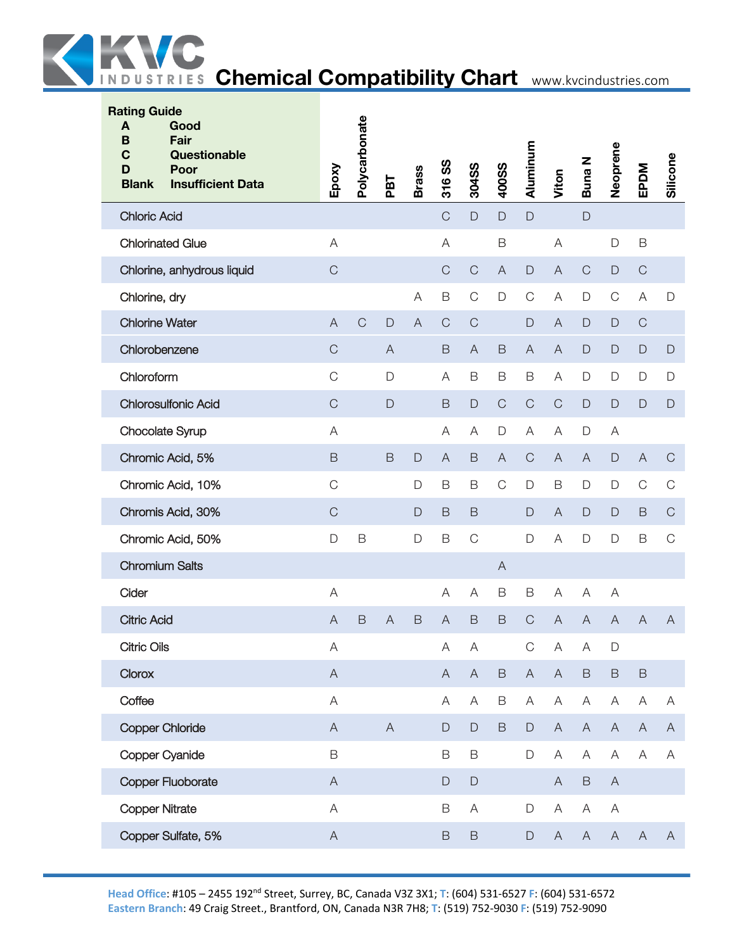

| <b>Rating Guide</b><br>A<br>Good<br>Fair<br>B<br>C<br>Questionable<br>Poor<br>D<br><b>Insufficient Data</b><br><b>Blank</b> | Epoxy                     | Polycarbonate | PBT                       | <b>Brass</b>   | 316 SS                    | 304SS                     | 400SS        | Aluminum      | Viton                                                                                                  | Buna N        | Neoprene                  | EPDM         | Silicone      |
|-----------------------------------------------------------------------------------------------------------------------------|---------------------------|---------------|---------------------------|----------------|---------------------------|---------------------------|--------------|---------------|--------------------------------------------------------------------------------------------------------|---------------|---------------------------|--------------|---------------|
| <b>Chloric Acid</b>                                                                                                         |                           |               |                           |                | $\mathsf C$               | $\mathsf{D}$              | D            | $\mathsf{D}$  |                                                                                                        | $\mathsf D$   |                           |              |               |
| <b>Chlorinated Glue</b>                                                                                                     | $\mathsf A$               |               |                           |                | A                         |                           | B            |               | $\boldsymbol{\mathsf{A}}$                                                                              |               | $\mathsf D$               | B            |               |
| Chlorine, anhydrous liquid                                                                                                  | $\mathsf C$               |               |                           |                | $\mathsf{C}$              | $\mathsf C$               | $\mathsf{A}$ | $\mathsf D$   | $\overline{A}$                                                                                         | $\mathsf C$   | $\mathsf D$               | $\mathsf C$  |               |
| Chlorine, dry                                                                                                               |                           |               |                           | $\forall$      | $\mathsf B$               | $\mathsf C$               | D            | $\mathbf C$   | $\mathsf A$                                                                                            | $\mathsf{D}%$ | $\mathsf C$               | A            | $\mathsf{D}$  |
| <b>Chlorine Water</b>                                                                                                       | $\boldsymbol{\mathsf{A}}$ | $\mathsf C$   | $\Box$                    | $\overline{A}$ | $\mathsf C$               | $\mathsf C$               |              | $\mathsf D$   | $\mathsf{A}% _{\mathsf{A}}^{\prime}=\mathsf{A}_{\mathsf{A}}^{\prime}=\mathsf{A}_{\mathsf{A}}^{\prime}$ | $\mathsf D$   | $\mathsf{D}%$             | $\mathsf C$  |               |
| Chlorobenzene                                                                                                               | $\mathsf C$               |               | $\overline{A}$            |                | $\mathsf B$               | $\overline{A}$            | $\mathsf B$  | $\mathsf{A}$  | $\overline{A}$                                                                                         | $\mathsf D$   | $\mathsf D$               | $\mathsf D$  | $\mathsf{D}%$ |
| Chloroform                                                                                                                  | $\mathsf C$               |               | D                         |                | A                         | $\mathsf B$               | B            | $\mathsf B$   | A                                                                                                      | $\mathsf D$   | $\mathsf D$               | D            | D             |
| <b>Chlorosulfonic Acid</b>                                                                                                  | $\mathsf C$               |               | D                         |                | $\mathsf B$               | $\mathsf D$               | $\mathsf C$  | $\mathsf C$   | $\mathsf C$                                                                                            | $\mathsf D$   | $\mathsf{D}$              | $\mathsf{D}$ | $\mathsf D$   |
| Chocolate Syrup                                                                                                             | A                         |               |                           |                | Α                         | A                         | D            | A             | A                                                                                                      | $\mathsf D$   | A                         |              |               |
| Chromic Acid, 5%                                                                                                            | $\mathsf B$               |               | $\mathsf B$               | $\mathsf D$    | $\boldsymbol{\mathsf{A}}$ | $\mathsf B$               | $\forall$    | $\mathsf C$   | $\boldsymbol{\mathsf{A}}$                                                                              | $\mathsf{A}$  | $\mathsf D$               | $\bigwedge$  | $\mathsf C$   |
| Chromic Acid, 10%                                                                                                           | $\mathsf C$               |               |                           | D              | $\mathsf B$               | $\mathsf B$               | $\mathsf C$  | $\mathsf D$   | $\mathsf B$                                                                                            | $\mathsf D$   | $\mathsf{D}$              | $\mathsf C$  | $\mathsf C$   |
| Chromis Acid, 30%                                                                                                           | $\mathsf C$               |               |                           | $\mathsf{D}$   | $\mathsf B$               | $\mathsf B$               |              | $\Box$        | $\overline{A}$                                                                                         | $\mathsf D$   | $\Box$                    | $\mathsf B$  | $\mathbf C$   |
| Chromic Acid, 50%                                                                                                           | $\mathsf{D}%$             | $\mathsf B$   |                           | D              | B                         | $\mathsf C$               |              | $\mathsf{D}$  | $\mathsf A$                                                                                            | $\mathsf D$   | $\mathsf{D}$              | B            | $\mathsf C$   |
| <b>Chromium Salts</b>                                                                                                       |                           |               |                           |                |                           |                           | $\mathsf A$  |               |                                                                                                        |               |                           |              |               |
| Cider                                                                                                                       | $\mathsf A$               |               |                           |                | Α                         | Α                         | B            | $\mathsf B$   | A                                                                                                      | A             | A                         |              |               |
| <b>Citric Acid</b>                                                                                                          | $\mathsf{A}$              | B             | A                         | B              | $\boldsymbol{\mathsf{A}}$ | $\mathsf B$               | B            | $\mathsf{C}$  | $\overline{A}$                                                                                         | $\bigwedge$   | A                         | A            | Α             |
| <b>Citric Oils</b>                                                                                                          | Α                         |               |                           |                | A                         | $\mathsf{A}$              |              | $\mathsf C$   | $\mathsf{A}$                                                                                           | $\mathsf{A}$  | D                         |              |               |
| Clorox                                                                                                                      | $\mathsf A$               |               |                           |                | $\mathsf A$               | $\boldsymbol{\mathsf{A}}$ | $\mathsf B$  | $\mathsf{A}$  | $\mathsf A$                                                                                            | $\mathsf B$   | $\mathsf B$               | $\mathsf B$  |               |
| Coffee                                                                                                                      | A                         |               |                           |                | Α                         | A                         | B            | Α             | $\boldsymbol{\mathsf{A}}$                                                                              | A             | A                         | A            | Α             |
| <b>Copper Chloride</b>                                                                                                      | $\boldsymbol{\mathsf{A}}$ |               | $\boldsymbol{\mathsf{A}}$ |                | $\mathsf D$               | $\mathsf D$               | $\mathsf B$  | $\mathsf D$   | $\boldsymbol{\mathsf{A}}$                                                                              | $\mathsf{A}$  | $\mathsf{A}$              | $\mathsf{A}$ | $\mathsf{A}$  |
| Copper Cyanide                                                                                                              | $\mathsf B$               |               |                           |                | $\mathsf B$               | $\mathsf B$               |              | $\mathsf D$   | $\mathsf A$                                                                                            | $\mathsf A$   | $\boldsymbol{\mathsf{A}}$ | A            | Α             |
| Copper Fluoborate                                                                                                           | $\mathsf A$               |               |                           |                | $\mathsf D$               | $\mathsf D$               |              |               | $\mathsf A$                                                                                            | $\mathsf B$   | $\boldsymbol{\mathsf{A}}$ |              |               |
| <b>Copper Nitrate</b>                                                                                                       | $\mathsf A$               |               |                           |                | $\mathsf B$               | A                         |              | $\mathsf D$   | $\mathsf A$                                                                                            | $\forall$     | A                         |              |               |
| Copper Sulfate, 5%                                                                                                          | $\boldsymbol{\mathsf{A}}$ |               |                           |                | $\mathsf B$               | $\mathsf B$               |              | $\mathsf{D}%$ | $\boldsymbol{\mathsf{A}}$                                                                              | $\mathsf A$   | $\mathsf A$               | $\mathsf{A}$ | $\mathsf{A}$  |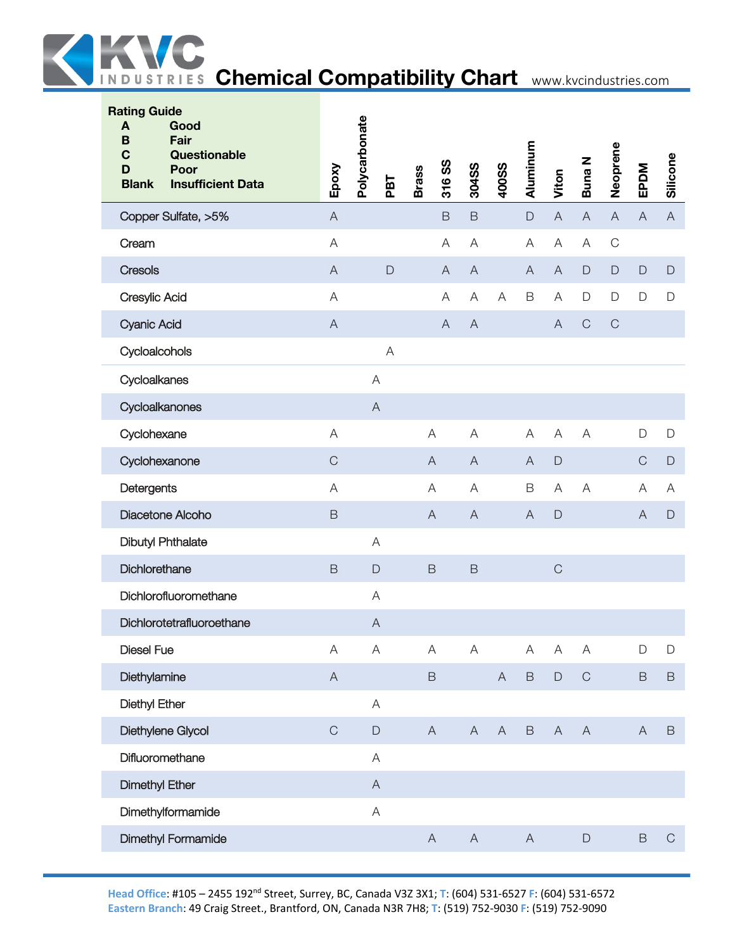

| <b>Rating Guide</b><br>Good<br>A<br>Fair<br>B<br>Questionable<br>C<br>Poor<br>D<br><b>Insufficient Data</b><br><b>Blank</b> | Epoxy                                                                                                  | Polycarbonate<br>PBT      | 316 SS<br><b>Brass</b> | 304SS                     | <b>400SS</b>   | Aluminum                  | Viton                     | Buna N                    | Neoprene                  | EPDM           | Silicone      |
|-----------------------------------------------------------------------------------------------------------------------------|--------------------------------------------------------------------------------------------------------|---------------------------|------------------------|---------------------------|----------------|---------------------------|---------------------------|---------------------------|---------------------------|----------------|---------------|
| Copper Sulfate, >5%                                                                                                         | $\boldsymbol{\mathsf{A}}$                                                                              |                           | $\mathsf B$            | $\mathsf B$               |                | $\mathsf D$               | $\mathsf A$               | $\mathsf A$               | $\boldsymbol{\mathsf{A}}$ | $\overline{A}$ | $\mathsf{A}$  |
| Cream                                                                                                                       | A                                                                                                      |                           | A                      | A                         |                | A                         | $\boldsymbol{\mathsf{A}}$ | $\mathsf{A}$              | $\mathsf C$               |                |               |
| <b>Cresols</b>                                                                                                              | $\mathsf{A}% _{\mathsf{A}}^{\prime}=\mathsf{A}_{\mathsf{A}}^{\prime}=\mathsf{A}_{\mathsf{A}}^{\prime}$ | $\mathsf D$               | $\overline{A}$         | $\overline{A}$            |                | $\overline{A}$            | $\boldsymbol{\mathsf{A}}$ | $\mathsf D$               | $\mathsf D$               | $\mathsf D$    | $\mathsf D$   |
| Cresylic Acid                                                                                                               | A                                                                                                      |                           | $\mathsf{A}$           | A                         | A              | $\mathsf B$               | $\mathsf A$               | $\mathsf D$               | $\mathsf D$               | $\mathsf D$    | $\mathsf D$   |
| <b>Cyanic Acid</b>                                                                                                          | $\boldsymbol{\mathsf{A}}$                                                                              |                           | $\mathsf{A}$           | $\bigwedge$               |                |                           | $\overline{A}$            | $\mathsf C$               | $\mathbf C$               |                |               |
| Cycloalcohols                                                                                                               |                                                                                                        | A                         |                        |                           |                |                           |                           |                           |                           |                |               |
| Cycloalkanes                                                                                                                |                                                                                                        | A                         |                        |                           |                |                           |                           |                           |                           |                |               |
| Cycloalkanones                                                                                                              |                                                                                                        | $\boldsymbol{\mathsf{A}}$ |                        |                           |                |                           |                           |                           |                           |                |               |
| Cyclohexane                                                                                                                 | $\mathsf A$                                                                                            |                           | $\forall$              | A                         |                | A                         | $\mathsf A$               | A                         |                           | $\mathsf D$    | $\mathsf D$   |
| Cyclohexanone                                                                                                               | $\mathsf C$                                                                                            |                           | $\mathsf{A}$           | $\overline{A}$            |                | A                         | $\mathsf{D}$              |                           |                           | $\mathsf{C}$   | $\mathsf D$   |
| Detergents                                                                                                                  | A                                                                                                      |                           | Α                      | A                         |                | $\mathsf B$               | A                         | $\forall$                 |                           | Α              | A             |
| Diacetone Alcoho                                                                                                            | $\mathsf B$                                                                                            |                           | $\mathsf{A}$           | $\overline{A}$            |                | $\overline{A}$            | $\mathsf{D}%$             |                           |                           | $\overline{A}$ | $\mathsf D$   |
| <b>Dibutyl Phthalate</b>                                                                                                    |                                                                                                        | A                         |                        |                           |                |                           |                           |                           |                           |                |               |
| Dichlorethane                                                                                                               | $\mathsf B$                                                                                            | $\mathsf{D}$              | $\mathsf B$            | $\,$ B                    |                |                           | $\mathsf C$               |                           |                           |                |               |
| Dichlorofluoromethane                                                                                                       |                                                                                                        | A                         |                        |                           |                |                           |                           |                           |                           |                |               |
| Dichlorotetrafluoroethane                                                                                                   |                                                                                                        | $\boldsymbol{\mathsf{A}}$ |                        |                           |                |                           |                           |                           |                           |                |               |
| <b>Diesel Fue</b>                                                                                                           | $\mathsf A$                                                                                            | $\overline{A}$            | A                      | $\boldsymbol{\mathsf{A}}$ |                | A                         | $\boldsymbol{\mathsf{A}}$ | $\mathsf{A}$              |                           | $\mathsf{D}$   | $\mathsf{D}%$ |
| Diethylamine                                                                                                                | $\boldsymbol{\mathsf{A}}$                                                                              |                           | $\mathsf B$            |                           | $\overline{A}$ | $\mathsf B$               | $\mathsf D$               | $\mathsf C$               |                           | $\mathsf B$    | $\, {\sf B}$  |
| <b>Diethyl Ether</b>                                                                                                        |                                                                                                        | $\mathsf A$               |                        |                           |                |                           |                           |                           |                           |                |               |
| Diethylene Glycol                                                                                                           | $\mathsf C$                                                                                            | $\mathsf D$               | $\mathsf A$            | $\boldsymbol{\mathsf{A}}$ | $\mathsf{A}$   | $\mathsf B$               | $\boldsymbol{\mathsf{A}}$ | $\boldsymbol{\mathsf{A}}$ |                           | $\overline{A}$ | $\,$ B        |
| Difluoromethane                                                                                                             |                                                                                                        | $\mathsf A$               |                        |                           |                |                           |                           |                           |                           |                |               |
| <b>Dimethyl Ether</b>                                                                                                       |                                                                                                        | $\boldsymbol{\mathsf{A}}$ |                        |                           |                |                           |                           |                           |                           |                |               |
| Dimethylformamide                                                                                                           |                                                                                                        | $\mathsf A$               |                        |                           |                |                           |                           |                           |                           |                |               |
| <b>Dimethyl Formamide</b>                                                                                                   |                                                                                                        |                           | $\mathsf{A}$           | $\boldsymbol{\mathsf{A}}$ |                | $\boldsymbol{\mathsf{A}}$ |                           | $\mathsf D$               |                           | $\mathsf B$    | $\mathbf C$   |
|                                                                                                                             |                                                                                                        |                           |                        |                           |                |                           |                           |                           |                           |                |               |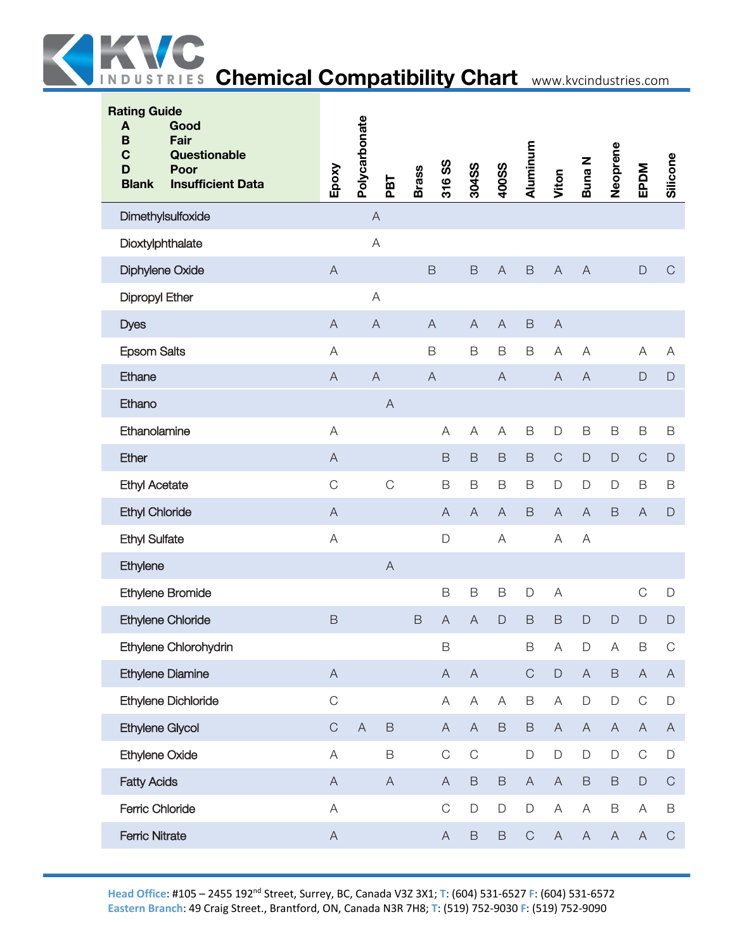

| <b>Rating Guide</b><br>Good<br>A<br>Fair<br>B<br>$\mathbf C$<br>Questionable<br>Poor<br>D<br><b>Blank</b><br><b>Insufficient Data</b> | Epoxy                     | Polycarbonate             | PBT            | <b>Brass</b>   | 316 SS                    | 304SS                     | <b>400SS</b>   | Aluminum     | Viton                     | <b>Buna N</b>             | Neoprene     | EPDM                      | Silicone     |
|---------------------------------------------------------------------------------------------------------------------------------------|---------------------------|---------------------------|----------------|----------------|---------------------------|---------------------------|----------------|--------------|---------------------------|---------------------------|--------------|---------------------------|--------------|
| Dimethylsulfoxide                                                                                                                     |                           | $\boldsymbol{\mathsf{A}}$ |                |                |                           |                           |                |              |                           |                           |              |                           |              |
| Dioxtylphthalate                                                                                                                      |                           | A                         |                |                |                           |                           |                |              |                           |                           |              |                           |              |
| Diphylene Oxide                                                                                                                       | $\overline{A}$            |                           |                |                | $\mathsf B$               | $\mathsf B$               | $\overline{A}$ | $\mathsf B$  | $\boldsymbol{\mathsf{A}}$ | $\overline{A}$            |              | $\mathsf D$               | $\mathsf C$  |
| Dipropyl Ether                                                                                                                        |                           | A                         |                |                |                           |                           |                |              |                           |                           |              |                           |              |
| <b>Dyes</b>                                                                                                                           | $\overline{A}$            | $\overline{A}$            |                |                | $\overline{A}$            | $\overline{A}$            | $\overline{A}$ | $\mathsf B$  | $\overline{A}$            |                           |              |                           |              |
| <b>Epsom Salts</b>                                                                                                                    | A                         |                           |                |                | $\mathsf B$               | $\mathsf B$               | $\mathsf B$    | $\mathsf B$  | A                         | A                         |              | A                         | A            |
| Ethane                                                                                                                                | $\overline{A}$            | $\boldsymbol{\mathsf{A}}$ |                | $\overline{A}$ |                           |                           | $\overline{A}$ |              | $\boldsymbol{\mathsf{A}}$ | $\boldsymbol{\mathsf{A}}$ |              | $\mathsf{D}$              | $\mathsf D$  |
| Ethano                                                                                                                                |                           |                           | $\overline{A}$ |                |                           |                           |                |              |                           |                           |              |                           |              |
| Ethanolamine                                                                                                                          | A                         |                           |                |                | A                         | A                         | A              | $\mathsf B$  | $\mathsf D$               | $\mathsf B$               | $\mathsf B$  | B                         | $\mathsf B$  |
| Ether                                                                                                                                 | $\overline{A}$            |                           |                |                | $\mathsf B$               | $\mathsf B$               | $\mathsf B$    | $\mathsf B$  | $\mathsf C$               | $\mathsf D$               | $\mathsf D$  | $\mathbf C$               | $\Box$       |
| <b>Ethyl Acetate</b>                                                                                                                  | $\mathcal{C}$             |                           | $\mathsf C$    |                | $\mathsf B$               | $\mathsf B$               | $\mathsf B$    | B            | $\mathsf D$               | D                         | $\mathsf D$  | $\mathsf B$               | $\mathsf B$  |
| <b>Ethyl Chloride</b>                                                                                                                 | $\overline{A}$            |                           |                |                | $\overline{A}$            | $\mathsf{A}$              | $\overline{A}$ | $\mathsf B$  | $\overline{A}$            | $\mathsf{A}$              | $\mathsf B$  | $\mathsf{A}$              | $\mathsf D$  |
| <b>Ethyl Sulfate</b>                                                                                                                  | $\overline{A}$            |                           |                |                | $\mathsf{D}$              |                           | A              |              | A                         | A                         |              |                           |              |
| Ethylene                                                                                                                              |                           |                           | $\overline{A}$ |                |                           |                           |                |              |                           |                           |              |                           |              |
| Ethylene Bromide                                                                                                                      |                           |                           |                |                | $\mathsf B$               | $\mathsf B$               | $\mathsf B$    | $\mathsf D$  | A                         |                           |              | $\mathsf C$               | $\mathsf D$  |
| Ethylene Chloride                                                                                                                     | $\mathsf B$               |                           |                | $\mathsf B$    | $\overline{A}$            | A                         | $\mathsf{D}$   | $\mathsf B$  | $\mathsf B$               | $\mathsf{D}$              | $\mathsf{D}$ | $\mathsf{D}$              | $\Box$       |
| Ethylene Chlorohydrin                                                                                                                 |                           |                           |                |                | $\mathsf B$               |                           |                | B            | $\boldsymbol{\mathsf{A}}$ | D                         | Α            | B                         | $\mathsf C$  |
| <b>Ethylene Diamine</b>                                                                                                               | $\overline{A}$            |                           |                |                | $\mathsf{A}$              | $\boldsymbol{\mathsf{A}}$ |                | $\mathsf C$  | $\mathsf D$               | $\mathsf A$               | $\mathsf B$  | $\boldsymbol{\mathsf{A}}$ | $\mathsf{A}$ |
| Ethylene Dichloride                                                                                                                   | $\mathsf C$               |                           |                |                | $\mathsf{A}$              | $\boldsymbol{\mathsf{A}}$ | A              | B            | $\forall$                 | $\mathsf D$               | $\mathsf D$  | $\mathsf C$               | $\mathsf D$  |
| Ethylene Glycol                                                                                                                       | $\mathsf C$               | $\boldsymbol{\mathsf{A}}$ | $\mathsf B$    |                | $\mathsf{A}$              | $\boldsymbol{\mathsf{A}}$ | $\mathsf B$    | $\mathsf B$  | $\mathsf{A}$              | $\boldsymbol{\mathsf{A}}$ | $\mathsf{A}$ | $\mathsf{A}$              | $\mathsf{A}$ |
| <b>Ethylene Oxide</b>                                                                                                                 | A                         |                           | $\mathsf B$    |                | $\mathbf C$               | $\mathsf C$               |                | $\mathsf D$  | $\mathsf D$               | D                         | $\mathsf D$  | $\mathop{\rm C}\nolimits$ | $\mathsf D$  |
| <b>Fatty Acids</b>                                                                                                                    | $\overline{A}$            |                           | $\overline{A}$ |                | $\mathsf{A}$              | $\mathsf B$               | $\mathsf B$    | $\mathsf{A}$ | $\mathsf{A}$              | $\mathsf B$               | $\mathsf B$  | $\mathsf D$               | $\mathsf C$  |
| Ferric Chloride                                                                                                                       | $\mathsf A$               |                           |                |                | $\mathsf C$               | $\mathsf D$               | $\mathsf D$    | $\mathsf D$  | $\mathsf A$               | $\mathsf A$               | $\mathsf B$  | $\mathsf A$               | $\mathsf B$  |
| <b>Ferric Nitrate</b>                                                                                                                 | $\boldsymbol{\mathsf{A}}$ |                           |                |                | $\boldsymbol{\mathsf{A}}$ | $\mathsf B$               | $\mathsf B$    | $\mathsf C$  | $\boldsymbol{\mathsf{A}}$ | $\boldsymbol{\mathsf{A}}$ | $\mathsf{A}$ | A                         | $\mathsf C$  |
|                                                                                                                                       |                           |                           |                |                |                           |                           |                |              |                           |                           |              |                           |              |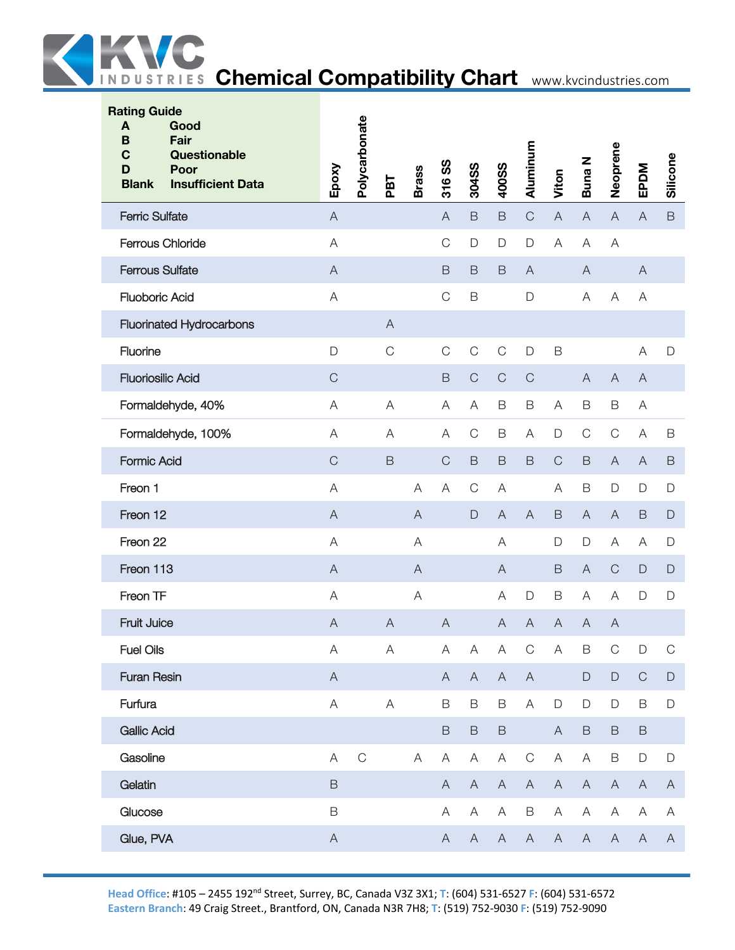

| <b>Rating Guide</b><br>A<br>Good<br>Fair<br>B<br>Questionable<br>C<br>Poor<br>D<br><b>Blank</b><br><b>Insufficient Data</b> | Epoxy                     | Polycarbonate | PBT                       | <b>Brass</b>   | 316 SS         | 304SS                     | <b>400SS</b>              | Aluminum                  | Viton                     | Buna N         | Neoprene                  | EPDM                      | Silicone     |
|-----------------------------------------------------------------------------------------------------------------------------|---------------------------|---------------|---------------------------|----------------|----------------|---------------------------|---------------------------|---------------------------|---------------------------|----------------|---------------------------|---------------------------|--------------|
| <b>Ferric Sulfate</b>                                                                                                       | $\overline{A}$            |               |                           |                | $\overline{A}$ | $\mathsf B$               | $\mathsf B$               | $\mathsf C$               | $\boldsymbol{\mathsf{A}}$ | $\mathsf{A}$   | $\overline{A}$            | $\boldsymbol{\mathsf{A}}$ | $\mathsf B$  |
| <b>Ferrous Chloride</b>                                                                                                     | $\overline{A}$            |               |                           |                | $\mathsf C$    | $\mathsf{D}$              | $\mathsf D$               | $\mathsf{D}$              | $\mathsf{A}$              | A              | A                         |                           |              |
| <b>Ferrous Sulfate</b>                                                                                                      | $\overline{A}$            |               |                           |                | $\mathsf B$    | $\mathsf B$               | $\mathsf B$               | $\overline{A}$            |                           | $\overline{A}$ |                           | $\boldsymbol{\mathsf{A}}$ |              |
| <b>Fluoboric Acid</b>                                                                                                       | $\overline{A}$            |               |                           |                | $\mathsf C$    | $\mathsf B$               |                           | $\mathsf{D}$              |                           | Α              | A                         | Α                         |              |
| <b>Fluorinated Hydrocarbons</b>                                                                                             |                           |               | $\overline{A}$            |                |                |                           |                           |                           |                           |                |                           |                           |              |
| Fluorine                                                                                                                    | D                         |               | $\mathsf C$               |                | $\mathsf C$    | $\mathsf C$               | $\mathsf C$               | $\mathsf{D}$              | $\mathsf B$               |                |                           | $\mathsf A$               | $\mathsf D$  |
| <b>Fluoriosilic Acid</b>                                                                                                    | $\mathsf C$               |               |                           |                | $\mathsf B$    | $\mathsf C$               | $\mathsf C$               | $\mathsf C$               |                           | $\overline{A}$ | $\overline{A}$            | $\mathsf{A}$              |              |
| Formaldehyde, 40%                                                                                                           | A                         |               | A                         |                | A              | A                         | B                         | $\mathsf B$               | A                         | B              | $\mathsf B$               | Α                         |              |
| Formaldehyde, 100%                                                                                                          | A                         |               | Α                         |                | Α              | $\mathbf C$               | $\mathsf B$               | A                         | $\mathsf D$               | $\mathbf C$    | $\mathsf{C}$              | A                         | B            |
| <b>Formic Acid</b>                                                                                                          | $\mathsf C$               |               | $\mathsf B$               |                | $\mathsf{C}$   | $\mathsf B$               | $\mathsf B$               | $\mathsf B$               | $\mathsf C$               | $\mathsf B$    | $\overline{A}$            | A                         | B            |
| Freon 1                                                                                                                     | A                         |               |                           | A              | A              | $\mathbf C$               | A                         |                           | A                         | B              | $\mathsf D$               | D                         | $\mathsf D$  |
| Freon 12                                                                                                                    | $\overline{A}$            |               |                           | $\overline{A}$ |                | $\mathsf{D}%$             | $\overline{A}$            | $\overline{A}$            | $\mathsf B$               | $\overline{A}$ | $\overline{A}$            | $\mathsf B$               | $\mathsf D$  |
| Freon 22                                                                                                                    | A                         |               |                           | A              |                |                           | A                         |                           | $\Box$                    | D              | Α                         | Α                         | $\mathsf D$  |
| Freon 113                                                                                                                   | $\overline{A}$            |               |                           | $\bigwedge$    |                |                           | $\mathsf{A}$              |                           | $\mathsf B$               | $\mathsf{A}$   | $\mathsf{C}$              | $\mathsf{D}%$             | $\Box$       |
| Freon TF                                                                                                                    | $\overline{A}$            |               |                           | $\overline{A}$ |                |                           | A                         | $\mathsf{D}$              | $\mathsf B$               | A              | A                         | $\Box$                    | $\mathsf D$  |
| Fruit Juice                                                                                                                 | $\overline{A}$            |               | $\overline{A}$            |                | $\overline{A}$ |                           | $\overline{A}$            | $\overline{A}$            | $\overline{A}$            | $\mathsf A$    | $\overline{A}$            |                           |              |
| <b>Fuel Oils</b>                                                                                                            | $\forall$                 |               | $\boldsymbol{\mathsf{A}}$ |                | $\mathsf A$    | $\mathsf A$               | $\boldsymbol{\mathsf{A}}$ | $\mathsf C$               | $\boldsymbol{\mathsf{A}}$ | $\mathsf B$    | $\mathsf C$               | $\Box$                    | $\mathsf C$  |
| <b>Furan Resin</b>                                                                                                          | $\overline{A}$            |               |                           |                | $\mathsf{A}$   | $\boldsymbol{\mathsf{A}}$ | $\boldsymbol{\mathsf{A}}$ | $\boldsymbol{\mathsf{A}}$ |                           | $\mathsf D$    | $\mathsf D$               | $\mathsf C$               | $\mathsf D$  |
| Furfura                                                                                                                     | $\boldsymbol{\mathsf{A}}$ |               | $\boldsymbol{\mathsf{A}}$ |                | $\mathsf B$    | $\mathsf B$               | $\mathsf B$               | A                         | $\mathsf D$               | D              | $\mathsf D$               | $\mathsf B$               | $\mathsf D$  |
| <b>Gallic Acid</b>                                                                                                          |                           |               |                           |                | $\mathsf B$    | $\mathsf B$               | $\mathsf B$               |                           | $\mathsf A$               | $\mathsf B$    | $\mathsf B$               | $\, {\sf B}$              |              |
| Gasoline                                                                                                                    | $\mathsf A$               | $\mathsf C$   |                           | $\mathsf A$    | $\mathsf{A}$   | Α                         | Α                         | $\mathsf C$               | $\mathsf A$               | $\mathsf A$    | $\mathsf B$               | $\mathsf D$               | $\mathsf D$  |
| Gelatin                                                                                                                     | $\mathsf B$               |               |                           |                | $\mathsf{A}$   | $\mathsf A$               | $\mathsf{A}$              | $\mathsf A$               | $\boldsymbol{\mathsf{A}}$ | $\mathsf A$    | $\boldsymbol{\mathsf{A}}$ | $\boldsymbol{\mathsf{A}}$ | $\mathsf{A}$ |
| Glucose                                                                                                                     | $\mathsf B$               |               |                           |                | A              | $\mathsf A$               | A                         | $\mathsf B$               | $\mathsf A$               | $\mathsf A$    | $\boldsymbol{\mathsf{A}}$ | A                         | $\mathsf A$  |
| Glue, PVA                                                                                                                   | $\overline{A}$            |               |                           |                | $\mathsf{A}$   | $\mathsf{A}$              | $\boldsymbol{\mathsf{A}}$ | $\mathsf A$               | $\boldsymbol{\mathsf{A}}$ | $\mathsf{A}$   | $\boldsymbol{\mathsf{A}}$ | $\mathsf A$               | A            |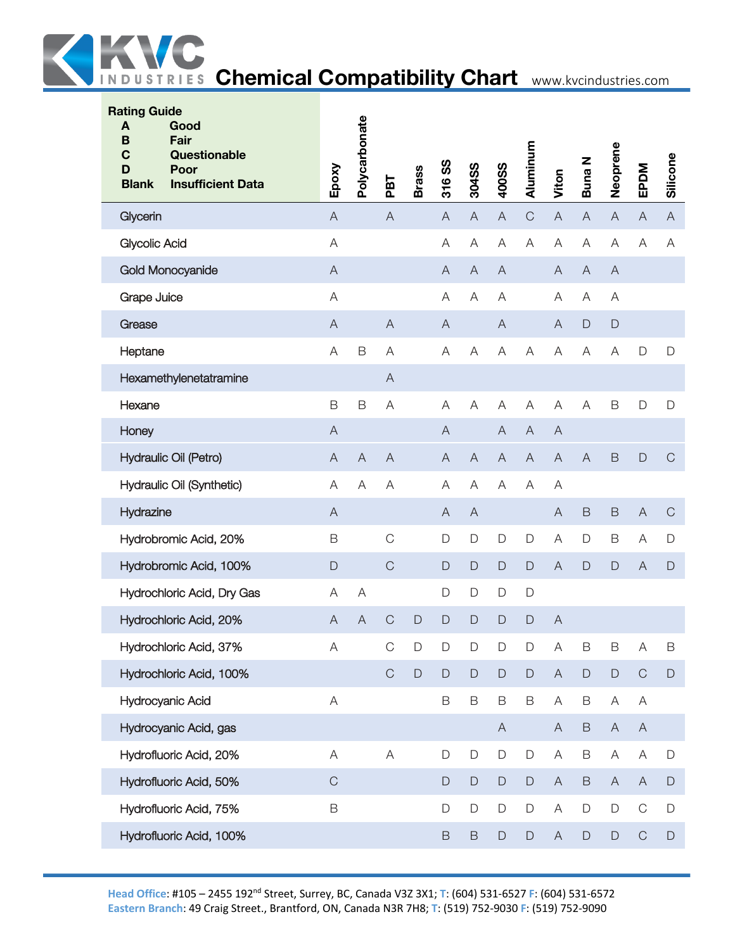

| <b>Rating Guide</b><br>A<br>Good<br>B<br>Fair<br>$\mathbf c$<br>Questionable<br>D<br>Poor<br><b>Insufficient Data</b><br><b>Blank</b> | Epoxy                     | Polycarbonate             | PBT                       | <b>Brass</b> | SS<br>316                 | 304SS                     | 400SS                     | Aluminum                  | Viton                     | Buna N                    | Neoprene                  | EPDM                      | Silicone       |
|---------------------------------------------------------------------------------------------------------------------------------------|---------------------------|---------------------------|---------------------------|--------------|---------------------------|---------------------------|---------------------------|---------------------------|---------------------------|---------------------------|---------------------------|---------------------------|----------------|
| Glycerin                                                                                                                              | $\boldsymbol{\mathsf{A}}$ |                           | $\boldsymbol{\mathsf{A}}$ |              | $\boldsymbol{\mathsf{A}}$ | $\boldsymbol{\mathsf{A}}$ | $\boldsymbol{\mathsf{A}}$ | $\mathsf C$               | $\boldsymbol{\mathsf{A}}$ | $\boldsymbol{\mathsf{A}}$ | $\boldsymbol{\mathsf{A}}$ | $\boldsymbol{\mathsf{A}}$ | $\overline{A}$ |
| <b>Glycolic Acid</b>                                                                                                                  | $\mathsf A$               |                           |                           |              | A                         | $\mathsf{A}$              | A                         | A                         | $\overline{A}$            | $\boldsymbol{\mathsf{A}}$ | $\overline{A}$            | A                         | A              |
| <b>Gold Monocyanide</b>                                                                                                               | $\boldsymbol{\mathsf{A}}$ |                           |                           |              | $\overline{A}$            | $\boldsymbol{\mathsf{A}}$ | $\boldsymbol{\mathsf{A}}$ |                           | $\boldsymbol{\mathsf{A}}$ | $\overline{A}$            | $\boldsymbol{\mathsf{A}}$ |                           |                |
| Grape Juice                                                                                                                           | $\mathsf A$               |                           |                           |              | A                         | A                         | A                         |                           | A                         | Α                         | Α                         |                           |                |
| Grease                                                                                                                                | $\boldsymbol{\mathsf{A}}$ |                           | $\overline{A}$            |              | $\overline{A}$            |                           | $\boldsymbol{\mathsf{A}}$ |                           | $\boldsymbol{\mathsf{A}}$ | $\mathsf D$               | $\mathsf{D}%$             |                           |                |
| Heptane                                                                                                                               | A                         | B                         | A                         |              | A                         | A                         | A                         | A                         | $\mathsf A$               | A                         | $\overline{A}$            | D                         | $\mathsf D$    |
| Hexamethylenetatramine                                                                                                                |                           |                           | $\boldsymbol{\mathsf{A}}$ |              |                           |                           |                           |                           |                           |                           |                           |                           |                |
| Hexane                                                                                                                                | $\mathsf B$               | B                         | A                         |              | A                         | A                         | A                         | A                         | A                         | $\overline{A}$            | $\mathsf B$               | D                         | $\mathsf D$    |
| Honey                                                                                                                                 | $\mathsf A$               |                           |                           |              | $\boldsymbol{\mathsf{A}}$ |                           | $\boldsymbol{\mathsf{A}}$ | $\overline{A}$            | $\overline{A}$            |                           |                           |                           |                |
| Hydraulic Oil (Petro)                                                                                                                 | $\overline{A}$            | $\overline{A}$            | $\boldsymbol{\mathsf{A}}$ |              | $\overline{A}$            | $\overline{A}$            | $\boldsymbol{\mathsf{A}}$ | $\boldsymbol{\mathsf{A}}$ | $\boldsymbol{\mathsf{A}}$ | $\overline{A}$            | $\mathsf B$               | $\mathsf{D}$              | $\mathsf C$    |
| Hydraulic Oil (Synthetic)                                                                                                             | $\mathsf A$               | A                         | A                         |              | $\overline{A}$            | A                         | A                         | A                         | A                         |                           |                           |                           |                |
| Hydrazine                                                                                                                             | $\boldsymbol{\mathsf{A}}$ |                           |                           |              | $\overline{A}$            | $\mathsf{A}$              |                           |                           | $\mathsf A$               | $\mathsf B$               | $\mathsf B$               | $\boldsymbol{\mathsf{A}}$ | $\mathsf C$    |
| Hydrobromic Acid, 20%                                                                                                                 | $\mathsf B$               |                           | $\mathsf C$               |              | $\mathsf{D}$              | $\mathsf D$               | D                         | $\mathsf D$               | $\mathsf A$               | $\mathsf D$               | $\mathsf B$               | A                         | $\mathsf D$    |
| Hydrobromic Acid, 100%                                                                                                                | $\mathsf D$               |                           | $\mathsf C$               |              | $\mathsf D$               | $\mathsf D$               | $\mathsf D$               | $\mathsf D$               | $\boldsymbol{\mathsf{A}}$ | $\mathsf{D}%$             | $\mathsf{D}$              | $\boldsymbol{\mathsf{A}}$ | $\mathsf{D}$   |
| Hydrochloric Acid, Dry Gas                                                                                                            | A                         | A                         |                           |              | $\mathsf{D}%$             | $\mathsf D$               | D                         | $\mathsf D$               |                           |                           |                           |                           |                |
| Hydrochloric Acid, 20%                                                                                                                | $\mathsf{A}$              | $\boldsymbol{\mathsf{A}}$ | $\mathsf C$               | $\mathsf{D}$ | $\mathsf D$               | $\mathsf D$               | $\mathsf D$               | $\mathsf{D}$              | A                         |                           |                           |                           |                |
| Hydrochloric Acid, 37%                                                                                                                | $\mathsf A$               |                           | $\mathsf{C}$              | $\Box$       | $\Box$                    | $\Box$                    | $\Box$                    | $\Box$                    | $\boldsymbol{\mathsf{A}}$ | $\mathsf B$               | $\mathsf B$               | Α                         | В              |
| Hydrochloric Acid, 100%                                                                                                               |                           |                           | $\mathsf C$               | $\mathsf D$  | $\mathsf D$               | $\mathsf{D}%$             | $\mathsf D$               | $\mathsf D$               | $\mathsf A$               | $\mathsf D$               | $\mathsf D$               | $\mathsf C$               | $\mathsf D$    |
| Hydrocyanic Acid                                                                                                                      | $\mathsf A$               |                           |                           |              | B                         | B                         | $\mathsf B$               | $\mathsf B$               | $\mathsf A$               | B                         | Α                         | Α                         |                |
| Hydrocyanic Acid, gas                                                                                                                 |                           |                           |                           |              |                           |                           | A                         |                           | A                         | $\mathsf B$               | $\mathsf{A}$              | $\mathsf{A}$              |                |
| Hydrofluoric Acid, 20%                                                                                                                | $\mathsf A$               |                           | $\mathsf A$               |              | $\mathsf D$               | $\mathsf D$               | D                         | $\mathsf D$               | $\mathsf A$               | $\mathsf B$               | A                         | A                         | $\mathsf D$    |
| Hydrofluoric Acid, 50%                                                                                                                | $\mathsf C$               |                           |                           |              | D                         | $\mathsf D$               | $\mathsf D$               | $\mathsf D$               | $\boldsymbol{\mathsf{A}}$ | $\mathsf B$               | $\boldsymbol{\mathsf{A}}$ | $\mathsf{A}$              | $\mathsf{D}%$  |
| Hydrofluoric Acid, 75%                                                                                                                | $\mathsf B$               |                           |                           |              | $\mathsf D$               | $\mathsf D$               | D                         | $\mathsf D$               | $\mathsf A$               | $\mathsf D$               | $\mathsf D$               | $\mathbf C$               | D              |
| Hydrofluoric Acid, 100%                                                                                                               |                           |                           |                           |              | $\mathsf B$               | $\mathsf B$               | $\mathsf D$               | $\mathsf D$               | $\mathsf A$               | $\mathsf D$               | $\mathsf D$               | $\mathbf C$               | $\mathsf D$    |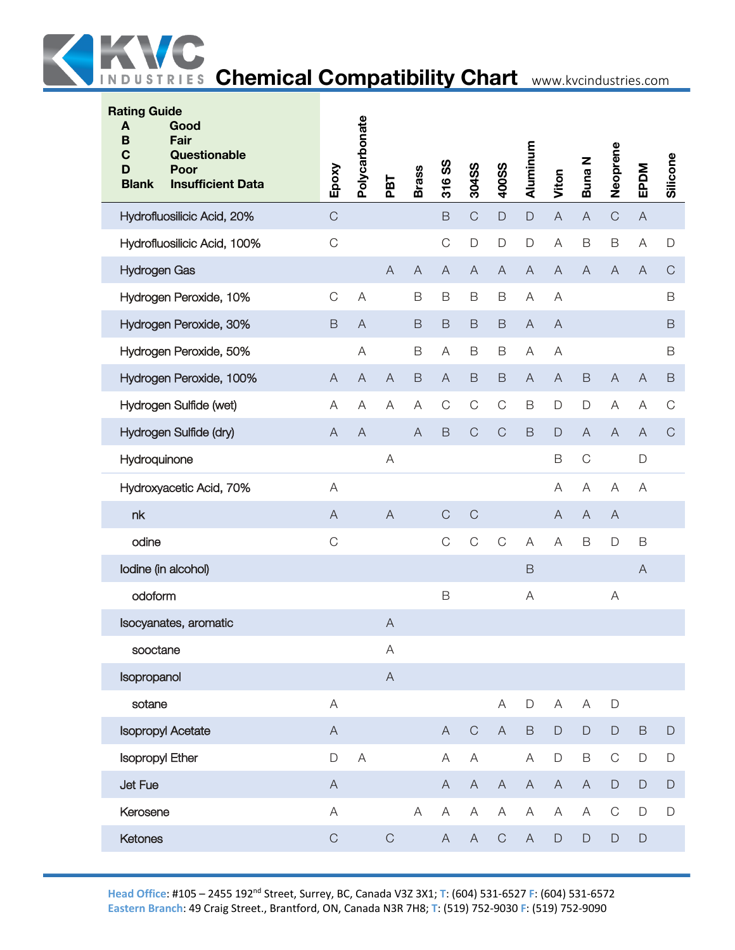

| <b>Rating Guide</b><br>A<br>B<br>C<br>D<br><b>Blank</b> | Good<br>Fair<br>Questionable<br>Poor<br><b>Insufficient Data</b> | Epoxy                     | Polycarbonate | PBT            | <b>Brass</b>   | 316 SS                    | 304SS          | 400SS        | Aluminum     | Viton                     | <b>Buna N</b>  | Neoprene       | EPDM           | Silicone     |
|---------------------------------------------------------|------------------------------------------------------------------|---------------------------|---------------|----------------|----------------|---------------------------|----------------|--------------|--------------|---------------------------|----------------|----------------|----------------|--------------|
|                                                         | Hydrofluosilicic Acid, 20%                                       | $\mathsf C$               |               |                |                | $\mathsf B$               | $\mathsf C$    | $\mathsf D$  | $\mathsf D$  | $\mathsf{A}$              | $\overline{A}$ | $\mathsf C$    | $\mathsf{A}$   |              |
|                                                         | Hydrofluosilicic Acid, 100%                                      | $\mathsf C$               |               |                |                | $\mathsf C$               | $\mathsf{D}$   | D            | $\mathsf D$  | $\mathsf A$               | $\mathsf B$    | $\mathsf B$    | Α              | $\mathsf{D}$ |
| <b>Hydrogen Gas</b>                                     |                                                                  |                           |               | $\overline{A}$ | $\overline{A}$ | $\boldsymbol{\mathsf{A}}$ | $\overline{A}$ | $\mathsf A$  | $\mathsf{A}$ | $\boldsymbol{\mathsf{A}}$ | $\overline{A}$ | $\overline{A}$ | A              | $\mathsf C$  |
|                                                         | Hydrogen Peroxide, 10%                                           | $\mathsf C$               | A             |                | B              | $\mathsf B$               | $\mathsf B$    | $\mathsf B$  | A            | A                         |                |                |                | B            |
|                                                         | Hydrogen Peroxide, 30%                                           | $\mathsf B$               | $\mathsf{A}$  |                | $\mathsf B$    | $\mathsf B$               | $\mathsf B$    | $\mathsf B$  | $\mathsf{A}$ | $\mathsf{A}$              |                |                |                | $\mathsf B$  |
|                                                         | Hydrogen Peroxide, 50%                                           |                           | A             |                | B              | A                         | $\mathsf B$    | B            | A            | A                         |                |                |                | B            |
|                                                         | Hydrogen Peroxide, 100%                                          | $\overline{A}$            | $\mathsf{A}$  | $\mathsf{A}$   | $\mathsf B$    | $\mathsf{A}$              | $\mathsf B$    | B            | $\mathsf{A}$ | $\mathsf{A}$              | $\mathsf B$    | $\overline{A}$ | $\overline{A}$ | $\mathsf B$  |
|                                                         | Hydrogen Sulfide (wet)                                           | A                         | Α             | Α              | A              | $\mathsf C$               | $\mathsf C$    | $\mathsf C$  | $\mathsf B$  | D                         | $\mathsf{D}%$  | A              | Α              | C            |
|                                                         | Hydrogen Sulfide (dry)                                           | A                         | $\mathsf{A}$  |                | $\overline{A}$ | $\mathsf B$               | $\mathsf C$    | $\mathsf C$  | $\mathsf B$  | $\mathsf D$               | $\overline{A}$ | $\mathsf{A}$   | A              | $\mathbf C$  |
| Hydroquinone                                            |                                                                  |                           |               | A              |                |                           |                |              |              | B                         | $\mathsf C$    |                | $\mathsf{D}$   |              |
|                                                         | Hydroxyacetic Acid, 70%                                          | A                         |               |                |                |                           |                |              |              | A                         | $\forall$      | A              | Α              |              |
| nk                                                      |                                                                  | $\overline{A}$            |               | $\overline{A}$ |                | $\mathsf C$               | $\mathsf C$    |              |              | $\overline{A}$            | $\overline{A}$ | $\mathsf{A}$   |                |              |
| odine                                                   |                                                                  | $\mathsf{C}$              |               |                |                | $\mathsf C$               | $\mathsf C$    | $\mathbf C$  | A            | A                         | $\mathsf B$    | D              | $\mathsf B$    |              |
|                                                         | lodine (in alcohol)                                              |                           |               |                |                |                           |                |              | $\mathsf B$  |                           |                |                | $\mathsf{A}$   |              |
| odoform                                                 |                                                                  |                           |               |                |                | B                         |                |              | A            |                           |                | A              |                |              |
|                                                         | Isocyanates, aromatic                                            |                           |               | $\bigwedge$    |                |                           |                |              |              |                           |                |                |                |              |
| sooctane                                                |                                                                  |                           |               | A              |                |                           |                |              |              |                           |                |                |                |              |
| Isopropanol                                             |                                                                  |                           |               | $\mathsf A$    |                |                           |                |              |              |                           |                |                |                |              |
| sotane                                                  |                                                                  | $\forall$                 |               |                |                |                           |                | A            | $\mathsf D$  | A                         | A              | $\mathsf D$    |                |              |
|                                                         | <b>Isopropyl Acetate</b>                                         | $\boldsymbol{\mathsf{A}}$ |               |                |                | $\mathsf{A}$              | $\mathsf C$    | $\mathsf{A}$ | $\mathsf B$  | $\mathsf D$               | $\mathsf D$    | $\mathsf D$    | $\mathsf B$    | $\mathsf D$  |
| <b>Isopropyl Ether</b>                                  |                                                                  | D                         | A             |                |                | A                         | A              |              | A            | $\mathsf D$               | $\mathsf B$    | $\mathsf C$    | $\mathsf D$    | D            |
| Jet Fue                                                 |                                                                  | $\mathsf{A}$              |               |                |                | A                         | $\mathsf{A}$   | $\mathsf{A}$ | $\mathsf{A}$ | $\mathsf{A}$              | $\mathsf{A}$   | $\mathsf D$    | $\mathsf{D}%$  | $\mathsf D$  |
| Kerosene                                                |                                                                  | $\forall$                 |               |                | $\forall$      | A                         | A              | Α            | A            | A                         | A              | $\mathbf C$    | $\mathsf{D}$   | D            |
| Ketones                                                 |                                                                  | $\mathsf C$               |               | $\mathsf C$    |                | $\mathsf{A}$              | $\mathsf{A}$   | $\mathbf C$  | $\mathsf{A}$ | $\mathsf D$               | $\mathsf D$    | $\mathsf D$    | $\mathsf{D}$   |              |
|                                                         |                                                                  |                           |               |                |                |                           |                |              |              |                           |                |                |                |              |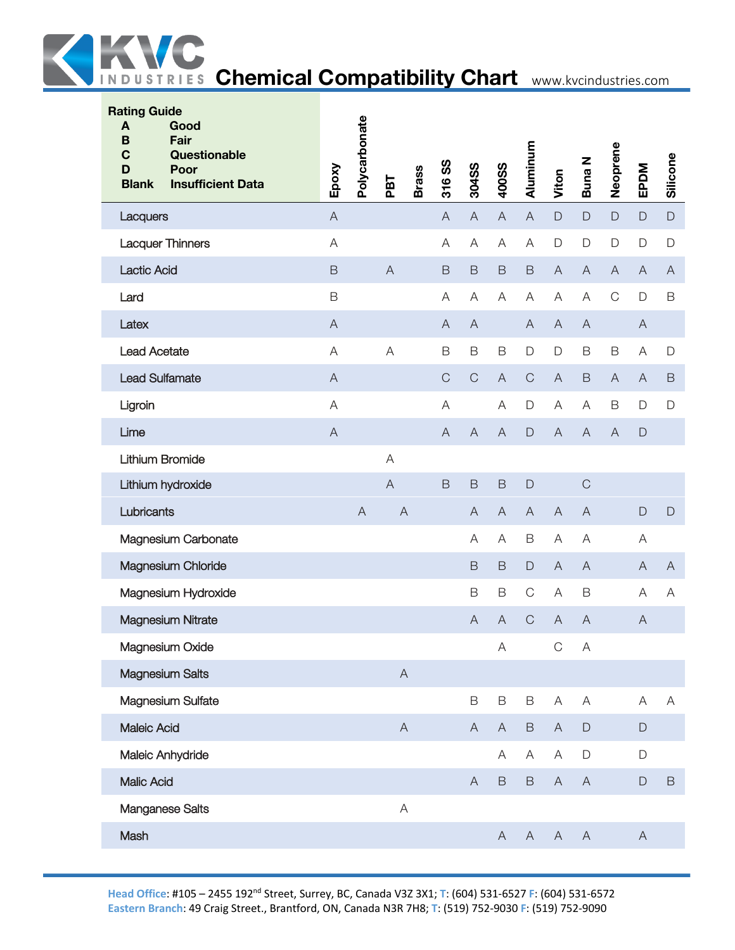

| <b>Rating Guide</b><br>Good<br>A<br><b>Fair</b><br>B<br>Questionable<br>C<br>Poor<br>D<br><b>Blank</b><br><b>Insufficient Data</b> | Epoxy          | Polycarbonate | PBT            | <b>Brass</b> | 316 SS         | 304SS                     | <b>400SS</b>   | Aluminum     | Viton                     | <b>Buna N</b>             | Neoprene                  | EPDM           | Silicone       |
|------------------------------------------------------------------------------------------------------------------------------------|----------------|---------------|----------------|--------------|----------------|---------------------------|----------------|--------------|---------------------------|---------------------------|---------------------------|----------------|----------------|
| Lacquers                                                                                                                           | $\overline{A}$ |               |                |              | $\overline{A}$ | $\boldsymbol{\mathsf{A}}$ | $\overline{A}$ | $\mathsf A$  | $\mathsf D$               | $\mathsf D$               | $\mathsf D$               | $\Box$         | $\mathsf D$    |
| <b>Lacquer Thinners</b>                                                                                                            | A              |               |                |              | A              | A                         | A              | A            | $\mathsf D$               | $\mathsf{D}%$             | $\mathsf D$               | $\mathsf D$    | D              |
| <b>Lactic Acid</b>                                                                                                                 | $\mathsf B$    |               | $\overline{A}$ |              | $\mathsf B$    | $\mathsf B$               | $\mathsf B$    | $\mathsf B$  | $\overline{A}$            | $\mathsf A$               | $\boldsymbol{\mathsf{A}}$ | $\overline{A}$ | $\overline{A}$ |
| Lard                                                                                                                               | B              |               |                |              | $\mathsf{A}$   | $\mathsf{A}$              | A              | A            | A                         | $\overline{A}$            | $\mathsf C$               | $\mathsf D$    | $\mathsf B$    |
| Latex                                                                                                                              | $\mathsf{A}$   |               |                |              | A              | $\overline{A}$            |                | $\mathsf{A}$ | $\mathsf{A}$              | $\mathsf{A}$              |                           | $\mathsf{A}$   |                |
| <b>Lead Acetate</b>                                                                                                                | A              |               | A              |              | $\mathsf B$    | $\mathsf B$               | B              | $\mathsf D$  | $\mathsf D$               | $\mathsf B$               | $\mathsf B$               | A              | $\mathsf D$    |
| <b>Lead Sulfamate</b>                                                                                                              | $\overline{A}$ |               |                |              | $\mathsf{C}$   | $\mathsf C$               | $\overline{A}$ | $\mathsf C$  | $\overline{A}$            | $\mathsf B$               | $\boldsymbol{\mathsf{A}}$ | $\overline{A}$ | $\mathsf B$    |
| Ligroin                                                                                                                            | $\forall$      |               |                |              | A              |                           | A              | D            | A                         | A                         | $\mathsf B$               | $\mathsf D$    | D              |
| Lime                                                                                                                               | $\overline{A}$ |               |                |              | $\overline{A}$ | $\overline{A}$            | A              | $\mathsf D$  | $\overline{A}$            | A                         | $\overline{A}$            | $\mathsf{D}$   |                |
| <b>Lithium Bromide</b>                                                                                                             |                |               | A              |              |                |                           |                |              |                           |                           |                           |                |                |
| Lithium hydroxide                                                                                                                  |                |               | $\overline{A}$ |              | $\mathsf B$    | $\mathsf B$               | $\mathsf B$    | $\Box$       |                           | $\mathsf{C}$              |                           |                |                |
| Lubricants                                                                                                                         |                | $\mathsf{A}$  | $\overline{A}$ |              |                | $\overline{A}$            | $\mathsf{A}$   | $\mathsf{A}$ | $\overline{A}$            | $\overline{A}$            |                           | $\mathsf D$    | $\mathsf D$    |
| Magnesium Carbonate                                                                                                                |                |               |                |              |                | A                         | Α              | $\mathsf B$  | A                         | A                         |                           | A              |                |
| Magnesium Chloride                                                                                                                 |                |               |                |              |                | $\mathsf B$               | $\mathsf B$    | $\mathsf D$  | $\overline{A}$            | $\overline{A}$            |                           | $\overline{A}$ | $\mathsf{A}$   |
| Magnesium Hydroxide                                                                                                                |                |               |                |              |                | $\mathsf B$               | B              | $\mathsf C$  | A                         | B                         |                           | A              | A              |
| <b>Magnesium Nitrate</b>                                                                                                           |                |               |                |              |                | $\overline{A}$            | A              | $\mathsf C$  | $\overline{A}$            | A                         |                           | A              |                |
| <b>Magnesium Oxide</b>                                                                                                             |                |               |                |              |                |                           | A              |              | C                         | A                         |                           |                |                |
| <b>Magnesium Salts</b>                                                                                                             |                |               | $\mathsf A$    |              |                |                           |                |              |                           |                           |                           |                |                |
| Magnesium Sulfate                                                                                                                  |                |               |                |              |                | $\mathsf B$               | B              | B            | $\boldsymbol{\mathsf{A}}$ | $\mathsf A$               |                           | A              | A              |
| <b>Maleic Acid</b>                                                                                                                 |                |               | $\mathsf{A}$   |              |                | $\mathsf{A}$              | A              | $\mathsf B$  | $\mathsf{A}$              | $\mathsf{D}%$             |                           | $\Box$         |                |
| Maleic Anhydride                                                                                                                   |                |               |                |              |                |                           | A              | Α            | Α                         | $\mathsf{D}%$             |                           | $\mathsf D$    |                |
| <b>Malic Acid</b>                                                                                                                  |                |               |                |              |                | $\overline{A}$            | $\mathsf B$    | $\mathsf B$  | $\mathsf{A}$              | $\mathsf{A}$              |                           | $\mathsf D$    | $\mathsf B$    |
| Manganese Salts                                                                                                                    |                |               | $\overline{A}$ |              |                |                           |                |              |                           |                           |                           |                |                |
| Mash                                                                                                                               |                |               |                |              |                |                           | $\mathsf{A}$   | $\mathsf{A}$ | $\mathsf{A}$              | $\boldsymbol{\mathsf{A}}$ |                           | $\mathsf{A}$   |                |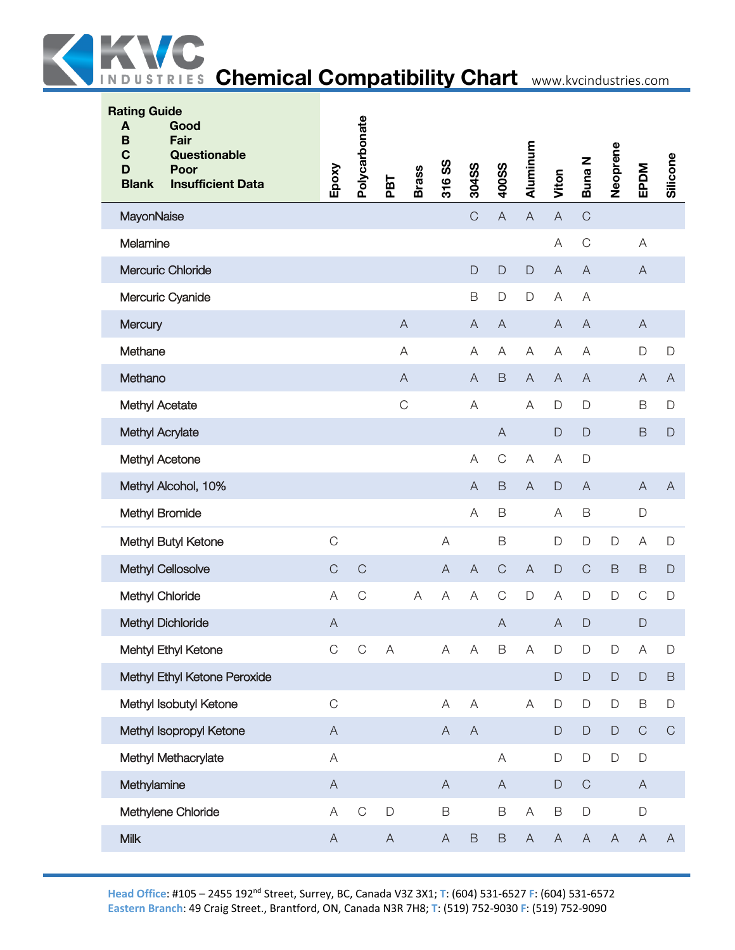

| <b>Rating Guide</b><br>A<br>Good<br><b>Fair</b><br>B<br>$\mathbf C$<br>Questionable |                                                                                                        | Polycarbonate |                           |              |                           |                           |                |                           |                           |                |                           |                           |              |
|-------------------------------------------------------------------------------------|--------------------------------------------------------------------------------------------------------|---------------|---------------------------|--------------|---------------------------|---------------------------|----------------|---------------------------|---------------------------|----------------|---------------------------|---------------------------|--------------|
| Poor<br>D<br><b>Blank</b><br><b>Insufficient Data</b>                               | Epoxy                                                                                                  |               | PBT                       | <b>Brass</b> | 316 SS                    | 304SS                     | 400SS          | Aluminum                  | Viton                     | Buna N         | Neoprene                  | EPDM                      | Silicone     |
| MayonNaise                                                                          |                                                                                                        |               |                           |              |                           | $\mathsf C$               | $\mathsf{A}$   | $\overline{A}$            | $\mathsf A$               | $\mathsf C$    |                           |                           |              |
| Melamine                                                                            |                                                                                                        |               |                           |              |                           |                           |                |                           | A                         | $\mathsf C$    |                           | A                         |              |
| Mercuric Chloride                                                                   |                                                                                                        |               |                           |              |                           | $\mathsf{D}%$             | $\mathsf D$    | $\mathsf D$               | $\mathsf A$               | $\overline{A}$ |                           | $\overline{A}$            |              |
| Mercuric Cyanide                                                                    |                                                                                                        |               |                           |              |                           | $\mathsf B$               | D              | $\mathsf{D}$              | A                         | A              |                           |                           |              |
| Mercury                                                                             |                                                                                                        |               |                           | $\mathsf{A}$ |                           | $\mathsf{A}$              | $\overline{A}$ |                           | $\mathsf{A}$              | $\overline{A}$ |                           | $\overline{A}$            |              |
| Methane                                                                             |                                                                                                        |               |                           | $\mathsf{A}$ |                           | A                         | Α              | A                         | A                         | A              |                           | $\mathsf D$               | $\mathsf{D}$ |
| Methano                                                                             |                                                                                                        |               |                           | $\mathsf A$  |                           | $\overline{A}$            | $\mathsf B$    | $\overline{A}$            | $\boldsymbol{\mathsf{A}}$ | $\overline{A}$ |                           | $\mathsf{A}$              | $\mathsf{A}$ |
| Methyl Acetate                                                                      |                                                                                                        |               |                           | $\mathsf C$  |                           | A                         |                | A                         | D                         | $\mathsf{D}%$  |                           | B                         | $\mathsf{D}$ |
| Methyl Acrylate                                                                     |                                                                                                        |               |                           |              |                           |                           | $\mathsf{A}$   |                           | $\mathsf D$               | $\Box$         |                           | $\mathsf B$               | $\mathsf D$  |
| Methyl Acetone                                                                      |                                                                                                        |               |                           |              |                           | A                         | $\mathsf C$    | A                         | A                         | $\mathsf{D}%$  |                           |                           |              |
| Methyl Alcohol, 10%                                                                 |                                                                                                        |               |                           |              |                           | $\overline{A}$            | $\mathsf B$    | $\overline{A}$            | $\mathsf{D}$              | $\overline{A}$ |                           | $\overline{A}$            | $\mathsf{A}$ |
| Methyl Bromide                                                                      |                                                                                                        |               |                           |              |                           | A                         | $\mathsf B$    |                           | A                         | $\mathsf B$    |                           | D                         |              |
| Methyl Butyl Ketone                                                                 | $\mathsf C$                                                                                            |               |                           |              | $\overline{A}$            |                           | $\mathsf B$    |                           | D                         | $\mathsf D$    | D                         | Α                         | $\mathsf{D}$ |
| <b>Methyl Cellosolve</b>                                                            | $\mathsf C$                                                                                            | $\mathsf C$   |                           |              | $\overline{A}$            | $\mathsf{A}$              | $\mathsf C$    | $\mathsf{A}$              | $\mathsf D$               | $\mathsf C$    | $\mathsf B$               | B                         | $\Box$       |
| Methyl Chloride                                                                     | A                                                                                                      | $\mathsf C$   |                           | A            | $\mathsf{A}$              | A                         | $\mathsf C$    | $\mathsf D$               | A                         | $\mathsf D$    | D                         | $\mathsf C$               | $\mathsf D$  |
| <b>Methyl Dichloride</b>                                                            | $\boldsymbol{\mathsf{A}}$                                                                              |               |                           |              |                           |                           | $\overline{A}$ |                           | $\forall$                 | $\mathsf{D}%$  |                           | $\mathsf D$               |              |
| Mehtyl Ethyl Ketone                                                                 | $\mathsf C$                                                                                            | $\mathsf C$   | $\boldsymbol{\mathsf{A}}$ |              | A                         | $\overline{A}$            | $\mathsf B$    | $\boldsymbol{\mathsf{A}}$ | $\mathsf{D}%$             | $\mathsf D$    | $\mathsf D$               | A                         | D            |
| Methyl Ethyl Ketone Peroxide                                                        |                                                                                                        |               |                           |              |                           |                           |                |                           | $\mathsf D$               | $\mathsf D$    | $\mathsf D$               | $\mathsf D$               | $\mathsf B$  |
| Methyl Isobutyl Ketone                                                              | $\mathsf C$                                                                                            |               |                           |              | A                         | $\mathsf A$               |                | A                         | $\mathsf D$               | $\mathsf D$    | $\mathsf D$               | $\mathsf B$               | $\mathsf D$  |
| Methyl Isopropyl Ketone                                                             | $\mathsf A$                                                                                            |               |                           |              | $\boldsymbol{\mathsf{A}}$ | $\boldsymbol{\mathsf{A}}$ |                |                           | $\mathsf D$               | $\mathsf D$    | $\mathsf D$               | $\mathsf C$               | $\mathsf C$  |
| Methyl Methacrylate                                                                 | $\mathsf{A}% _{\mathsf{A}}^{\prime}=\mathsf{A}_{\mathsf{A}}^{\prime}=\mathsf{A}_{\mathsf{A}}^{\prime}$ |               |                           |              |                           |                           | A              |                           | D                         | $\mathsf D$    | $\mathsf D$               | $\mathsf D$               |              |
| Methylamine                                                                         | $\mathsf A$                                                                                            |               |                           |              | $\mathsf{A}$              |                           | $\mathsf{A}$   |                           | D                         | $\mathsf C$    |                           | $\mathsf{A}$              |              |
| Methylene Chloride                                                                  | A                                                                                                      | $\mathsf C$   | $\mathsf{D}$              |              | $\mathsf B$               |                           | $\mathsf B$    | $\boldsymbol{\mathsf{A}}$ | $\mathsf B$               | $\mathsf D$    |                           | $\mathsf D$               |              |
| Milk                                                                                | $\mathsf A$                                                                                            |               | $\mathsf A$               |              | $\mathsf A$               | $\mathsf B$               | $\mathsf B$    | $\boldsymbol{\mathsf{A}}$ | $\mathsf A$               | $\mathsf A$    | $\boldsymbol{\mathsf{A}}$ | $\boldsymbol{\mathsf{A}}$ | $\mathsf{A}$ |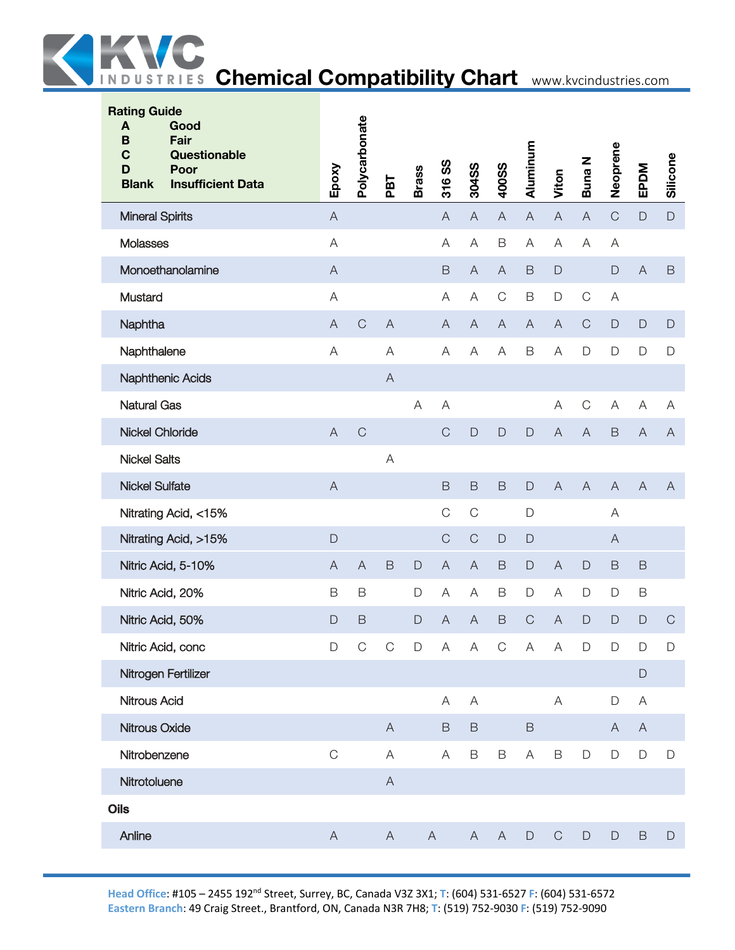

| <b>Rating Guide</b><br>A<br>Good<br>Fair<br>B<br>C<br>Questionable<br>Poor<br>D<br><b>Blank</b><br><b>Insufficient Data</b> | Epoxy                     | Polycarbonate             | PBT            | <b>Brass</b> | 316 SS                    | 304SS                     | 400SS                     | Aluminum       | Viton          | Buna N                    | Neoprene                  | EPDM                      | Silicone       |
|-----------------------------------------------------------------------------------------------------------------------------|---------------------------|---------------------------|----------------|--------------|---------------------------|---------------------------|---------------------------|----------------|----------------|---------------------------|---------------------------|---------------------------|----------------|
| <b>Mineral Spirits</b>                                                                                                      | $\boldsymbol{\mathsf{A}}$ |                           |                |              | $\overline{A}$            | $\boldsymbol{\mathsf{A}}$ | $\overline{A}$            | $\overline{A}$ | $\mathsf A$    | $\boldsymbol{\mathsf{A}}$ | $\mathsf C$               | $\mathsf{D}$              | $\mathsf D$    |
| Molasses                                                                                                                    | $\overline{A}$            |                           |                |              | $\overline{A}$            | $\boldsymbol{\mathsf{A}}$ | $\mathsf B$               | A              | $\mathsf A$    | $\mathsf{A}$              | $\boldsymbol{\mathsf{A}}$ |                           |                |
| Monoethanolamine                                                                                                            | $\overline{A}$            |                           |                |              | $\mathsf B$               | $\mathsf A$               | $\overline{A}$            | $\mathsf B$    | $\mathsf{D}$   |                           | $\mathsf{D}$              | $\overline{A}$            | $\mathsf B$    |
| Mustard                                                                                                                     | $\overline{A}$            |                           |                |              | A                         | A                         | $\mathsf C$               | $\mathsf B$    | D              | $\mathbf C$               | A                         |                           |                |
| Naphtha                                                                                                                     | $\boldsymbol{\mathsf{A}}$ | $\mathsf{C}$              | $\overline{A}$ |              | $\mathsf{A}$              | $\boldsymbol{\mathsf{A}}$ | $\boldsymbol{\mathsf{A}}$ | $\mathsf{A}$   | $\overline{A}$ | $\mathsf C$               | $\mathsf D$               | $\mathsf{D}$              | $\mathsf{D}%$  |
| Naphthalene                                                                                                                 | $\overline{A}$            |                           | A              |              | $\forall$                 | $\mathsf A$               | $\mathsf A$               | $\mathsf B$    | $\mathsf A$    | $\mathsf D$               | $\mathsf D$               | D                         | $\mathsf D$    |
| <b>Naphthenic Acids</b>                                                                                                     |                           |                           | $\overline{A}$ |              |                           |                           |                           |                |                |                           |                           |                           |                |
| Natural Gas                                                                                                                 |                           |                           |                | $\mathsf A$  | A                         |                           |                           |                | $\mathsf A$    | $\mathsf C$               | A                         | Α                         | A              |
| <b>Nickel Chloride</b>                                                                                                      | $\overline{A}$            | $\mathsf C$               |                |              | $\mathsf C$               | $\mathsf{D}$              | $\mathsf{D}$              | $\mathsf D$    | $\overline{A}$ | $\overline{A}$            | $\mathsf B$               | $\boldsymbol{\mathsf{A}}$ | $\mathsf{A}$   |
| <b>Nickel Salts</b>                                                                                                         |                           |                           | $\overline{A}$ |              |                           |                           |                           |                |                |                           |                           |                           |                |
| <b>Nickel Sulfate</b>                                                                                                       | $\overline{A}$            |                           |                |              | $\mathsf B$               | $\mathsf B$               | $\mathsf B$               | $\mathsf D$    | $\overline{A}$ | $\overline{A}$            | $\overline{A}$            | $\overline{A}$            | $\overline{A}$ |
| Nitrating Acid, <15%                                                                                                        |                           |                           |                |              | $\mathsf C$               | $\mathsf C$               |                           | $\mathsf D$    |                |                           | A                         |                           |                |
| Nitrating Acid, >15%                                                                                                        | $\mathsf{D}%$             |                           |                |              | $\mathsf C$               | $\mathsf C$               | $\mathsf D$               | $\mathsf{D}%$  |                |                           | $\mathsf{A}$              |                           |                |
| Nitric Acid, 5-10%                                                                                                          | $\boldsymbol{\mathsf{A}}$ | $\boldsymbol{\mathsf{A}}$ | $\mathsf B$    | $\mathsf{D}$ | $\boldsymbol{\mathsf{A}}$ | $\overline{A}$            | $\mathsf B$               | $\mathsf D$    | $\mathsf A$    | $\mathsf{D}%$             | $\mathsf B$               | $\mathsf B$               |                |
| Nitric Acid, 20%                                                                                                            | B                         | B                         |                | D            | A                         | Α                         | B                         | $\mathsf D$    | A              | $\mathsf{D}%$             | $\mathsf D$               | B                         |                |
| Nitric Acid, 50%                                                                                                            | $\mathsf{D}%$             | $\mathsf B$               |                | $\mathsf{D}$ | $\overline{A}$            | A                         | $\mathsf B$               | $\mathsf{C}$   | A              | $\mathsf{D}%$             | $\Box$                    | D                         | $\mathbf C$    |
| Nitric Acid, conc                                                                                                           | $\mathsf D$               | $\mathcal{C}$             | $\overline{C}$ | $\mathsf D$  | $\mathsf{A}$              | $\mathsf A$               | $\mathsf C$               | $\mathsf{A}$   | $\mathsf A$    | $\mathsf D$               | $\mathsf D$               | $\mathsf D$               | $\mathsf D$    |
| Nitrogen Fertilizer                                                                                                         |                           |                           |                |              |                           |                           |                           |                |                |                           |                           | D                         |                |
| Nitrous Acid                                                                                                                |                           |                           |                |              | A                         | A                         |                           |                | $\mathsf A$    |                           | $\mathsf D$               | A                         |                |
| Nitrous Oxide                                                                                                               |                           |                           | $\overline{A}$ |              | $\mathsf B$               | $\mathsf B$               |                           | $\mathsf B$    |                |                           | A                         | $\mathsf{A}$              |                |
| Nitrobenzene                                                                                                                | $\mathsf{C}$              |                           | A              |              | Α                         | B                         | B                         | A              | $\mathsf B$    | $\mathsf D$               | $\mathsf D$               | D                         | $\mathsf D$    |
| Nitrotoluene                                                                                                                |                           |                           | $\mathsf{A}$   |              |                           |                           |                           |                |                |                           |                           |                           |                |
| <b>Oils</b>                                                                                                                 |                           |                           |                |              |                           |                           |                           |                |                |                           |                           |                           |                |
| Anline                                                                                                                      | $\mathsf{A}$              |                           | $\mathsf{A}$   |              | $\mathsf{A}$              | $\mathsf{A}$              | $\mathsf{A}$              | $\mathsf D$    | $\mathsf C$    | $\mathsf D$               | $\mathsf D$               | B                         | $\mathsf D$    |
|                                                                                                                             |                           |                           |                |              |                           |                           |                           |                |                |                           |                           |                           |                |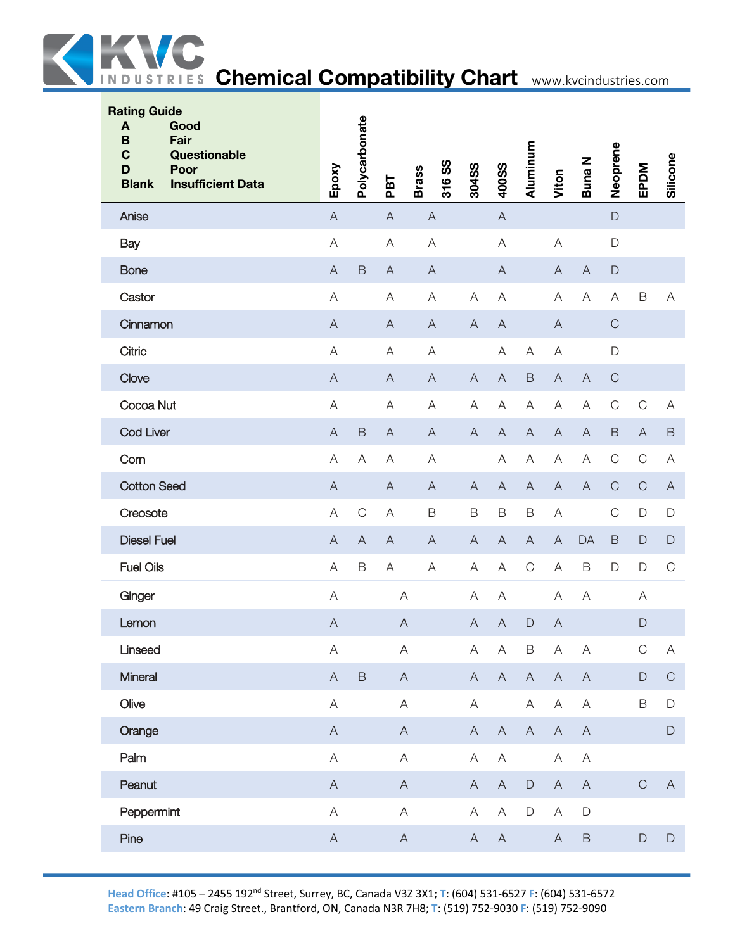

| Epoxy                     |              | PBT            | 316 SS<br><b>Brass</b> |                                                                                                                                                                     |                           | Aluminum                  | Viton                     | Buna N                    | Neoprene    | EPDM           | Silicone                  |
|---------------------------|--------------|----------------|------------------------|---------------------------------------------------------------------------------------------------------------------------------------------------------------------|---------------------------|---------------------------|---------------------------|---------------------------|-------------|----------------|---------------------------|
| $\overline{A}$            |              | $\overline{A}$ | $\mathsf{A}$           |                                                                                                                                                                     | $\overline{A}$            |                           |                           |                           | $\mathsf D$ |                |                           |
| $\forall$                 |              | A              | $\forall$              |                                                                                                                                                                     | $\boldsymbol{\mathsf{A}}$ |                           | $\mathsf{A}$              |                           | $\mathsf D$ |                |                           |
| $\overline{A}$            | $\mathsf B$  | $\overline{A}$ | $\overline{A}$         |                                                                                                                                                                     | $\overline{A}$            |                           | $\overline{A}$            | $\mathsf{A}$              | $\mathsf D$ |                |                           |
| A                         |              | Α              | A                      | A                                                                                                                                                                   | A                         |                           | A                         | A                         | A           | $\mathsf B$    | A                         |
| $\overline{A}$            |              | $\mathsf{A}$   | $\mathsf{A}$           | $\overline{A}$                                                                                                                                                      | $\boldsymbol{\mathsf{A}}$ |                           | $\boldsymbol{\mathsf{A}}$ |                           | $\mathsf C$ |                |                           |
| $\forall$                 |              | A              | $\forall$              |                                                                                                                                                                     | A                         | $\boldsymbol{\mathsf{A}}$ | $\mathsf A$               |                           | $\mathsf D$ |                |                           |
| $\overline{A}$            |              | $\mathsf{A}$   | $\overline{A}$         | $\overline{A}$                                                                                                                                                      | $\overline{A}$            | $\mathsf B$               | $\boldsymbol{\mathsf{A}}$ | $\overline{A}$            | $\mathsf C$ |                |                           |
| A                         |              | Α              | A                      | A                                                                                                                                                                   | A                         | Α                         | A                         | A                         | $\mathsf C$ | $\mathsf C$    | Α                         |
| $\overline{A}$            | $\mathsf B$  | $\mathsf{A}$   | $\mathsf{A}$           | $\overline{A}$                                                                                                                                                      | $\overline{A}$            | $\boldsymbol{\mathsf{A}}$ | $\boldsymbol{\mathsf{A}}$ | $\boldsymbol{\mathsf{A}}$ | $\mathsf B$ | $\overline{A}$ | $\mathsf B$               |
| $\forall$                 | A            | A              | $\forall$              |                                                                                                                                                                     | Α                         | $\boldsymbol{\mathsf{A}}$ | $\mathsf A$               | $\mathsf{A}$              | $\mathsf C$ | $\mathsf{C}$   | A                         |
| $\overline{A}$            |              | $\overline{A}$ | $\overline{A}$         | $\mathsf{A}$                                                                                                                                                        | $\overline{A}$            | $\boldsymbol{\mathsf{A}}$ | $\boldsymbol{\mathsf{A}}$ | $\mathsf{A}$              | $\mathsf C$ | $\mathbf C$    | $\mathsf{A}$              |
| A                         | $\mathsf C$  | A              | $\mathsf B$            | $\mathsf B$                                                                                                                                                         | $\mathsf B$               | $\mathsf B$               | A                         |                           | $\mathsf C$ | $\mathsf D$    | $\mathsf D$               |
| $\overline{A}$            | $\mathsf{A}$ | $\mathsf{A}$   | $\overline{A}$         | $\overline{A}$                                                                                                                                                      | $\overline{A}$            | $\mathsf{A}$              | $\mathsf{A}$              | DA                        | $\mathsf B$ | $\Box$         | $\mathsf D$               |
| $\forall$                 | $\mathsf B$  | $\forall$      | A                      | A                                                                                                                                                                   | A                         | $\mathsf C$               | $\mathsf A$               | $\mathsf B$               | $\mathsf D$ | $\mathsf D$    | $\mathbf C$               |
| A                         |              |                |                        | A                                                                                                                                                                   | A                         |                           | $\boldsymbol{\mathsf{A}}$ | $\mathsf{A}$              |             | A              |                           |
| $\mathsf{A}$              |              |                |                        | $\overline{A}$                                                                                                                                                      | $\mathsf{A}$              | $\mathsf D$               | $\mathsf{A}$              |                           |             | $\mathsf D$    |                           |
| $\mathsf A$               |              |                |                        | A                                                                                                                                                                   | $\boldsymbol{\mathsf{A}}$ | $\mathsf B$               | A                         | $\mathsf{A}$              |             | $\mathsf C$    | $\boldsymbol{\mathsf{A}}$ |
| $\boldsymbol{\mathsf{A}}$ | $\mathsf B$  |                |                        | $\boldsymbol{\mathsf{A}}$                                                                                                                                           | $\overline{A}$            | $\boldsymbol{\mathsf{A}}$ | $\mathsf A$               | $\mathsf A$               |             | $\mathsf D$    | $\mathsf C$               |
| $\mathsf A$               |              |                |                        | A                                                                                                                                                                   |                           | A                         | $\mathsf A$               | $\mathsf A$               |             | $\mathsf B$    | $\mathsf D$               |
| $\boldsymbol{\mathsf{A}}$ |              |                |                        | $\boldsymbol{\mathsf{A}}$                                                                                                                                           | $\overline{A}$            | $\mathsf{A}$              | $\boldsymbol{\mathsf{A}}$ | $\boldsymbol{\mathsf{A}}$ |             |                | $\mathsf D$               |
| $\mathsf{A}$              |              |                |                        | Α                                                                                                                                                                   | A                         |                           | $\mathsf A$               | $\mathsf A$               |             |                |                           |
| $\boldsymbol{\mathsf{A}}$ |              |                |                        | $\mathsf{A}$                                                                                                                                                        | $\boldsymbol{\mathsf{A}}$ | $\mathsf D$               | $\mathsf A$               | $\mathsf{A}$              |             | $\mathsf C$    | $\mathsf{A}$              |
| $\mathsf A$               |              |                |                        | $\boldsymbol{\mathsf{A}}$                                                                                                                                           | A                         | $\mathsf D$               | $\mathsf A$               | $\mathsf D$               |             |                |                           |
| $\mathsf A$               |              |                |                        | $\mathsf{A}$                                                                                                                                                        | $\boldsymbol{\mathsf{A}}$ |                           | $\boldsymbol{\mathsf{A}}$ | $\mathsf B$               |             | $\mathsf{D}%$  | $\mathsf D$               |
|                           |              | Polycarbonate  |                        | $\forall$<br>$\mathsf{A}$<br>$\mathsf A$<br>$\boldsymbol{\mathsf{A}}$<br>$\mathsf{A}$<br>$\mathsf{A}$<br>$\mathsf A$<br>$\mathsf{A}$<br>$\mathsf{A}$<br>$\mathsf A$ | 304SS                     | 400SS                     |                           |                           |             |                |                           |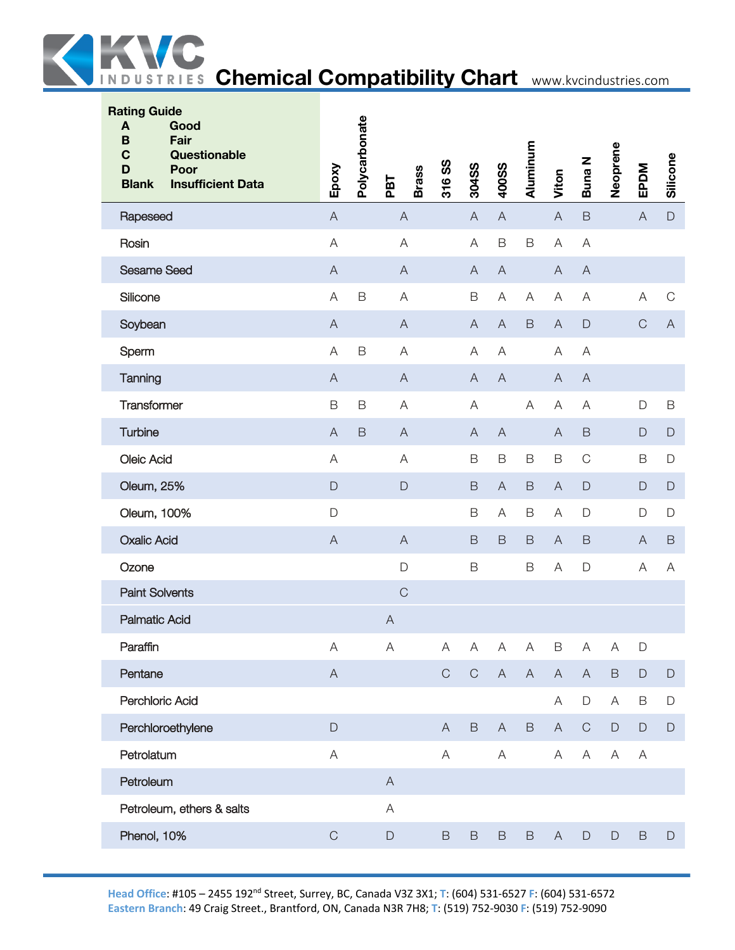

| <b>Rating Guide</b><br>Good<br>A<br>Fair<br>B<br>$\mathbf C$<br>Questionable<br>D<br>Poor<br><b>Insufficient Data</b><br><b>Blank</b> | Epoxy                                                                                                  | Polycarbonate | <b>Brass</b><br>PBT       | 316 SS      | 304SS                     | 400SS                     | Aluminum                  | Viton                     | <b>Buna N</b>             | Neoprene    | EPDM         | Silicone                  |
|---------------------------------------------------------------------------------------------------------------------------------------|--------------------------------------------------------------------------------------------------------|---------------|---------------------------|-------------|---------------------------|---------------------------|---------------------------|---------------------------|---------------------------|-------------|--------------|---------------------------|
| Rapeseed                                                                                                                              | $\mathsf A$                                                                                            |               | $\mathsf{A}$              |             | $\boldsymbol{\mathsf{A}}$ | $\boldsymbol{\mathsf{A}}$ |                           | $\mathsf A$               | $\mathsf B$               |             | $\mathsf A$  | $\mathsf D$               |
| Rosin                                                                                                                                 | $\mathsf A$                                                                                            |               | $\mathsf A$               |             | $\mathsf A$               | $\mathsf B$               | $\mathsf B$               | $\boldsymbol{\mathsf{A}}$ | $\overline{\mathsf{A}}$   |             |              |                           |
| <b>Sesame Seed</b>                                                                                                                    | $\mathsf{A}% _{\mathsf{A}}^{\prime}=\mathsf{A}_{\mathsf{A}}^{\prime}=\mathsf{A}_{\mathsf{A}}^{\prime}$ |               | $\mathsf A$               |             | $\boldsymbol{\mathsf{A}}$ | $\boldsymbol{\mathsf{A}}$ |                           | $\mathsf A$               | $\boldsymbol{\mathsf{A}}$ |             |              |                           |
| Silicone                                                                                                                              | $\mathsf A$                                                                                            | $\mathsf B$   | A                         |             | $\mathsf B$               | A                         | Α                         | A                         | $\overline{\mathsf{A}}$   |             | A            | $\mathsf C$               |
| Soybean                                                                                                                               | $\mathsf{A}$                                                                                           |               | $\mathsf{A}$              |             | $\mathsf{A}$              | $\mathsf{A}$              | $\mathsf B$               | $\mathsf{A}$              | $\mathsf D$               |             | $\mathsf C$  | $\mathsf{A}$              |
| Sperm                                                                                                                                 | $\mathsf A$                                                                                            | $\mathsf B$   | $\mathsf A$               |             | $\mathsf A$               | A                         |                           | A                         | A                         |             |              |                           |
| Tanning                                                                                                                               | $\mathsf A$                                                                                            |               | $\mathsf A$               |             | $\overline{A}$            | $\overline{A}$            |                           | $\overline{A}$            | $\boldsymbol{\mathsf{A}}$ |             |              |                           |
| Transformer                                                                                                                           | $\mathsf B$                                                                                            | B             | A                         |             | A                         |                           | A                         | A                         | $\overline{\mathsf{A}}$   |             | $\mathsf D$  | $\mathsf B$               |
| Turbine                                                                                                                               | $\mathsf A$                                                                                            | $\mathsf B$   | $\mathsf{A}$              |             | $\mathsf{A}$              | $\mathsf{A}$              |                           | $\boldsymbol{\mathsf{A}}$ | $\mathsf B$               |             | $\mathsf D$  | $\mathsf{D}%$             |
| Oleic Acid                                                                                                                            | $\mathsf A$                                                                                            |               | $\mathsf A$               |             | $\mathsf B$               | $\mathsf B$               | $\mathsf B$               | $\mathsf B$               | $\mathsf C$               |             | B            | $\mathsf D$               |
| Oleum, 25%                                                                                                                            | $\mathsf D$                                                                                            |               | $\mathsf D$               |             | $\mathsf B$               | $\overline{A}$            | $\mathsf B$               | $\mathsf A$               | $\mathsf D$               |             | $\mathsf D$  | $\mathsf D$               |
| Oleum, 100%                                                                                                                           | D                                                                                                      |               |                           |             | $\mathsf B$               | A                         | $\mathsf B$               | Α                         | $\mathsf D$               |             | D            | $\mathsf D$               |
| <b>Oxalic Acid</b>                                                                                                                    | $\mathsf A$                                                                                            |               | $\boldsymbol{\mathsf{A}}$ |             | $\mathsf B$               | B                         | $\mathsf B$               | $\mathsf{A}$              | $\mathsf B$               |             | $\mathsf{A}$ | $\mathsf B$               |
| Ozone                                                                                                                                 |                                                                                                        |               | $\mathsf D$               |             | $\mathsf B$               |                           | $\mathsf B$               | $\mathsf A$               | $\mathsf D$               |             | A            | $\boldsymbol{\mathsf{A}}$ |
| <b>Paint Solvents</b>                                                                                                                 |                                                                                                        |               | $\mathsf C$               |             |                           |                           |                           |                           |                           |             |              |                           |
| <b>Palmatic Acid</b>                                                                                                                  |                                                                                                        |               | $\boldsymbol{\mathsf{A}}$ |             |                           |                           |                           |                           |                           |             |              |                           |
| Paraffin                                                                                                                              | Α                                                                                                      |               | A                         | Α           | A                         | $\boldsymbol{\mathsf{A}}$ | $\boldsymbol{\mathsf{A}}$ | B                         | $\boldsymbol{\mathsf{A}}$ | $\mathsf A$ | D            |                           |
| Pentane                                                                                                                               | $\mathsf A$                                                                                            |               |                           | $\mathsf C$ | $\mathsf C$               | $\boldsymbol{\mathsf{A}}$ | $\boldsymbol{\mathsf{A}}$ | $\mathsf A$               | $\mathsf A$               | $\mathsf B$ | $\mathsf D$  | $\mathsf D$               |
| Perchloric Acid                                                                                                                       |                                                                                                        |               |                           |             |                           |                           |                           | A                         | $\mathsf D$               | A           | B            | $\mathsf D$               |
| Perchloroethylene                                                                                                                     | $\mathsf D$                                                                                            |               |                           | A           | $\mathsf B$               | $\mathsf{A}$              | $\,$ B                    | $\mathsf{A}$              | $\mathbf C$               | $\mathsf D$ | $\mathsf D$  | $\mathsf D$               |
| Petrolatum                                                                                                                            | $\mathsf A$                                                                                            |               |                           | A           |                           | A                         |                           | A                         | $\forall$                 | A           | A            |                           |
| Petroleum                                                                                                                             |                                                                                                        |               | $\mathsf{A}$              |             |                           |                           |                           |                           |                           |             |              |                           |
| Petroleum, ethers & salts                                                                                                             |                                                                                                        |               | A                         |             |                           |                           |                           |                           |                           |             |              |                           |
| Phenol, 10%                                                                                                                           | $\mathsf C$                                                                                            |               | $\mathsf D$               | $\mathsf B$ | $\mathsf B$               | $\,$ B                    | $\mathsf B$               | $\mathsf{A}$              | $\mathsf D$               | $\mathsf D$ | $\mathsf B$  | $\mathsf D$               |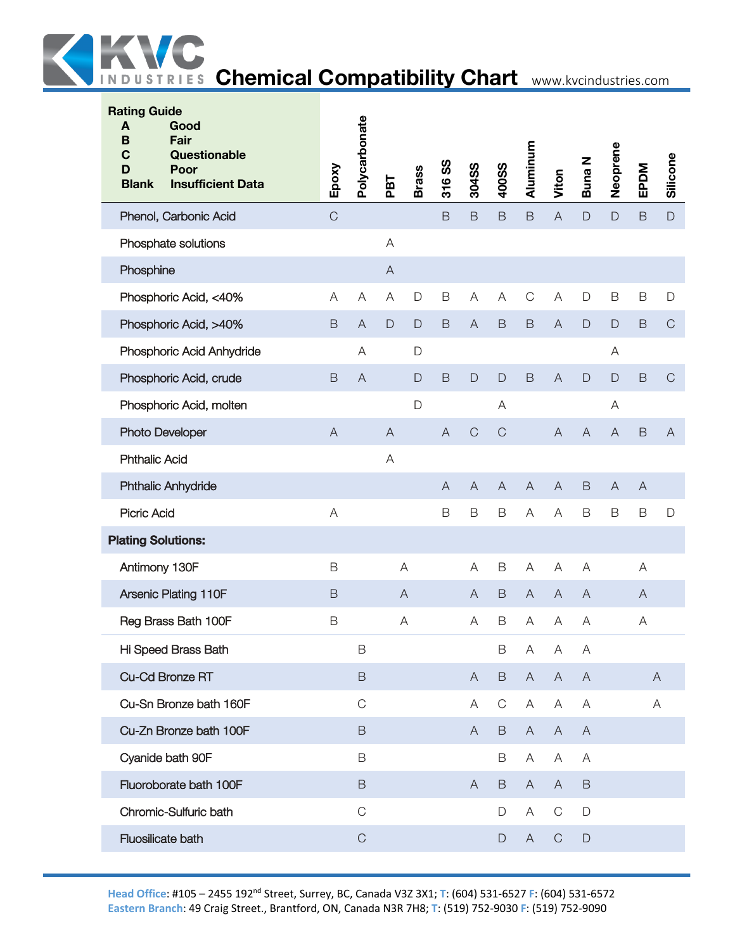| <b>Rating Guide</b><br>A<br>B<br>C<br>D<br><b>Blank</b> | Good<br>Fair<br><b>Questionable</b><br>Poor<br><b>Insufficient Data</b> | Epoxy          | Polycarbonate  | PBT                       | <b>Brass</b> | 316 SS         | 304SS          | <b>400SS</b>   | Aluminum       | Viton                     | <b>Buna N</b>  | Neoprene       | EPDM         | Silicone     |
|---------------------------------------------------------|-------------------------------------------------------------------------|----------------|----------------|---------------------------|--------------|----------------|----------------|----------------|----------------|---------------------------|----------------|----------------|--------------|--------------|
|                                                         | Phenol, Carbonic Acid                                                   | $\overline{C}$ |                |                           |              | B              | $\mathsf B$    | $\mathsf B$    | $\mathsf B$    | $\mathsf A$               | $\mathsf{D}%$  | D              | $\mathsf B$  | $\mathsf D$  |
|                                                         | Phosphate solutions                                                     |                |                | A                         |              |                |                |                |                |                           |                |                |              |              |
| Phosphine                                               |                                                                         |                |                | $\mathsf{A}$              |              |                |                |                |                |                           |                |                |              |              |
|                                                         | Phosphoric Acid, <40%                                                   | A              | A              | A                         | $\mathsf D$  | B              | A              | Α              | $\mathsf C$    | A                         | $\mathsf D$    | $\mathsf B$    | B            | $\mathsf D$  |
|                                                         | Phosphoric Acid, >40%                                                   | $\mathsf B$    | $\overline{A}$ | $\mathsf{D}$              | $\mathsf{D}$ | B              | $\overline{A}$ | $\mathsf B$    | $\mathsf B$    | $\overline{A}$            | $\mathsf D$    | D              | $\mathsf B$  | $\mathsf C$  |
|                                                         | Phosphoric Acid Anhydride                                               |                | Α              |                           | $\Box$       |                |                |                |                |                           |                | Α              |              |              |
|                                                         | Phosphoric Acid, crude                                                  | $\mathsf B$    | $\overline{A}$ |                           | $\mathsf{D}$ | $\mathsf B$    | $\Box$         | $\mathsf D$    | $\mathsf B$    | $\boldsymbol{\mathsf{A}}$ | $\mathsf{D}$   | $\mathsf{D}$   | $\mathsf B$  | $\mathsf C$  |
|                                                         | Phosphoric Acid, molten                                                 |                |                |                           | $\mathsf D$  |                |                | Α              |                |                           |                | Α              |              |              |
| <b>Photo Developer</b>                                  |                                                                         | $\overline{A}$ |                | $\boldsymbol{\mathsf{A}}$ |              | $\overline{A}$ | $\mathsf C$    | $\mathsf C$    |                | $\overline{A}$            | $\overline{A}$ | $\overline{A}$ | $\mathsf B$  | $\mathsf{A}$ |
| <b>Phthalic Acid</b>                                    |                                                                         |                |                | Α                         |              |                |                |                |                |                           |                |                |              |              |
|                                                         | <b>Phthalic Anhydride</b>                                               |                |                |                           |              | $\overline{A}$ | $\overline{A}$ | $\overline{A}$ | $\overline{A}$ | $\overline{A}$            | $\mathsf B$    | $\overline{A}$ | $\mathsf{A}$ |              |
| <b>Picric Acid</b>                                      |                                                                         | A              |                |                           |              | B              | $\mathsf B$    | B              | A              | A                         | $\mathsf B$    | B              | B            | $\mathsf{D}$ |
| <b>Plating Solutions:</b>                               |                                                                         |                |                |                           |              |                |                |                |                |                           |                |                |              |              |
| Antimony 130F                                           |                                                                         | B              |                |                           | A            |                | A              | $\mathsf B$    | A              | A                         | A              |                | Α            |              |
|                                                         | Arsenic Plating 110F                                                    | $\mathsf B$    |                |                           | $\mathsf{A}$ |                | A              | $\mathsf B$    | $\overline{A}$ | $\mathsf{A}$              | $\overline{A}$ |                | A            |              |
|                                                         | Reg Brass Bath 100F                                                     | B              |                |                           | A            |                | A              | B              | A              | A                         | Α              |                | Α            |              |
|                                                         | Hi Speed Brass Bath                                                     |                | $\mathsf B$    |                           |              |                |                | $\mathsf B$    | A              | A                         | A              |                |              |              |
|                                                         | Cu-Cd Bronze RT                                                         |                | $\,$ B         |                           |              |                | $\mathsf{A}$   | B              | $\mathsf{A}$   | $\mathsf{A}$              | $\mathsf{A}$   |                |              | $\mathsf{A}$ |
|                                                         | Cu-Sn Bronze bath 160F                                                  |                | $\mathsf{C}$   |                           |              |                | A              | C              | Α              | Α                         | Α              |                |              | A            |
|                                                         | Cu-Zn Bronze bath 100F                                                  |                | $\mathsf B$    |                           |              |                | $\mathsf{A}$   | B              | $\mathsf{A}$   | $\mathsf{A}$              | $\mathsf{A}$   |                |              |              |
|                                                         | Cyanide bath 90F                                                        |                | $\mathsf B$    |                           |              |                |                | B              | Α              | A                         | A              |                |              |              |
|                                                         | Fluoroborate bath 100F                                                  |                | $\,$ B         |                           |              |                | $\mathsf{A}$   | B              | $\mathsf{A}$   | $\mathsf{A}$              | $\mathsf B$    |                |              |              |
|                                                         | Chromic-Sulfuric bath                                                   |                | $\mathsf{C}$   |                           |              |                |                | D              | Α              | $\mathsf{C}$              | $\mathsf D$    |                |              |              |
| Fluosilicate bath                                       |                                                                         |                | $\mathsf C$    |                           |              |                |                | D              | $\mathsf{A}$   | $\mathsf C$               | $\mathsf D$    |                |              |              |
|                                                         |                                                                         |                |                |                           |              |                |                |                |                |                           |                |                |              |              |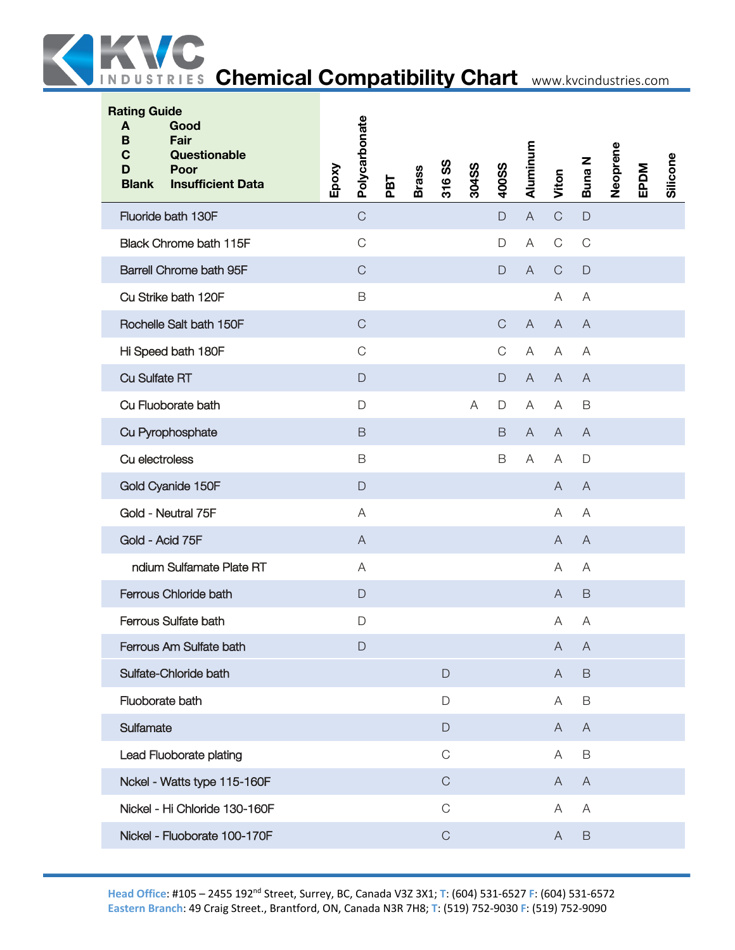

| <b>Rating Guide</b><br>Good<br>A<br>B<br>Fair<br>$\mathbf C$<br>Questionable<br><b>Poor</b><br>D<br><b>Insufficient Data</b><br><b>Blank</b> | Polycarbonate<br>Epoxy | PBT | <b>Brass</b> | 316 SS      | 304SS | 400SS        | Aluminum       | Viton                     | Buna N         | Neoprene | EPDM | Silicone |
|----------------------------------------------------------------------------------------------------------------------------------------------|------------------------|-----|--------------|-------------|-------|--------------|----------------|---------------------------|----------------|----------|------|----------|
| Fluoride bath 130F                                                                                                                           | $\mathsf C$            |     |              |             |       | $\mathsf D$  | $\overline{A}$ | $\mathsf C$               | $\mathsf{D}$   |          |      |          |
| Black Chrome bath 115F                                                                                                                       | $\mathsf{C}$           |     |              |             |       | D            | A              | $\mathsf C$               | $\mathsf{C}$   |          |      |          |
| Barrell Chrome bath 95F                                                                                                                      | $\mathsf{C}$           |     |              |             |       | $\mathsf{D}$ | $\overline{A}$ | $\mathsf{C}$              | $\mathsf{D}$   |          |      |          |
| Cu Strike bath 120F                                                                                                                          | B                      |     |              |             |       |              |                | Α                         | A              |          |      |          |
| Rochelle Salt bath 150F                                                                                                                      | $\mathsf C$            |     |              |             |       | $\mathsf{C}$ | $\overline{A}$ | $\overline{A}$            | $\overline{A}$ |          |      |          |
| Hi Speed bath 180F                                                                                                                           | $\mathsf{C}$           |     |              |             |       | $\mathsf{C}$ | A              | Α                         | A              |          |      |          |
| <b>Cu Sulfate RT</b>                                                                                                                         | $\mathsf{D}$           |     |              |             |       | D            | $\mathsf{A}$   | $\mathsf{A}$              | $\overline{A}$ |          |      |          |
| Cu Fluoborate bath                                                                                                                           | $\mathsf{D}$           |     |              |             | A     | D            | A              | Α                         | $\mathsf B$    |          |      |          |
| Cu Pyrophosphate                                                                                                                             | $\mathsf B$            |     |              |             |       | $\mathsf B$  | A              | A                         | $\overline{A}$ |          |      |          |
| Cu electroless                                                                                                                               | B                      |     |              |             |       | B            | Α              | Α                         | $\mathsf D$    |          |      |          |
| Gold Cyanide 150F                                                                                                                            | $\mathsf{D}$           |     |              |             |       |              |                | A                         | $\overline{A}$ |          |      |          |
| Gold - Neutral 75F                                                                                                                           | A                      |     |              |             |       |              |                | Α                         | A              |          |      |          |
| Gold - Acid 75F                                                                                                                              | $\mathsf{A}$           |     |              |             |       |              |                | A                         | $\mathsf{A}$   |          |      |          |
| ndium Sulfamate Plate RT                                                                                                                     | A                      |     |              |             |       |              |                | A                         | A              |          |      |          |
| Ferrous Chloride bath                                                                                                                        | $\mathsf{D}$           |     |              |             |       |              |                | A                         | $\mathsf B$    |          |      |          |
| Ferrous Sulfate bath                                                                                                                         | $\mathsf{D}$           |     |              |             |       |              |                | A                         | A              |          |      |          |
| Ferrous Am Sulfate bath                                                                                                                      | $\mathsf{D}$           |     |              |             |       |              |                | $\boldsymbol{\mathsf{A}}$ | $\bigwedge$    |          |      |          |
| Sulfate-Chloride bath                                                                                                                        |                        |     |              | $\mathsf D$ |       |              |                | $\mathsf A$               | $\mathsf B$    |          |      |          |
| Fluoborate bath                                                                                                                              |                        |     |              | D           |       |              |                | A                         | $\mathsf B$    |          |      |          |
| Sulfamate                                                                                                                                    |                        |     |              | $\mathsf D$ |       |              |                | A                         | $\mathsf{A}$   |          |      |          |
| Lead Fluoborate plating                                                                                                                      |                        |     |              | $\mathsf C$ |       |              |                | Α                         | $\mathsf B$    |          |      |          |
| Nckel - Watts type 115-160F                                                                                                                  |                        |     |              | $\mathsf C$ |       |              |                | Α                         | $\overline{A}$ |          |      |          |
| Nickel - Hi Chloride 130-160F                                                                                                                |                        |     |              | $\mathsf C$ |       |              |                | Α                         | $\mathsf{A}$   |          |      |          |
| Nickel - Fluoborate 100-170F                                                                                                                 |                        |     |              | $\mathsf C$ |       |              |                | $\mathsf{A}$              | $\mathsf B$    |          |      |          |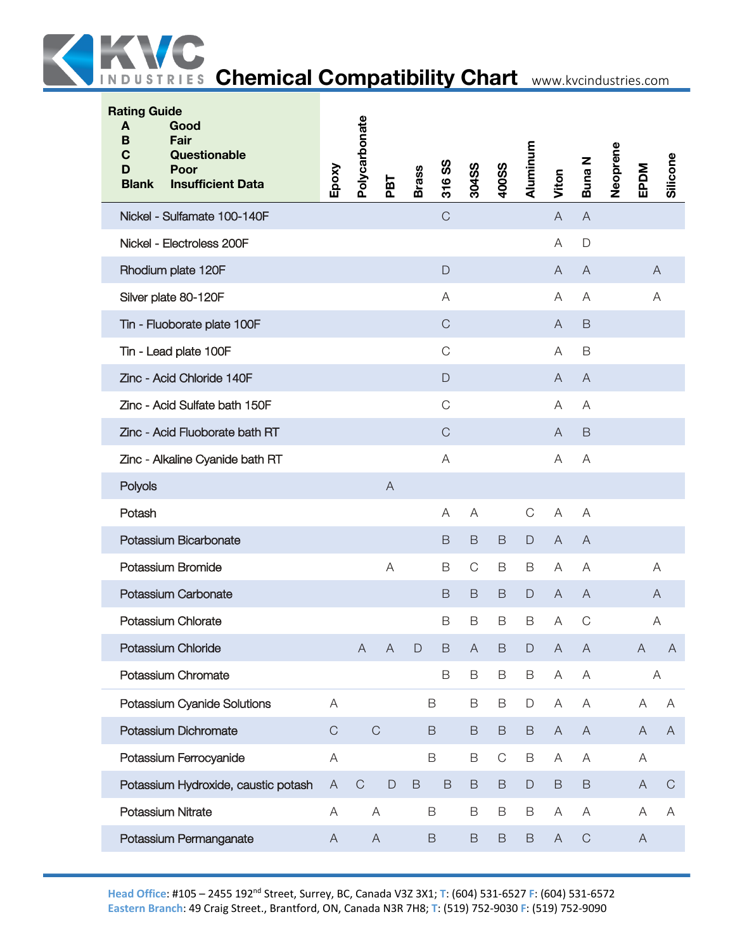

| <b>Rating Guide</b><br>Good<br>A<br>Fair<br>B<br>$\mathbf C$<br>Questionable<br>D<br>Poor<br><b>Insufficient Data</b><br><b>Blank</b> | Epoxy                     | Polycarbonate             | PBT            | <b>Brass</b>  | 316 SS       | 304SS                     | <b>400SS</b> | Aluminum      | Viton                     | Buna N                    | Neoprene | EPDM         | Silicone     |
|---------------------------------------------------------------------------------------------------------------------------------------|---------------------------|---------------------------|----------------|---------------|--------------|---------------------------|--------------|---------------|---------------------------|---------------------------|----------|--------------|--------------|
| Nickel - Sulfamate 100-140F                                                                                                           |                           |                           |                |               | $\mathsf C$  |                           |              |               | $\overline{A}$            | $\overline{A}$            |          |              |              |
| Nickel - Electroless 200F                                                                                                             |                           |                           |                |               |              |                           |              |               | Α                         | $\mathsf{D}$              |          |              |              |
| Rhodium plate 120F                                                                                                                    |                           |                           |                |               | D            |                           |              |               | A                         | $\overline{A}$            |          | A            |              |
| Silver plate 80-120F                                                                                                                  |                           |                           |                |               | A            |                           |              |               | Α                         | Α                         |          | Α            |              |
| Tin - Fluoborate plate 100F                                                                                                           |                           |                           |                |               | $\mathsf{C}$ |                           |              |               | A                         | $\mathsf B$               |          |              |              |
| Tin - Lead plate 100F                                                                                                                 |                           |                           |                |               | $\mathsf{C}$ |                           |              |               | Α                         | $\mathsf B$               |          |              |              |
| Zinc - Acid Chloride 140F                                                                                                             |                           |                           |                |               | $\Box$       |                           |              |               | $\overline{A}$            | $\overline{A}$            |          |              |              |
| Zinc - Acid Sulfate bath 150F                                                                                                         |                           |                           |                |               | $\mathsf C$  |                           |              |               | Α                         | A                         |          |              |              |
| Zinc - Acid Fluoborate bath RT                                                                                                        |                           |                           |                |               | $\mathsf C$  |                           |              |               | $\mathsf{A}$              | B                         |          |              |              |
| Zinc - Alkaline Cyanide bath RT                                                                                                       |                           |                           |                |               | A            |                           |              |               | Α                         | A                         |          |              |              |
| Polyols                                                                                                                               |                           |                           | $\mathsf{A}$   |               |              |                           |              |               |                           |                           |          |              |              |
| Potash                                                                                                                                |                           |                           |                |               | A            | A                         |              | $\mathsf{C}$  | A                         | A                         |          |              |              |
| Potassium Bicarbonate                                                                                                                 |                           |                           |                |               | B            | B                         | B            | D             | $\mathsf{A}$              | A                         |          |              |              |
| Potassium Bromide                                                                                                                     |                           |                           | A              |               | $\mathsf B$  | $\mathsf C$               | B            | B             | A                         | Α                         |          | Α            |              |
| Potassium Carbonate                                                                                                                   |                           |                           |                |               | B            | B                         | B            | $\mathsf D$   | $\mathsf{A}$              | $\overline{A}$            |          | A            |              |
| Potassium Chlorate                                                                                                                    |                           |                           |                |               | B            | B                         | B            | B             | A                         | $\mathsf C$               |          | Α            |              |
| Potassium Chloride                                                                                                                    |                           | $\overline{A}$            | $\overline{A}$ | $\mathsf{D}%$ | $\mathsf B$  | $\boldsymbol{\mathsf{A}}$ | $\mathsf B$  | $\mathsf{D}%$ | $\boldsymbol{\mathsf{A}}$ | $\mathsf{A}$              |          | $\mathsf A$  | A            |
| Potassium Chromate                                                                                                                    |                           |                           |                |               | $\mathsf B$  | $\mathsf B$               | $\mathsf B$  | $\mathsf B$   | $\mathsf A$               | $\mathsf A$               |          | Α            |              |
| Potassium Cyanide Solutions                                                                                                           | A                         |                           |                |               | $\mathsf B$  | B                         | B            | $\mathsf D$   | $\boldsymbol{\mathsf{A}}$ | A                         |          | A            | $\mathsf{A}$ |
| Potassium Dichromate                                                                                                                  | $\mathsf C$               | $\mathsf C$               |                |               | $\mathsf B$  | $\mathsf B$               | $\mathsf B$  | $\, {\sf B}$  | $\boldsymbol{\mathsf{A}}$ | $\boldsymbol{\mathsf{A}}$ |          | $\mathsf{A}$ | $\mathsf{A}$ |
| Potassium Ferrocyanide                                                                                                                | $\mathsf A$               |                           |                |               | $\mathsf B$  | B                         | $\mathsf C$  | $\mathsf B$   | A                         | $\mathsf A$               |          | A            |              |
| Potassium Hydroxide, caustic potash                                                                                                   | A                         | $\mathbf C$               | $\mathsf D$    | $\mathsf B$   | $\mathsf B$  | B                         | B            | $\mathsf D$   | $\, {\sf B}$              | $\mathsf B$               |          | A            | $\mathsf{C}$ |
| Potassium Nitrate                                                                                                                     | A                         | A                         |                |               | B            | B                         | $\mathsf B$  | B             | Α                         | A                         |          | Α            | A            |
| Potassium Permanganate                                                                                                                | $\boldsymbol{\mathsf{A}}$ | $\boldsymbol{\mathsf{A}}$ |                |               | $\mathsf B$  | $\mathsf B$               | $\mathsf B$  | $\,$ B        | $\boldsymbol{\mathsf{A}}$ | $\mathsf C$               |          | $\mathsf{A}$ |              |
|                                                                                                                                       |                           |                           |                |               |              |                           |              |               |                           |                           |          |              |              |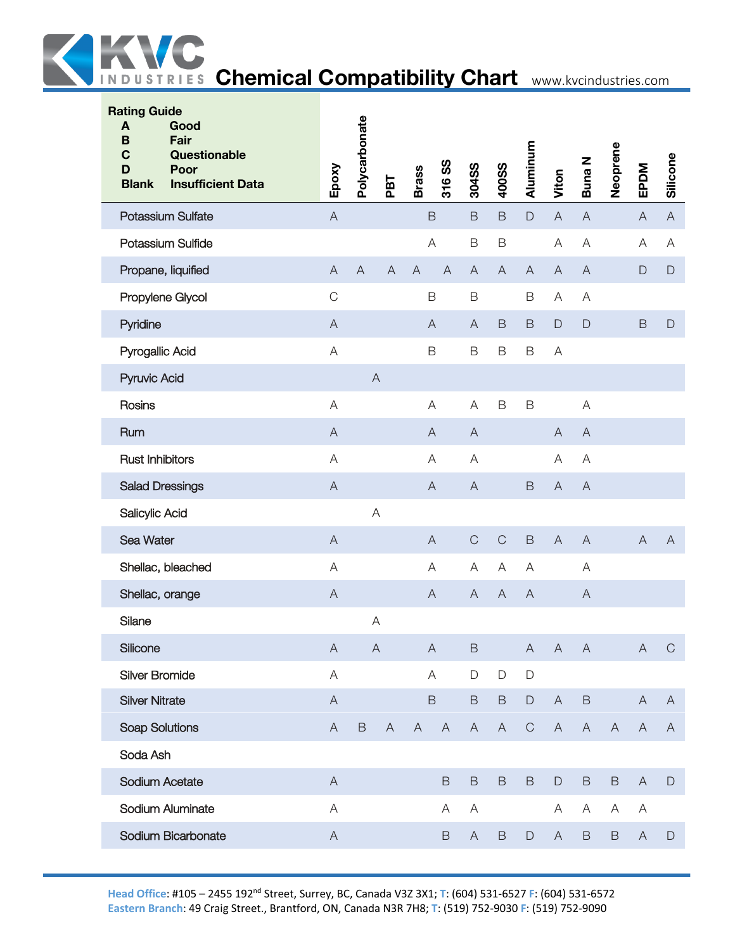

| <b>Rating Guide</b><br>Good<br>A<br>Fair<br>B<br>Questionable<br>C<br>Poor<br>D<br><b>Insufficient Data</b><br><b>Blank</b> | Epoxy                     | Polycarbonate  | PBT            | <b>Brass</b>   | 316 SS                    | 304SS                     | <b>400SS</b>              | Aluminum                  | Viton                     | <b>Buna N</b>             | Neoprene     | EPDM                      | Silicone                  |
|-----------------------------------------------------------------------------------------------------------------------------|---------------------------|----------------|----------------|----------------|---------------------------|---------------------------|---------------------------|---------------------------|---------------------------|---------------------------|--------------|---------------------------|---------------------------|
| Potassium Sulfate                                                                                                           | $\mathsf A$               |                |                |                | $\mathsf B$               | $\mathsf B$               | $\mathsf B$               | $\mathsf D$               | $\boldsymbol{\mathsf{A}}$ | $\boldsymbol{\mathsf{A}}$ |              | $\mathsf{A}$              | $\boldsymbol{\mathsf{A}}$ |
| Potassium Sulfide                                                                                                           |                           |                |                |                | A                         | $\mathsf B$               | $\mathsf B$               |                           | $\mathsf A$               | A                         |              | A                         | A                         |
| Propane, liquified                                                                                                          | $\mathsf A$               | $\overline{A}$ | $\overline{A}$ | $\overline{A}$ | $\overline{A}$            | $\boldsymbol{\mathsf{A}}$ | $\overline{A}$            | $\boldsymbol{\mathsf{A}}$ | $\mathsf A$               | $\overline{A}$            |              | $\mathsf{D}$              | $\mathsf D$               |
| Propylene Glycol                                                                                                            | $\mathsf C$               |                |                |                | $\mathsf B$               | $\mathsf B$               |                           | $\mathsf B$               | Α                         | Α                         |              |                           |                           |
| Pyridine                                                                                                                    | $\overline{A}$            |                |                |                | A                         | $\mathsf{A}$              | B                         | $\mathsf B$               | $\mathsf D$               | $\mathsf{D}%$             |              | $\mathsf B$               | $\mathsf D$               |
| Pyrogallic Acid                                                                                                             | $\mathsf A$               |                |                | $\mathsf B$    |                           | $\mathsf B$               | $\mathsf B$               | $\mathsf B$               | A                         |                           |              |                           |                           |
| Pyruvic Acid                                                                                                                |                           | $\overline{A}$ |                |                |                           |                           |                           |                           |                           |                           |              |                           |                           |
| Rosins                                                                                                                      | $\forall$                 |                |                |                | A                         | A                         | $\mathsf B$               | $\mathsf B$               |                           | A                         |              |                           |                           |
| Rum                                                                                                                         | $\mathsf{A}$              |                |                |                | $\mathsf{A}$              | $\mathsf{A}$              |                           |                           | A                         | $\mathsf{A}$              |              |                           |                           |
| <b>Rust Inhibitors</b>                                                                                                      | A                         |                |                |                | A                         | Α                         |                           |                           | A                         | A                         |              |                           |                           |
| <b>Salad Dressings</b>                                                                                                      | $\mathsf A$               |                |                |                | $\mathsf{A}$              | $\overline{A}$            |                           | $\mathsf B$               | $\mathsf A$               | $\overline{A}$            |              |                           |                           |
| Salicylic Acid                                                                                                              |                           | A              |                |                |                           |                           |                           |                           |                           |                           |              |                           |                           |
| Sea Water                                                                                                                   | $\mathsf{A}$              |                |                |                | $\mathsf{A}$              | $\mathsf C$               | $\mathsf C$               | $\mathsf B$               | $\overline{A}$            | $\overline{A}$            |              | $\overline{A}$            | $\mathsf{A}$              |
| Shellac, bleached                                                                                                           | A                         |                |                |                | A                         | $\boldsymbol{\mathsf{A}}$ | Α                         | A                         |                           | Α                         |              |                           |                           |
| Shellac, orange                                                                                                             | $\mathsf A$               |                |                |                | $\mathsf{A}$              | $\boldsymbol{\mathsf{A}}$ | $\boldsymbol{\mathsf{A}}$ | $\boldsymbol{\mathsf{A}}$ |                           | $\mathsf{A}$              |              |                           |                           |
| Silane                                                                                                                      |                           | A              |                |                |                           |                           |                           |                           |                           |                           |              |                           |                           |
| Silicone                                                                                                                    | $\boldsymbol{\mathsf{A}}$ | $\mathsf A$    |                |                | $\boldsymbol{\mathsf{A}}$ | $\mathsf B$               |                           | $\boldsymbol{\mathsf{A}}$ | $\boldsymbol{\mathsf{A}}$ | $\overline{A}$            |              | $\boldsymbol{\mathsf{A}}$ | $\mathbf C$               |
| <b>Silver Bromide</b>                                                                                                       | $\mathsf A$               |                |                |                | $\mathsf{A}$              | $\mathsf D$               | $\mathsf D$               | $\mathsf D$               |                           |                           |              |                           |                           |
| <b>Silver Nitrate</b>                                                                                                       | $\mathsf A$               |                |                |                | $\mathsf B$               | $\mathsf B$               | $\, {\sf B}$              | $\mathsf D$               | $\mathsf A$               | $\mathsf B$               |              | $\mathsf{A}$              | A                         |
| Soap Solutions                                                                                                              | A                         | $\, {\sf B}$   | $\mathsf{A}$   | $\mathsf{A}$   | $\mathsf{A}$              | $\mathsf{A}$              | $\mathsf{A}$              | $\mathbf C$               | $\mathsf{A}$              | A                         | $\mathsf{A}$ | A                         | $\mathsf{A}$              |
| Soda Ash                                                                                                                    |                           |                |                |                |                           |                           |                           |                           |                           |                           |              |                           |                           |
| Sodium Acetate                                                                                                              | $\mathsf A$               |                |                |                | $\mathsf B$               | $\mathsf B$               | $\mathsf B$               | $\mathsf B$               | $\mathsf{D}$              | $\mathsf B$               | $\mathsf B$  | $\overline{A}$            | $\mathsf D$               |
| Sodium Aluminate                                                                                                            | $\mathsf A$               |                |                |                | A                         | A                         |                           |                           | A                         | A                         | A            | A                         |                           |
| Sodium Bicarbonate                                                                                                          | $\boldsymbol{\mathsf{A}}$ |                |                |                | $\mathsf B$               | $\mathsf{A}$              | $\mathsf B$               | $\mathsf D$               | $\mathsf{A}$              | $\mathsf B$               | $\mathsf B$  | $\mathsf{A}$              | $\mathsf D$               |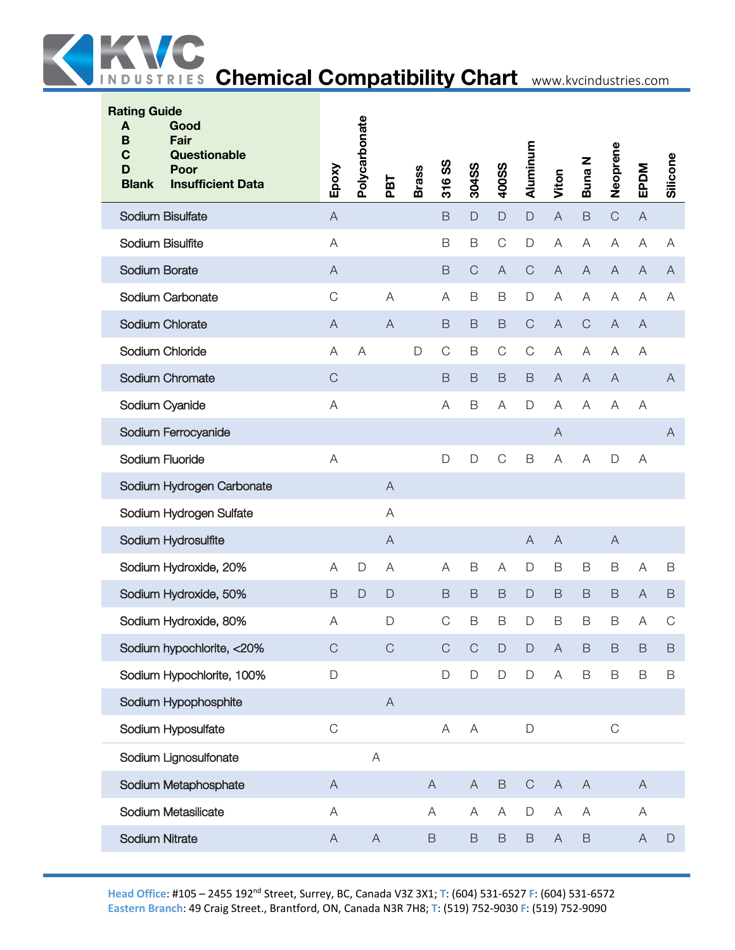

| <b>Rating Guide</b><br>A<br>Good<br>B<br>Fair<br>$\mathbf C$<br>Questionable<br>D<br>Poor<br><b>Blank</b><br><b>Insufficient Data</b> | Epoxy                     | Polycarbonate             | PBT            | <b>Brass</b> | 316 SS         | 304SS        | 400SS          | Aluminum      | Viton                     | <b>Buna N</b>             | Neoprene       | EPDM                      | Silicone     |
|---------------------------------------------------------------------------------------------------------------------------------------|---------------------------|---------------------------|----------------|--------------|----------------|--------------|----------------|---------------|---------------------------|---------------------------|----------------|---------------------------|--------------|
| Sodium Bisulfate                                                                                                                      | $\mathsf A$               |                           |                |              | $\mathsf B$    | $\mathsf{D}$ | $\Box$         | $\Box$        | $\boldsymbol{\mathsf{A}}$ | $\mathsf B$               | $\mathsf C$    | $\mathsf{A}$              |              |
| Sodium Bisulfite                                                                                                                      | $\mathsf{A}$              |                           |                |              | B              | B            | $\mathsf{C}$   | $\mathsf D$   | A                         | A                         | A              | Α                         | A            |
| Sodium Borate                                                                                                                         | $\overline{A}$            |                           |                |              | B              | $\mathsf C$  | $\overline{A}$ | $\mathbf C$   | $\overline{A}$            | $\mathsf A$               | $\overline{A}$ | $\mathsf{A}$              | A            |
| Sodium Carbonate                                                                                                                      | $\mathsf C$               |                           | $\overline{A}$ |              | $\overline{A}$ | B            | B              | $\mathsf D$   | A                         | A                         | A              | A                         | Α            |
| Sodium Chlorate                                                                                                                       | A                         |                           | $\overline{A}$ |              | B              | B            | B              | $\mathsf C$   | $\overline{A}$            | $\mathsf{C}$              | $\mathsf{A}$   | A                         |              |
| Sodium Chloride                                                                                                                       | A                         | A                         |                | $\mathsf D$  | $\mathsf C$    | B            | $\mathsf{C}$   | $\mathsf C$   | A                         | A                         | A              | Α                         |              |
| Sodium Chromate                                                                                                                       | $\mathsf{C}$              |                           |                |              | $\mathsf B$    | $\mathsf B$  | $\mathsf B$    | B             | $\overline{A}$            | $\mathsf{A}$              | $\overline{A}$ |                           | $\mathsf{A}$ |
| Sodium Cyanide                                                                                                                        | $\overline{A}$            |                           |                |              | A              | $\mathsf B$  | Α              | $\mathsf D$   | A                         | A                         | A              | A                         |              |
| Sodium Ferrocyanide                                                                                                                   |                           |                           |                |              |                |              |                |               | $\mathsf{A}$              |                           |                |                           | A            |
| Sodium Fluoride                                                                                                                       | A                         |                           |                |              | D              | D            | $\mathsf C$    | $\mathsf B$   | A                         | A                         | D              | Α                         |              |
| Sodium Hydrogen Carbonate                                                                                                             |                           |                           | $\overline{A}$ |              |                |              |                |               |                           |                           |                |                           |              |
| Sodium Hydrogen Sulfate                                                                                                               |                           |                           | A              |              |                |              |                |               |                           |                           |                |                           |              |
| Sodium Hydrosulfite                                                                                                                   |                           |                           | A              |              |                |              |                | $\bigwedge$   | $\mathsf{A}$              |                           | $\forall$      |                           |              |
| Sodium Hydroxide, 20%                                                                                                                 | A                         | $\mathsf D$               | A              |              | Α              | B            | A              | $\mathsf D$   | B                         | $\mathsf B$               | B              | Α                         | B            |
| Sodium Hydroxide, 50%                                                                                                                 | B                         | $\Box$                    | $\mathsf{D}$   |              | $\mathsf B$    | $\mathsf B$  | B              | $\mathsf{D}%$ | $\mathsf B$               | $\mathsf B$               | $\mathsf B$    | A                         | B            |
| Sodium Hydroxide, 80%                                                                                                                 | Α                         |                           | $\mathsf{D}$   |              | $\mathsf C$    | B            | B              | D             | B                         | B                         | B              | Α                         | $\mathsf C$  |
| Sodium hypochlorite, <20%                                                                                                             | $\mathsf C$               |                           | $\mathsf C$    |              | $\mathsf C$    | $\mathsf C$  | $\mathsf D$    | $\mathsf{D}%$ | $\overline{A}$            | $\mathsf B$               | $\mathsf B$    | $\mathsf B$               | B            |
| Sodium Hypochlorite, 100%                                                                                                             | D                         |                           |                |              | $\mathsf{D}%$  | D            | $\mathsf D$    | $\mathsf D$   | $\overline{\mathsf{A}}$   | $\mathsf B$               | $\mathsf B$    | $\mathsf B$               | $\mathsf B$  |
| Sodium Hypophosphite                                                                                                                  |                           |                           | $\overline{A}$ |              |                |              |                |               |                           |                           |                |                           |              |
| Sodium Hyposulfate                                                                                                                    | $\mathsf C$               |                           |                |              | $\forall$      | $\mathsf A$  |                | $\mathsf D$   |                           |                           | $\mathsf C$    |                           |              |
| Sodium Lignosulfonate                                                                                                                 |                           | $\boldsymbol{\mathsf{A}}$ |                |              |                |              |                |               |                           |                           |                |                           |              |
| Sodium Metaphosphate                                                                                                                  | $\boldsymbol{\mathsf{A}}$ |                           |                |              | $\mathsf{A}$   | A            | $\,$ B         | $\mathsf C$   | $\overline{A}$            | $\boldsymbol{\mathsf{A}}$ |                | $\mathsf{A}$              |              |
| Sodium Metasilicate                                                                                                                   | A                         |                           |                |              | Α              | A            | A              | $\mathsf D$   | A                         | A                         |                | A                         |              |
| Sodium Nitrate                                                                                                                        | $\mathsf{A}$              | $\boldsymbol{\mathsf{A}}$ |                |              | $\,$ B         | $\mathsf B$  | $\mathsf B$    | $\,$ B        | $\boldsymbol{\mathsf{A}}$ | $\mathsf B$               |                | $\boldsymbol{\mathsf{A}}$ | $\mathsf D$  |
|                                                                                                                                       |                           |                           |                |              |                |              |                |               |                           |                           |                |                           |              |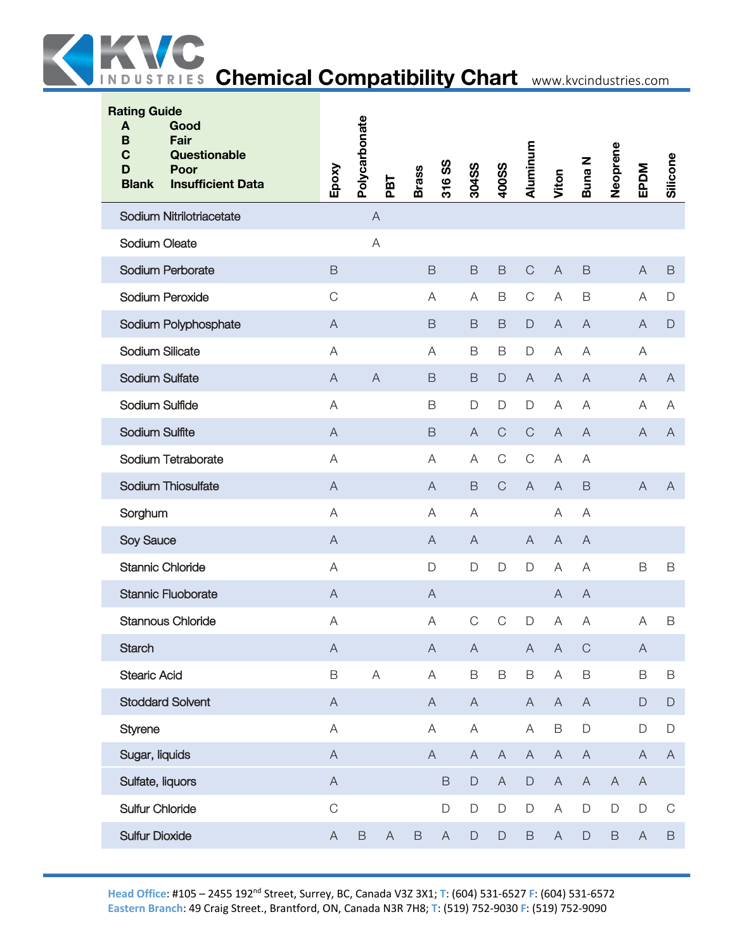

| <b>Rating Guide</b><br>Good<br>A<br>Fair<br>B<br>Questionable<br>C<br>Poor<br>D<br><b>Blank</b><br><b>Insufficient Data</b> | Epoxy                     | Polycarbonate  | PBT                       | <b>Brass</b> | 316 SS                    | 304SS          | <b>400SS</b> | Aluminum       | Viton                     | <b>Buna N</b>  | Neoprene                  | EPDM                      | Silicone      |
|-----------------------------------------------------------------------------------------------------------------------------|---------------------------|----------------|---------------------------|--------------|---------------------------|----------------|--------------|----------------|---------------------------|----------------|---------------------------|---------------------------|---------------|
| Sodium Nitrilotriacetate                                                                                                    |                           | $\overline{A}$ |                           |              |                           |                |              |                |                           |                |                           |                           |               |
| Sodium Oleate                                                                                                               |                           |                | Α                         |              |                           |                |              |                |                           |                |                           |                           |               |
| Sodium Perborate                                                                                                            | $\mathsf B$               |                |                           |              | $\mathsf B$               | $\mathsf B$    | $\mathsf B$  | $\mathsf{C}$   | $\boldsymbol{\mathsf{A}}$ | B              |                           | $\overline{A}$            | $\mathsf B$   |
| Sodium Peroxide                                                                                                             | $\mathsf C$               |                |                           |              | Α                         | Α              | B            | $\mathsf{C}$   | A                         | B              |                           | A                         | $\mathsf D$   |
| Sodium Polyphosphate                                                                                                        | A                         |                |                           |              | B                         | B              | B            | $\Box$         | A                         | A              |                           | A                         | $\mathsf{D}$  |
| Sodium Silicate                                                                                                             | A                         |                |                           |              | A                         | $\mathsf B$    | B            | $\mathsf D$    | A                         | Α              |                           | Α                         |               |
| Sodium Sulfate                                                                                                              | $\mathsf{A}$              | $\overline{A}$ |                           |              | $\mathsf B$               | $\mathsf B$    | $\mathsf D$  | $\mathsf{A}$   | $\overline{A}$            | $\overline{A}$ |                           | $\overline{A}$            | $\mathsf{A}$  |
| Sodium Sulfide                                                                                                              | A                         |                |                           |              | $\mathsf B$               | D              | D            | D              | A                         | Α              |                           | A                         | A             |
| <b>Sodium Sulfite</b>                                                                                                       | A                         |                |                           |              | B                         | $\mathsf{A}$   | $\mathsf{C}$ | $\mathsf C$    | A                         | $\overline{A}$ |                           | A                         | A             |
| Sodium Tetraborate                                                                                                          | Α                         |                |                           |              | Α                         | Α              | $\mathsf C$  | $\mathsf{C}$   | Α                         | Α              |                           |                           |               |
| Sodium Thiosulfate                                                                                                          | $\overline{A}$            |                |                           |              | $\mathsf{A}$              | $\mathsf B$    | $\mathsf{C}$ | $\overline{A}$ | $\mathsf{A}$              | $\mathsf B$    |                           | $\boldsymbol{\mathsf{A}}$ | $\mathsf{A}$  |
| Sorghum                                                                                                                     | A                         |                |                           |              | Α                         | A              |              |                | Α                         | Α              |                           |                           |               |
| Soy Sauce                                                                                                                   | A                         |                |                           |              | A                         | $\overline{A}$ |              | A              | A                         | $\overline{A}$ |                           |                           |               |
| <b>Stannic Chloride</b>                                                                                                     | Α                         |                |                           |              | $\mathsf D$               | $\mathsf D$    | $\mathsf D$  | $\Box$         | A                         | Α              |                           | B                         | $\mathsf B$   |
| <b>Stannic Fluoborate</b>                                                                                                   | $\overline{A}$            |                |                           |              | $\mathsf{A}$              |                |              |                | $\bigwedge$               | $\mathsf{A}$   |                           |                           |               |
| <b>Stannous Chloride</b>                                                                                                    | A                         |                |                           |              | A                         | C              | $\mathsf C$  | D              | Α                         | Α              |                           | Α                         | B             |
| <b>Starch</b>                                                                                                               | $\boldsymbol{\mathsf{A}}$ |                |                           |              | $\mathsf{A}$              | $\mathsf{A}$   |              | $\overline{A}$ | $\boldsymbol{\mathsf{A}}$ | $\mathsf C$    |                           | $\mathsf A$               |               |
| <b>Stearic Acid</b>                                                                                                         | $\mathsf B$               |                | $\boldsymbol{\mathsf{A}}$ |              | A                         | $\mathsf B$    | $\mathsf B$  | $\mathsf B$    | $\mathsf A$               | $\mathsf B$    |                           | $\mathsf B$               | $\mathsf B$   |
| <b>Stoddard Solvent</b>                                                                                                     | $\boldsymbol{\mathsf{A}}$ |                |                           |              | $\mathsf{A}$              | $\mathsf{A}$   |              | $\mathsf{A}$   | $\mathsf{A}$              | $\mathsf{A}$   |                           | $\mathsf D$               | $\mathsf{D}%$ |
| Styrene                                                                                                                     | A                         |                |                           |              | A                         | A              |              | A              | $\mathsf B$               | $\mathsf D$    |                           | $\mathsf D$               | $\mathsf D$   |
| Sugar, liquids                                                                                                              | $\mathsf A$               |                |                           |              | $\boldsymbol{\mathsf{A}}$ | $\mathsf{A}$   | $\mathsf{A}$ | $\mathsf{A}$   | $\boldsymbol{\mathsf{A}}$ | $\mathsf A$    |                           | $\mathsf{A}$              | $\mathsf{A}$  |
| Sulfate, liquors                                                                                                            | $\mathsf A$               |                |                           |              | $\mathsf B$               | $\mathsf D$    | $\mathsf{A}$ | $\mathsf D$    | $\mathsf A$               | $\mathsf A$    | $\boldsymbol{\mathsf{A}}$ | $\mathsf{A}$              |               |
| <b>Sulfur Chloride</b>                                                                                                      | $\mathsf C$               |                |                           |              | $\mathsf D$               | $\mathsf D$    | $\mathsf D$  | $\mathsf D$    | $\boldsymbol{\mathsf{A}}$ | $\mathsf D$    | $\mathsf D$               | D                         | $\mathsf C$   |
| <b>Sulfur Dioxide</b>                                                                                                       | $\mathsf A$               | $\mathsf B$    | $\boldsymbol{\mathsf{A}}$ | $\mathsf B$  | $\mathsf A$               | $\mathsf D$    | $\mathsf D$  | $\mathsf B$    | $\mathsf A$               | $\mathsf D$    | $\mathsf B$               | $\mathsf{A}$              | $\,$ B        |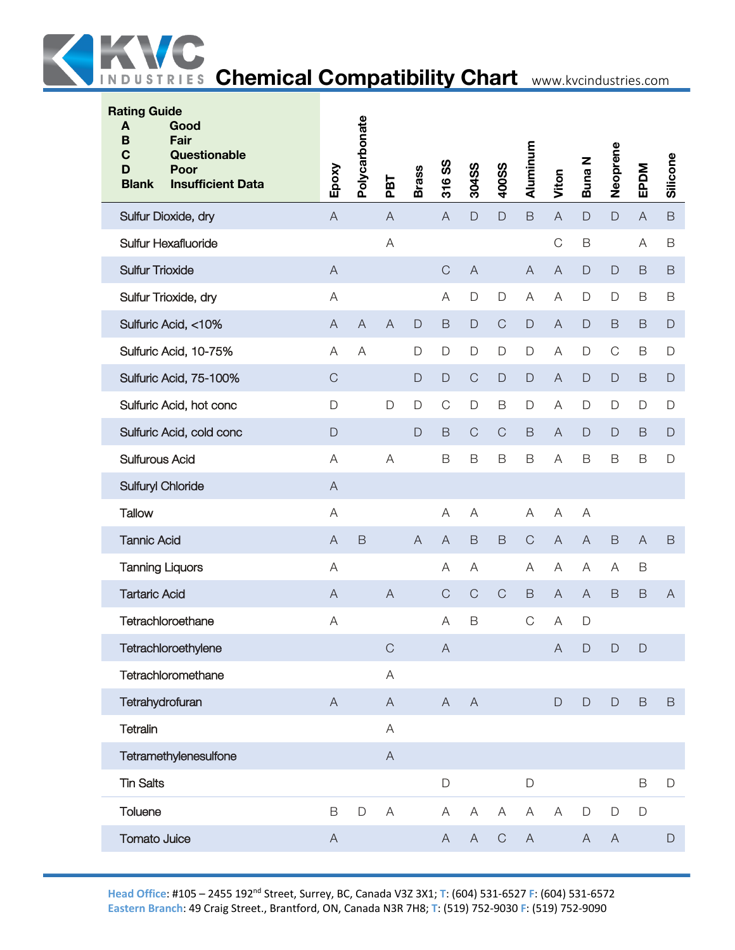

| <b>Rating Guide</b><br>A<br>Good<br>B<br><b>Fair</b><br>$\mathbf C$<br>Questionable<br>D<br>Poor<br><b>Insufficient Data</b><br><b>Blank</b> | Epoxy                                                                                                  | Polycarbonate | PBT                       | <b>Brass</b>   | SS<br>316      | 304SS                     | 400SS        | Aluminum       | Viton                     | <b>Buna N</b>  | Neoprene      | EPDM         | Silicone     |
|----------------------------------------------------------------------------------------------------------------------------------------------|--------------------------------------------------------------------------------------------------------|---------------|---------------------------|----------------|----------------|---------------------------|--------------|----------------|---------------------------|----------------|---------------|--------------|--------------|
| Sulfur Dioxide, dry                                                                                                                          | $\mathsf{A}$                                                                                           |               | $\bigwedge$               |                | $\mathsf{A}$   | $\Box$                    | $\mathsf{D}$ | $\mathsf B$    | $\mathsf A$               | $\mathsf{D}%$  | $\mathsf D$   | $\mathsf{A}$ | $\mathsf B$  |
| <b>Sulfur Hexafluoride</b>                                                                                                                   |                                                                                                        |               | $\mathsf A$               |                |                |                           |              |                | $\mathsf C$               | $\mathsf B$    |               | A            | B            |
| <b>Sulfur Trioxide</b>                                                                                                                       | $\boldsymbol{\mathsf{A}}$                                                                              |               |                           |                | $\mathsf C$    | $\overline{A}$            |              | $\overline{A}$ | $\mathsf A$               | $\mathsf{D}%$  | $\mathsf{D}$  | B            | B            |
| Sulfur Trioxide, dry                                                                                                                         | A                                                                                                      |               |                           |                | A              | $\mathsf D$               | D            | Α              | A                         | $\mathsf D$    | $\mathsf D$   | B            | B            |
| Sulfuric Acid, <10%                                                                                                                          | $\boldsymbol{\mathsf{A}}$                                                                              | $\bigwedge$   | $\mathsf{A}$              | $\mathsf{D}%$  | $\mathsf B$    | $\mathsf D$               | $\mathsf{C}$ | $\Box$         | $\overline{A}$            | $\mathsf D$    | $\mathsf B$   | B            | $\Box$       |
| Sulfuric Acid, 10-75%                                                                                                                        | $\mathsf A$                                                                                            | A             |                           | D              | $\mathsf{D}%$  | $\mathsf D$               | D            | $\mathsf D$    | $\mathsf A$               | $\mathsf D$    | $\mathsf C$   | $\mathsf B$  | $\mathsf D$  |
| Sulfuric Acid, 75-100%                                                                                                                       | $\mathsf C$                                                                                            |               |                           | $\mathsf{D}$   | $\mathsf D$    | $\mathsf C$               | $\mathsf D$  | $\Box$         | $\boldsymbol{\mathsf{A}}$ | $\mathsf D$    | $\mathsf{D}%$ | B            | $\Box$       |
| Sulfuric Acid, hot conc                                                                                                                      | $\mathsf D$                                                                                            |               | D                         | D              | $\mathsf{C}$   | $\mathsf D$               | B            | D              | A                         | D              | $\mathsf D$   | D            | $\mathsf D$  |
| Sulfuric Acid, cold conc                                                                                                                     | $\mathsf D$                                                                                            |               |                           | $\mathsf D$    | $\mathsf B$    | $\mathsf{C}$              | $\mathsf{C}$ | $\mathsf B$    | A                         | $\mathsf D$    | $\mathsf{D}$  | B            | $\mathsf{D}$ |
| <b>Sulfurous Acid</b>                                                                                                                        | A                                                                                                      |               | A                         |                | $\mathsf B$    | $\mathsf B$               | $\mathsf B$  | B              | $\mathsf A$               | B              | $\mathsf B$   | $\mathsf B$  | $\Box$       |
| <b>Sulfuryl Chloride</b>                                                                                                                     | $\boldsymbol{\mathsf{A}}$                                                                              |               |                           |                |                |                           |              |                |                           |                |               |              |              |
| <b>Tallow</b>                                                                                                                                | A                                                                                                      |               |                           |                | A              | A                         |              | Α              | $\mathsf A$               | $\overline{A}$ |               |              |              |
| <b>Tannic Acid</b>                                                                                                                           | $\mathsf A$                                                                                            | $\mathsf B$   |                           | $\overline{A}$ | $\overline{A}$ | $\mathsf B$               | B            | $\mathcal{C}$  | $\boldsymbol{\mathsf{A}}$ | $\mathsf{A}$   | $\mathsf B$   | A            | B            |
| <b>Tanning Liquors</b>                                                                                                                       | $\mathsf A$                                                                                            |               |                           |                | A              | A                         |              | A              | $\mathsf A$               | A              | Α             | $\mathsf B$  |              |
| <b>Tartaric Acid</b>                                                                                                                         | $\mathsf{A}% _{\mathsf{A}}^{\prime}=\mathsf{A}_{\mathsf{A}}^{\prime}=\mathsf{A}_{\mathsf{A}}^{\prime}$ |               | $\overline{A}$            |                | $\mathsf C$    | $\mathsf C$               | $\mathsf C$  | $\mathsf B$    | $\boldsymbol{\mathsf{A}}$ | $\overline{A}$ | $\mathsf B$   | $\mathsf B$  | $\mathsf{A}$ |
| Tetrachloroethane                                                                                                                            | A                                                                                                      |               |                           |                | A              | $\mathsf B$               |              | $\mathsf C$    | A                         | $\mathsf{D}$   |               |              |              |
| Tetrachloroethylene                                                                                                                          |                                                                                                        |               | C                         |                | A              |                           |              |                | A                         | D              | $\Box$        | $\mathsf{D}$ |              |
| Tetrachloromethane                                                                                                                           |                                                                                                        |               | $\mathsf A$               |                |                |                           |              |                |                           |                |               |              |              |
| Tetrahydrofuran                                                                                                                              | $\boldsymbol{\mathsf{A}}$                                                                              |               | $\boldsymbol{\mathsf{A}}$ |                | $\overline{A}$ | $\overline{A}$            |              |                | $\mathsf D$               | $\mathsf D$    | $\mathsf D$   | B            | $\mathsf B$  |
| Tetralin                                                                                                                                     |                                                                                                        |               | $\mathsf A$               |                |                |                           |              |                |                           |                |               |              |              |
| Tetramethylenesulfone                                                                                                                        |                                                                                                        |               | $\mathsf{A}$              |                |                |                           |              |                |                           |                |               |              |              |
| <b>Tin Salts</b>                                                                                                                             |                                                                                                        |               |                           |                | $\mathsf D$    |                           |              | $\mathsf{D}$   |                           |                |               | $\mathsf B$  | $\mathsf D$  |
| Toluene                                                                                                                                      | $\mathsf B$                                                                                            | $\mathsf D$   | $\boldsymbol{\mathsf{A}}$ |                | A              | $\boldsymbol{\mathsf{A}}$ | A            | A              | A                         | $\mathsf D$    | $\mathsf{D}$  | D            |              |
| <b>Tomato Juice</b>                                                                                                                          | $\boldsymbol{\mathsf{A}}$                                                                              |               |                           |                | $\mathsf{A}$   | $\mathsf{A}$              | $\mathsf C$  | $\mathsf{A}$   |                           | $\mathsf{A}$   | $\mathsf{A}$  |              | $\mathsf D$  |
|                                                                                                                                              |                                                                                                        |               |                           |                |                |                           |              |                |                           |                |               |              |              |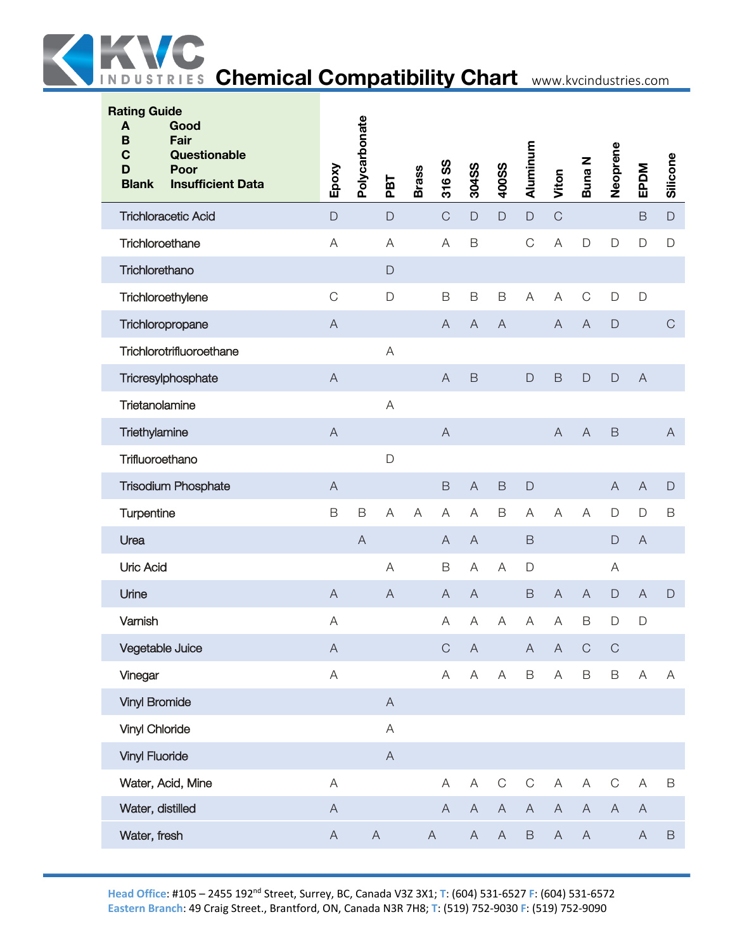

| <b>Rating Guide</b><br>Good<br>A<br>Fair<br>B<br>$\mathbf C$<br>Questionable<br>Poor<br>D<br><b>Insufficient Data</b><br><b>Blank</b> | Epoxy                     | Polycarbonate | PBT                       | <b>Brass</b> | 316 SS                    | 304SS                     | <b>400SS</b>   | Aluminum                  | Viton                     | Buna N         | Neoprene                  | EPDM                      | Silicone      |
|---------------------------------------------------------------------------------------------------------------------------------------|---------------------------|---------------|---------------------------|--------------|---------------------------|---------------------------|----------------|---------------------------|---------------------------|----------------|---------------------------|---------------------------|---------------|
| <b>Trichloracetic Acid</b>                                                                                                            | $\mathsf{D}$              |               | $\mathsf{D}$              |              | $\mathsf{C}$              | $\mathsf{D}$              | $\mathsf D$    | $\mathsf D$               | $\mathsf{C}$              |                |                           | $\mathsf B$               | $\mathsf{D}%$ |
| Trichloroethane                                                                                                                       | A                         |               | A                         |              | A                         | $\mathsf B$               |                | $\mathsf C$               | $\mathsf A$               | $\mathsf{D}%$  | $\mathsf{D}$              | $\mathsf D$               | $\mathsf{D}$  |
| Trichlorethano                                                                                                                        |                           |               | D                         |              |                           |                           |                |                           |                           |                |                           |                           |               |
| Trichloroethylene                                                                                                                     | $\mathsf C$               |               | D                         |              | $\mathsf B$               | $\mathsf B$               | B              | A                         | A                         | $\mathsf C$    | D                         | $\mathsf D$               |               |
| Trichloropropane                                                                                                                      | $\boldsymbol{\mathsf{A}}$ |               |                           |              | $\mathsf{A}$              | $\overline{A}$            | $\overline{A}$ |                           | $\boldsymbol{\mathsf{A}}$ | $\mathsf{A}$   | $\mathsf D$               |                           | $\mathsf C$   |
| Trichlorotrifluoroethane                                                                                                              |                           |               | A                         |              |                           |                           |                |                           |                           |                |                           |                           |               |
| Tricresylphosphate                                                                                                                    | $\overline{A}$            |               |                           |              | $\overline{A}$            | $\mathsf B$               |                | $\mathsf{D}%$             | $\mathsf B$               | $\mathsf D$    | $\mathsf D$               | $\overline{A}$            |               |
| Trietanolamine                                                                                                                        |                           |               | A                         |              |                           |                           |                |                           |                           |                |                           |                           |               |
| Triethylamine                                                                                                                         | $\overline{A}$            |               |                           |              | $\mathsf{A}$              |                           |                |                           | A                         | $\overline{A}$ | $\mathsf B$               |                           | A             |
| Trifluoroethano                                                                                                                       |                           |               | D                         |              |                           |                           |                |                           |                           |                |                           |                           |               |
| <b>Trisodium Phosphate</b>                                                                                                            | $\overline{A}$            |               |                           |              | B                         | $\overline{A}$            | $\mathsf B$    | $\mathsf D$               |                           |                | $\overline{A}$            | $\overline{A}$            | $\mathsf D$   |
| Turpentine                                                                                                                            | B                         | $\mathsf B$   | A                         | A            | $\mathsf A$               | A                         | $\mathsf B$    | A                         | $\mathsf A$               | A              | $\mathsf{D}$              | D                         | B             |
| Urea                                                                                                                                  |                           | $\mathsf{A}$  |                           |              | $\mathsf{A}$              | $\overline{A}$            |                | $\mathsf B$               |                           |                | $\mathsf D$               | $\mathsf{A}$              |               |
| <b>Uric Acid</b>                                                                                                                      |                           |               | A                         |              | $\mathsf B$               | A                         | A              | $\mathsf D$               |                           |                | A                         |                           |               |
| Urine                                                                                                                                 | $\overline{A}$            |               | $\overline{A}$            |              | $\mathsf{A}$              | $\overline{A}$            |                | $\mathsf B$               | $\boldsymbol{\mathsf{A}}$ | $\overline{A}$ | $\mathsf D$               | $\mathsf{A}$              | $\mathsf D$   |
| Varnish                                                                                                                               | A                         |               |                           |              | A                         | A                         | Α              | A                         | A                         | $\mathsf B$    | $\mathsf{D}$              | D                         |               |
| Vegetable Juice                                                                                                                       | $\boldsymbol{\mathsf{A}}$ |               |                           |              | $\mathsf C$               | $\boldsymbol{\mathsf{A}}$ |                | $\boldsymbol{\mathsf{A}}$ | $\boldsymbol{\mathsf{A}}$ | $\mathsf C$    | $\mathsf C$               |                           |               |
| Vinegar                                                                                                                               | $\mathsf A$               |               |                           |              | $\boldsymbol{\mathsf{A}}$ | $\mathsf A$               | A              | $\mathsf B$               | $\mathsf A$               | $\mathsf B$    | $\mathsf B$               | $\boldsymbol{\mathsf{A}}$ | Α             |
| <b>Vinyl Bromide</b>                                                                                                                  |                           |               | $\mathsf{A}$              |              |                           |                           |                |                           |                           |                |                           |                           |               |
| <b>Vinyl Chloride</b>                                                                                                                 |                           |               | $\boldsymbol{\mathsf{A}}$ |              |                           |                           |                |                           |                           |                |                           |                           |               |
| <b>Vinyl Fluoride</b>                                                                                                                 |                           |               | $\mathsf{A}$              |              |                           |                           |                |                           |                           |                |                           |                           |               |
| Water, Acid, Mine                                                                                                                     | $\boldsymbol{\mathsf{A}}$ |               |                           |              | A                         | $\boldsymbol{\mathsf{A}}$ | $\mathbf C$    | $\mathsf C$               | $\boldsymbol{\mathsf{A}}$ | $\mathsf A$    | $\mathsf C$               | Α                         | $\mathsf B$   |
| Water, distilled                                                                                                                      | $\mathsf A$               |               |                           |              | $\mathsf A$               | $\boldsymbol{\mathsf{A}}$ | $\mathsf{A}$   | $\boldsymbol{\mathsf{A}}$ | $\boldsymbol{\mathsf{A}}$ | $\mathsf A$    | $\boldsymbol{\mathsf{A}}$ | $\mathsf{A}$              |               |
| Water, fresh                                                                                                                          | $\mathsf A$               | $\mathsf{A}$  |                           |              | $\mathsf{A}$              | A                         | $\mathsf{A}$   | $\, {\sf B}$              | $\boldsymbol{\mathsf{A}}$ | $\mathsf A$    |                           | $\mathsf{A}$              | $\mathsf B$   |